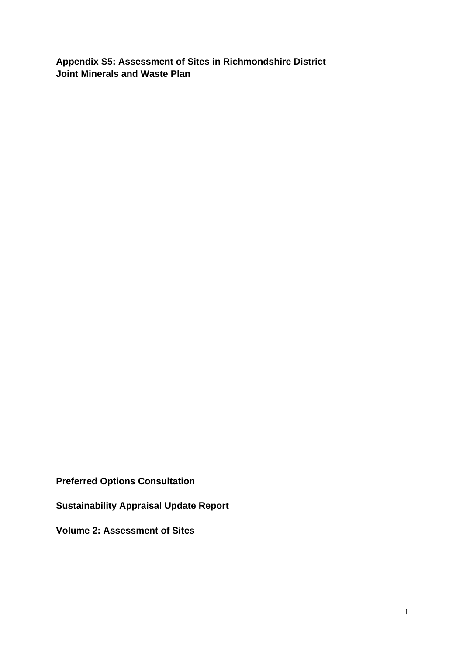**Appendix S5: Assessment of Sites in Richmondshire District Joint Minerals and Waste Plan** 

**Preferred Options Consultation** 

**Sustainability Appraisal Update Report** 

**Volume 2: Assessment of Sites**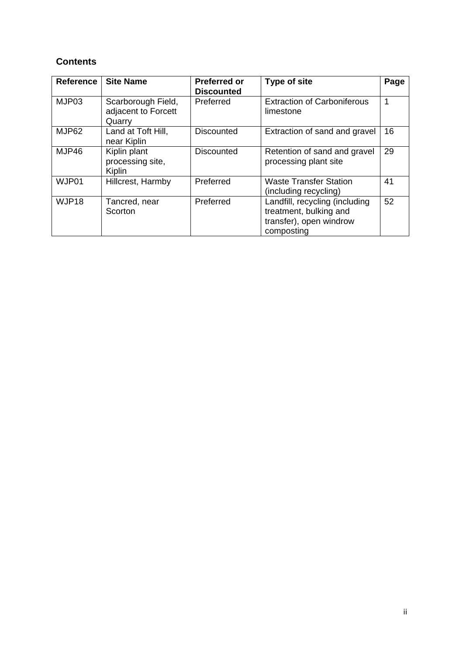## **Contents**

| <b>Reference</b> | <b>Site Name</b>                                    | <b>Preferred or</b><br><b>Discounted</b> | <b>Type of site</b>                                                                               | Page |
|------------------|-----------------------------------------------------|------------------------------------------|---------------------------------------------------------------------------------------------------|------|
| MJP03            | Scarborough Field,<br>adjacent to Forcett<br>Quarry | Preferred                                | <b>Extraction of Carboniferous</b><br>limestone                                                   |      |
| MJP62            | Land at Toft Hill,<br>near Kiplin                   | <b>Discounted</b>                        | Extraction of sand and gravel                                                                     | 16   |
| MJP46            | Kiplin plant<br>processing site,<br>Kiplin          | Discounted                               | Retention of sand and gravel<br>processing plant site                                             | 29   |
| WJP01            | Hillcrest, Harmby                                   | Preferred                                | <b>Waste Transfer Station</b><br>(including recycling)                                            | 41   |
| WJP18            | Tancred, near<br>Scorton                            | Preferred                                | Landfill, recycling (including<br>treatment, bulking and<br>transfer), open windrow<br>composting | 52   |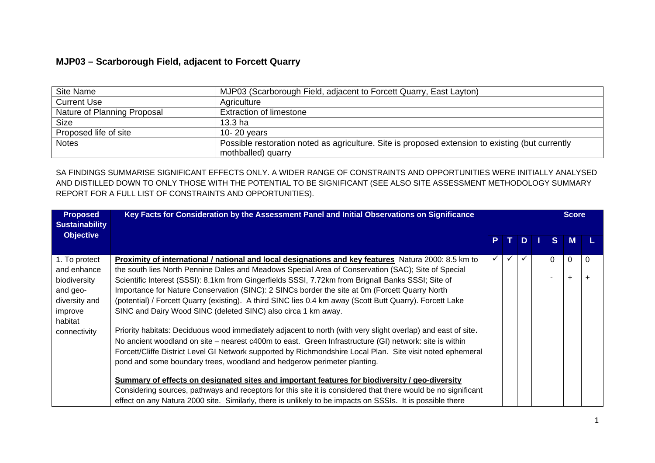### **MJP03 – Scarborough Field, adjacent to Forcett Quarry**

| Site Name                   | MJP03 (Scarborough Field, adjacent to Forcett Quarry, East Layton)                               |
|-----------------------------|--------------------------------------------------------------------------------------------------|
| <b>Current Use</b>          | Agriculture                                                                                      |
| Nature of Planning Proposal | <b>Extraction of limestone</b>                                                                   |
| <b>Size</b>                 | 13.3 <sub>ha</sub>                                                                               |
| Proposed life of site       | 10-20 years                                                                                      |
| <b>Notes</b>                | Possible restoration noted as agriculture. Site is proposed extension to existing (but currently |
|                             | mothballed) quarry                                                                               |

| <b>Proposed</b><br><b>Sustainability</b> | Key Facts for Consideration by the Assessment Panel and Initial Observations on Significance                  |   |   |              |  | <b>Score</b> |                |  |
|------------------------------------------|---------------------------------------------------------------------------------------------------------------|---|---|--------------|--|--------------|----------------|--|
| <b>Objective</b>                         |                                                                                                               | Р |   | D            |  | S.           | M              |  |
| 1. To protect                            | Proximity of international / national and local designations and key features Natura 2000: 8.5 km to          | ✓ | ✓ | $\checkmark$ |  | $\Omega$     | $\Omega$       |  |
| and enhance                              | the south lies North Pennine Dales and Meadows Special Area of Conservation (SAC); Site of Special            |   |   |              |  |              |                |  |
| biodiversity                             | Scientific Interest (SSSI): 8.1km from Gingerfields SSSI, 7.72km from Brignall Banks SSSI; Site of            |   |   |              |  |              | $\overline{ }$ |  |
| and geo-                                 | Importance for Nature Conservation (SINC): 2 SINCs border the site at 0m (Forcett Quarry North                |   |   |              |  |              |                |  |
| diversity and                            | (potential) / Forcett Quarry (existing). A third SINC lies 0.4 km away (Scott Butt Quarry). Forcett Lake      |   |   |              |  |              |                |  |
| improve                                  | SINC and Dairy Wood SINC (deleted SINC) also circa 1 km away.                                                 |   |   |              |  |              |                |  |
| habitat                                  |                                                                                                               |   |   |              |  |              |                |  |
| connectivity                             | Priority habitats: Deciduous wood immediately adjacent to north (with very slight overlap) and east of site.  |   |   |              |  |              |                |  |
|                                          | No ancient woodland on site - nearest c400m to east. Green Infrastructure (GI) network: site is within        |   |   |              |  |              |                |  |
|                                          | Forcett/Cliffe District Level GI Network supported by Richmondshire Local Plan. Site visit noted ephemeral    |   |   |              |  |              |                |  |
|                                          | pond and some boundary trees, woodland and hedgerow perimeter planting.                                       |   |   |              |  |              |                |  |
|                                          | Summary of effects on designated sites and important features for biodiversity / geo-diversity                |   |   |              |  |              |                |  |
|                                          | Considering sources, pathways and receptors for this site it is considered that there would be no significant |   |   |              |  |              |                |  |
|                                          | effect on any Natura 2000 site. Similarly, there is unlikely to be impacts on SSSIs. It is possible there     |   |   |              |  |              |                |  |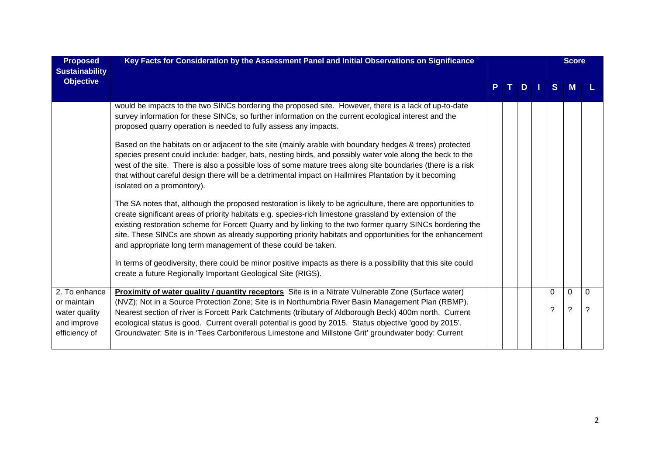| <b>Proposed</b><br><b>Sustainability</b>                                      | Key Facts for Consideration by the Assessment Panel and Initial Observations on Significance                                                                                                                                                                                                                                                                                                                                                                                                                                                                                                                                          |  |   |                                | <b>Score</b>     |               |
|-------------------------------------------------------------------------------|---------------------------------------------------------------------------------------------------------------------------------------------------------------------------------------------------------------------------------------------------------------------------------------------------------------------------------------------------------------------------------------------------------------------------------------------------------------------------------------------------------------------------------------------------------------------------------------------------------------------------------------|--|---|--------------------------------|------------------|---------------|
| <b>Objective</b>                                                              |                                                                                                                                                                                                                                                                                                                                                                                                                                                                                                                                                                                                                                       |  | D | S.                             |                  |               |
|                                                                               | would be impacts to the two SINCs bordering the proposed site. However, there is a lack of up-to-date<br>survey information for these SINCs, so further information on the current ecological interest and the<br>proposed quarry operation is needed to fully assess any impacts.                                                                                                                                                                                                                                                                                                                                                    |  |   |                                |                  |               |
|                                                                               | Based on the habitats on or adjacent to the site (mainly arable with boundary hedges & trees) protected<br>species present could include: badger, bats, nesting birds, and possibly water vole along the beck to the<br>west of the site. There is also a possible loss of some mature trees along site boundaries (there is a risk<br>that without careful design there will be a detrimental impact on Hallmires Plantation by it becoming<br>isolated on a promontory).                                                                                                                                                            |  |   |                                |                  |               |
|                                                                               | The SA notes that, although the proposed restoration is likely to be agriculture, there are opportunities to<br>create significant areas of priority habitats e.g. species-rich limestone grassland by extension of the<br>existing restoration scheme for Forcett Quarry and by linking to the two former quarry SINCs bordering the<br>site. These SINCs are shown as already supporting priority habitats and opportunities for the enhancement<br>and appropriate long term management of these could be taken.<br>In terms of geodiversity, there could be minor positive impacts as there is a possibility that this site could |  |   |                                |                  |               |
|                                                                               | create a future Regionally Important Geological Site (RIGS).                                                                                                                                                                                                                                                                                                                                                                                                                                                                                                                                                                          |  |   |                                |                  |               |
| 2. To enhance<br>or maintain<br>water quality<br>and improve<br>efficiency of | <b>Proximity of water quality / quantity receptors</b> Site is in a Nitrate Vulnerable Zone (Surface water)<br>(NVZ); Not in a Source Protection Zone; Site is in Northumbria River Basin Management Plan (RBMP).<br>Nearest section of river is Forcett Park Catchments (tributary of Aldborough Beck) 400m north. Current<br>ecological status is good. Current overall potential is good by 2015. Status objective 'good by 2015'.<br>Groundwater: Site is in 'Tees Carboniferous Limestone and Millstone Grit' groundwater body: Current                                                                                          |  |   | $\Omega$<br>$\overline{\cdot}$ | 0<br>$\tilde{?}$ | $\Omega$<br>? |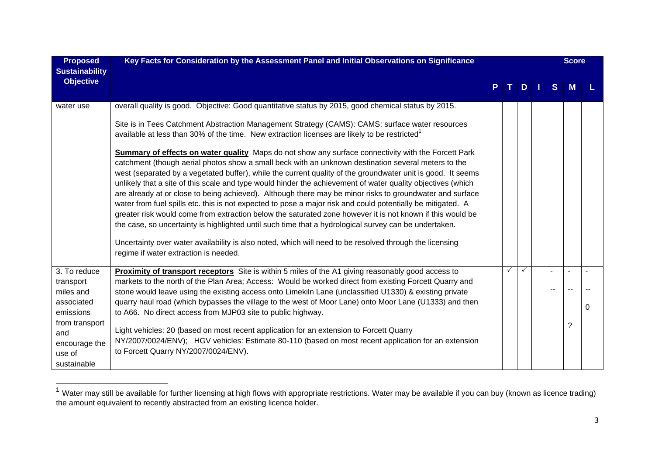| <b>Proposed</b><br><b>Sustainability</b> | Key Facts for Consideration by the Assessment Panel and Initial Observations on Significance                                                                                                                                                                                                                                                                                                                                                                                                                                                                                                                                                                                                                                                                                                                                                                                                                                                                                                                                                  |  |  |              | <b>Score</b> |              |   |          |
|------------------------------------------|-----------------------------------------------------------------------------------------------------------------------------------------------------------------------------------------------------------------------------------------------------------------------------------------------------------------------------------------------------------------------------------------------------------------------------------------------------------------------------------------------------------------------------------------------------------------------------------------------------------------------------------------------------------------------------------------------------------------------------------------------------------------------------------------------------------------------------------------------------------------------------------------------------------------------------------------------------------------------------------------------------------------------------------------------|--|--|--------------|--------------|--------------|---|----------|
| <b>Objective</b>                         |                                                                                                                                                                                                                                                                                                                                                                                                                                                                                                                                                                                                                                                                                                                                                                                                                                                                                                                                                                                                                                               |  |  | D            |              | <sub>S</sub> |   |          |
| water use                                | overall quality is good. Objective: Good quantitative status by 2015, good chemical status by 2015.                                                                                                                                                                                                                                                                                                                                                                                                                                                                                                                                                                                                                                                                                                                                                                                                                                                                                                                                           |  |  |              |              |              |   |          |
|                                          | Site is in Tees Catchment Abstraction Management Strategy (CAMS): CAMS: surface water resources<br>available at less than 30% of the time. New extraction licenses are likely to be restricted <sup>1</sup>                                                                                                                                                                                                                                                                                                                                                                                                                                                                                                                                                                                                                                                                                                                                                                                                                                   |  |  |              |              |              |   |          |
|                                          | Summary of effects on water quality Maps do not show any surface connectivity with the Forcett Park<br>catchment (though aerial photos show a small beck with an unknown destination several meters to the<br>west (separated by a vegetated buffer), while the current quality of the groundwater unit is good. It seems<br>unlikely that a site of this scale and type would hinder the achievement of water quality objectives (which<br>are already at or close to being achieved). Although there may be minor risks to groundwater and surface<br>water from fuel spills etc. this is not expected to pose a major risk and could potentially be mitigated. A<br>greater risk would come from extraction below the saturated zone however it is not known if this would be<br>the case, so uncertainty is highlighted until such time that a hydrological survey can be undertaken.<br>Uncertainty over water availability is also noted, which will need to be resolved through the licensing<br>regime if water extraction is needed. |  |  |              |              |              |   |          |
| 3. To reduce                             | Proximity of transport receptors Site is within 5 miles of the A1 giving reasonably good access to                                                                                                                                                                                                                                                                                                                                                                                                                                                                                                                                                                                                                                                                                                                                                                                                                                                                                                                                            |  |  | $\checkmark$ |              |              |   |          |
| transport<br>miles and                   | markets to the north of the Plan Area; Access: Would be worked direct from existing Forcett Quarry and<br>stone would leave using the existing access onto Limekiln Lane (unclassified U1330) & existing private                                                                                                                                                                                                                                                                                                                                                                                                                                                                                                                                                                                                                                                                                                                                                                                                                              |  |  |              |              |              |   |          |
| associated                               | quarry haul road (which bypasses the village to the west of Moor Lane) onto Moor Lane (U1333) and then                                                                                                                                                                                                                                                                                                                                                                                                                                                                                                                                                                                                                                                                                                                                                                                                                                                                                                                                        |  |  |              |              |              |   | $\Omega$ |
| emissions                                | to A66. No direct access from MJP03 site to public highway.                                                                                                                                                                                                                                                                                                                                                                                                                                                                                                                                                                                                                                                                                                                                                                                                                                                                                                                                                                                   |  |  |              |              |              |   |          |
| from transport<br>and                    | Light vehicles: 20 (based on most recent application for an extension to Forcett Quarry                                                                                                                                                                                                                                                                                                                                                                                                                                                                                                                                                                                                                                                                                                                                                                                                                                                                                                                                                       |  |  |              |              |              | ? |          |
| encourage the                            | NY/2007/0024/ENV); HGV vehicles: Estimate 80-110 (based on most recent application for an extension                                                                                                                                                                                                                                                                                                                                                                                                                                                                                                                                                                                                                                                                                                                                                                                                                                                                                                                                           |  |  |              |              |              |   |          |
| use of                                   | to Forcett Quarry NY/2007/0024/ENV).                                                                                                                                                                                                                                                                                                                                                                                                                                                                                                                                                                                                                                                                                                                                                                                                                                                                                                                                                                                                          |  |  |              |              |              |   |          |
| sustainable                              |                                                                                                                                                                                                                                                                                                                                                                                                                                                                                                                                                                                                                                                                                                                                                                                                                                                                                                                                                                                                                                               |  |  |              |              |              |   |          |

 $1$  Water may still be available for further licensing at high flows with appropriate restrictions. Water may be available if you can buy (known as licence trading) the amount equivalent to recently abstracted from an existing licence holder.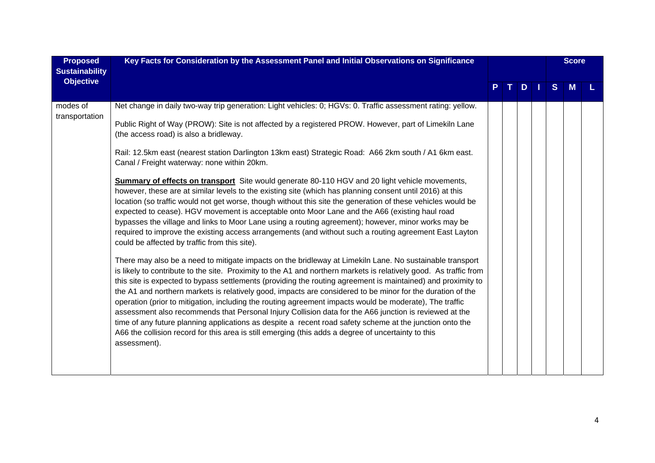| <b>Proposed</b><br><b>Sustainability</b> | Key Facts for Consideration by the Assessment Panel and Initial Observations on Significance                                                                                                                                                                                                                                                                                                                                                                                                                                                                                                                                                                                                                                                                                                                                                                                                                                                                                                                                                                                                                                                                                                                                                                                                                                                                                                                                                                                                                                                                                                                                                                                                                                                                                                                                                                                                                                                                                                                                                           |  |    |   |  |    | <b>Score</b> |  |
|------------------------------------------|--------------------------------------------------------------------------------------------------------------------------------------------------------------------------------------------------------------------------------------------------------------------------------------------------------------------------------------------------------------------------------------------------------------------------------------------------------------------------------------------------------------------------------------------------------------------------------------------------------------------------------------------------------------------------------------------------------------------------------------------------------------------------------------------------------------------------------------------------------------------------------------------------------------------------------------------------------------------------------------------------------------------------------------------------------------------------------------------------------------------------------------------------------------------------------------------------------------------------------------------------------------------------------------------------------------------------------------------------------------------------------------------------------------------------------------------------------------------------------------------------------------------------------------------------------------------------------------------------------------------------------------------------------------------------------------------------------------------------------------------------------------------------------------------------------------------------------------------------------------------------------------------------------------------------------------------------------------------------------------------------------------------------------------------------------|--|----|---|--|----|--------------|--|
| <b>Objective</b>                         |                                                                                                                                                                                                                                                                                                                                                                                                                                                                                                                                                                                                                                                                                                                                                                                                                                                                                                                                                                                                                                                                                                                                                                                                                                                                                                                                                                                                                                                                                                                                                                                                                                                                                                                                                                                                                                                                                                                                                                                                                                                        |  | т. | D |  | S. | M            |  |
| modes of<br>transportation               | Net change in daily two-way trip generation: Light vehicles: 0; HGVs: 0. Traffic assessment rating: yellow.<br>Public Right of Way (PROW): Site is not affected by a registered PROW. However, part of Limekiln Lane<br>(the access road) is also a bridleway.<br>Rail: 12.5km east (nearest station Darlington 13km east) Strategic Road: A66 2km south / A1 6km east.<br>Canal / Freight waterway: none within 20km.<br><b>Summary of effects on transport</b> Site would generate 80-110 HGV and 20 light vehicle movements,<br>however, these are at similar levels to the existing site (which has planning consent until 2016) at this<br>location (so traffic would not get worse, though without this site the generation of these vehicles would be<br>expected to cease). HGV movement is acceptable onto Moor Lane and the A66 (existing haul road<br>bypasses the village and links to Moor Lane using a routing agreement); however, minor works may be<br>required to improve the existing access arrangements (and without such a routing agreement East Layton<br>could be affected by traffic from this site).<br>There may also be a need to mitigate impacts on the bridleway at Limekiln Lane. No sustainable transport<br>is likely to contribute to the site. Proximity to the A1 and northern markets is relatively good. As traffic from<br>this site is expected to bypass settlements (providing the routing agreement is maintained) and proximity to<br>the A1 and northern markets is relatively good, impacts are considered to be minor for the duration of the<br>operation (prior to mitigation, including the routing agreement impacts would be moderate), The traffic<br>assessment also recommends that Personal Injury Collision data for the A66 junction is reviewed at the<br>time of any future planning applications as despite a recent road safety scheme at the junction onto the<br>A66 the collision record for this area is still emerging (this adds a degree of uncertainty to this<br>assessment). |  |    |   |  |    |              |  |
|                                          |                                                                                                                                                                                                                                                                                                                                                                                                                                                                                                                                                                                                                                                                                                                                                                                                                                                                                                                                                                                                                                                                                                                                                                                                                                                                                                                                                                                                                                                                                                                                                                                                                                                                                                                                                                                                                                                                                                                                                                                                                                                        |  |    |   |  |    |              |  |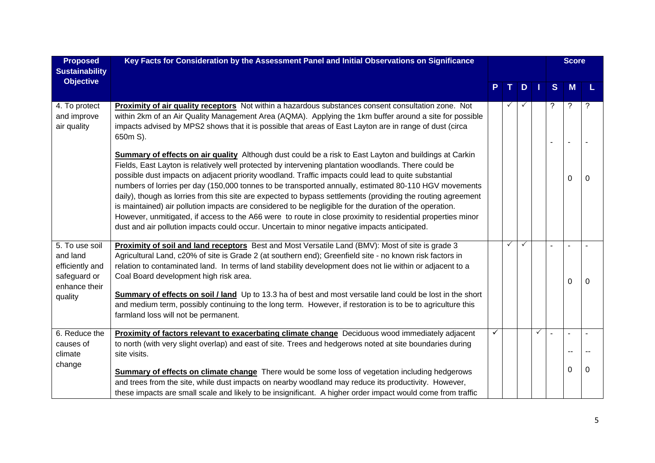| <b>Proposed</b><br><b>Sustainability</b>                                                  | Key Facts for Consideration by the Assessment Panel and Initial Observations on Significance                                                                                                                                                                                                                                                                                                                                                                                                                                                                                                                                                                                                                                                                                                                                                                              |   |    |   |           |    | <b>Score</b> |          |  |  |  |
|-------------------------------------------------------------------------------------------|---------------------------------------------------------------------------------------------------------------------------------------------------------------------------------------------------------------------------------------------------------------------------------------------------------------------------------------------------------------------------------------------------------------------------------------------------------------------------------------------------------------------------------------------------------------------------------------------------------------------------------------------------------------------------------------------------------------------------------------------------------------------------------------------------------------------------------------------------------------------------|---|----|---|-----------|----|--------------|----------|--|--|--|
| <b>Objective</b>                                                                          |                                                                                                                                                                                                                                                                                                                                                                                                                                                                                                                                                                                                                                                                                                                                                                                                                                                                           |   | T. | D | <b>JY</b> | S. | <b>M</b>     |          |  |  |  |
| 4. To protect<br>and improve<br>air quality                                               | <b>Proximity of air quality receptors</b> Not within a hazardous substances consent consultation zone. Not<br>within 2km of an Air Quality Management Area (AQMA). Applying the 1km buffer around a site for possible<br>impacts advised by MPS2 shows that it is possible that areas of East Layton are in range of dust (circa<br>650m S).                                                                                                                                                                                                                                                                                                                                                                                                                                                                                                                              |   |    |   |           |    | $\ddot{?}$   | ?        |  |  |  |
|                                                                                           | Summary of effects on air quality Although dust could be a risk to East Layton and buildings at Carkin<br>Fields, East Layton is relatively well protected by intervening plantation woodlands. There could be<br>possible dust impacts on adjacent priority woodland. Traffic impacts could lead to quite substantial<br>numbers of lorries per day (150,000 tonnes to be transported annually, estimated 80-110 HGV movements<br>daily), though as lorries from this site are expected to bypass settlements (providing the routing agreement<br>is maintained) air pollution impacts are considered to be negligible for the duration of the operation.<br>However, unmitigated, if access to the A66 were to route in close proximity to residential properties minor<br>dust and air pollution impacts could occur. Uncertain to minor negative impacts anticipated. |   |    |   |           |    | 0            | $\Omega$ |  |  |  |
| 5. To use soil<br>and land<br>efficiently and<br>safeguard or<br>enhance their<br>quality | Proximity of soil and land receptors Best and Most Versatile Land (BMV): Most of site is grade 3<br>Agricultural Land, c20% of site is Grade 2 (at southern end); Greenfield site - no known risk factors in<br>relation to contaminated land. In terms of land stability development does not lie within or adjacent to a<br>Coal Board development high risk area.<br>Summary of effects on soil / land Up to 13.3 ha of best and most versatile land could be lost in the short<br>and medium term, possibly continuing to the long term. However, if restoration is to be to agriculture this<br>farmland loss will not be permanent.                                                                                                                                                                                                                                 |   | ✓  | ✓ |           |    | 0            | 0        |  |  |  |
| 6. Reduce the<br>causes of<br>climate                                                     | Proximity of factors relevant to exacerbating climate change Deciduous wood immediately adjacent<br>to north (with very slight overlap) and east of site. Trees and hedgerows noted at site boundaries during<br>site visits.                                                                                                                                                                                                                                                                                                                                                                                                                                                                                                                                                                                                                                             | ✓ |    |   | ✓         |    | $\sim$       |          |  |  |  |
| change                                                                                    | <b>Summary of effects on climate change</b> There would be some loss of vegetation including hedgerows<br>and trees from the site, while dust impacts on nearby woodland may reduce its productivity. However,<br>these impacts are small scale and likely to be insignificant. A higher order impact would come from traffic                                                                                                                                                                                                                                                                                                                                                                                                                                                                                                                                             |   |    |   |           |    | 0            | 0        |  |  |  |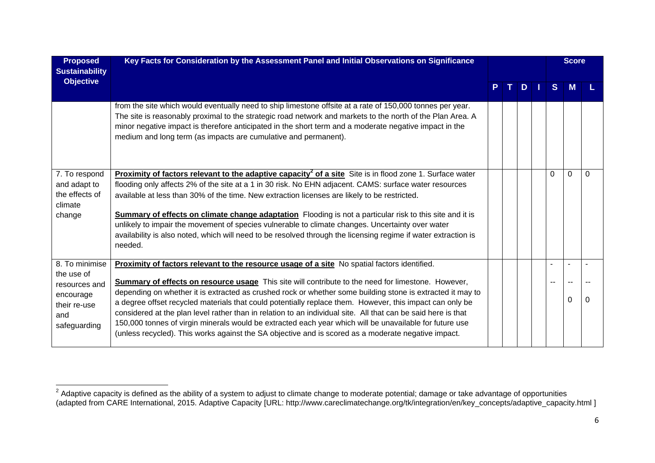| <b>Proposed</b><br><b>Sustainability</b> | Key Facts for Consideration by the Assessment Panel and Initial Observations on Significance                                                                                                                                                                                                                                                                                                         |  |   |              | <b>Score</b> |          |  |
|------------------------------------------|------------------------------------------------------------------------------------------------------------------------------------------------------------------------------------------------------------------------------------------------------------------------------------------------------------------------------------------------------------------------------------------------------|--|---|--------------|--------------|----------|--|
| <b>Objective</b>                         |                                                                                                                                                                                                                                                                                                                                                                                                      |  | D | <sub>S</sub> |              |          |  |
|                                          | from the site which would eventually need to ship limestone offsite at a rate of 150,000 tonnes per year.<br>The site is reasonably proximal to the strategic road network and markets to the north of the Plan Area. A<br>minor negative impact is therefore anticipated in the short term and a moderate negative impact in the<br>medium and long term (as impacts are cumulative and permanent). |  |   |              |              |          |  |
| 7. To respond                            | Proximity of factors relevant to the adaptive capacity <sup>2</sup> of a site Site is in flood zone 1. Surface water                                                                                                                                                                                                                                                                                 |  |   | $\Omega$     | $\Omega$     | $\Omega$ |  |
| and adapt to                             | flooding only affects 2% of the site at a 1 in 30 risk. No EHN adjacent. CAMS: surface water resources                                                                                                                                                                                                                                                                                               |  |   |              |              |          |  |
| the effects of<br>climate                | available at less than 30% of the time. New extraction licenses are likely to be restricted.                                                                                                                                                                                                                                                                                                         |  |   |              |              |          |  |
| change                                   | <b>Summary of effects on climate change adaptation</b> Flooding is not a particular risk to this site and it is                                                                                                                                                                                                                                                                                      |  |   |              |              |          |  |
|                                          | unlikely to impair the movement of species vulnerable to climate changes. Uncertainty over water                                                                                                                                                                                                                                                                                                     |  |   |              |              |          |  |
|                                          | availability is also noted, which will need to be resolved through the licensing regime if water extraction is                                                                                                                                                                                                                                                                                       |  |   |              |              |          |  |
|                                          | needed.                                                                                                                                                                                                                                                                                                                                                                                              |  |   |              |              |          |  |
| 8. To minimise                           | Proximity of factors relevant to the resource usage of a site No spatial factors identified.                                                                                                                                                                                                                                                                                                         |  |   |              |              |          |  |
| the use of                               |                                                                                                                                                                                                                                                                                                                                                                                                      |  |   |              |              |          |  |
| resources and                            | <b>Summary of effects on resource usage</b> This site will contribute to the need for limestone. However,                                                                                                                                                                                                                                                                                            |  |   |              |              |          |  |
| encourage                                | depending on whether it is extracted as crushed rock or whether some building stone is extracted it may to                                                                                                                                                                                                                                                                                           |  |   |              | 0            |          |  |
| their re-use                             | a degree offset recycled materials that could potentially replace them. However, this impact can only be                                                                                                                                                                                                                                                                                             |  |   |              |              |          |  |
| and                                      | considered at the plan level rather than in relation to an individual site. All that can be said here is that                                                                                                                                                                                                                                                                                        |  |   |              |              |          |  |
| safeguarding                             | 150,000 tonnes of virgin minerals would be extracted each year which will be unavailable for future use<br>(unless recycled). This works against the SA objective and is scored as a moderate negative impact.                                                                                                                                                                                       |  |   |              |              |          |  |
|                                          |                                                                                                                                                                                                                                                                                                                                                                                                      |  |   |              |              |          |  |

 $^2$  Adaptive capacity is defined as the ability of a system to adjust to climate change to moderate potential; damage or take advantage of opportunities (adapted from CARE International, 2015. Adaptive Capacity [URL: http://www.careclimatechange.org/tk/integration/en/key\_concepts/adaptive\_capacity.html ]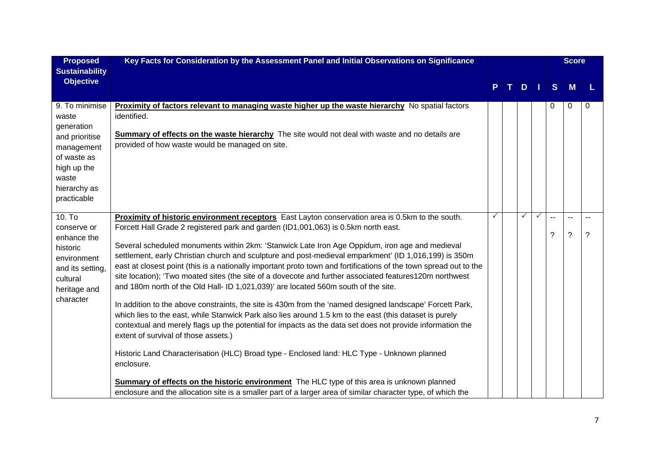| <b>Proposed</b><br><b>Sustainability</b>                                                                                                    | Key Facts for Consideration by the Assessment Panel and Initial Observations on Significance                                                                                                                                                                                                                                                                                                                                                                                                                                                                                                                                                                                                                                                                                                                                                                                                                                                                                                                                                                                                                                                                                                                                                                                                                                                                                                                                           |   |    |              |              |                   | <b>Score</b>      |         |  |  |
|---------------------------------------------------------------------------------------------------------------------------------------------|----------------------------------------------------------------------------------------------------------------------------------------------------------------------------------------------------------------------------------------------------------------------------------------------------------------------------------------------------------------------------------------------------------------------------------------------------------------------------------------------------------------------------------------------------------------------------------------------------------------------------------------------------------------------------------------------------------------------------------------------------------------------------------------------------------------------------------------------------------------------------------------------------------------------------------------------------------------------------------------------------------------------------------------------------------------------------------------------------------------------------------------------------------------------------------------------------------------------------------------------------------------------------------------------------------------------------------------------------------------------------------------------------------------------------------------|---|----|--------------|--------------|-------------------|-------------------|---------|--|--|
| <b>Objective</b>                                                                                                                            |                                                                                                                                                                                                                                                                                                                                                                                                                                                                                                                                                                                                                                                                                                                                                                                                                                                                                                                                                                                                                                                                                                                                                                                                                                                                                                                                                                                                                                        |   | T. | D            |              | S                 | M                 |         |  |  |
| 9. To minimise<br>waste<br>generation<br>and prioritise<br>management<br>of waste as<br>high up the<br>waste<br>hierarchy as<br>practicable | <b>Proximity of factors relevant to managing waste higher up the waste hierarchy</b> No spatial factors<br>identified.<br><b>Summary of effects on the waste hierarchy</b> The site would not deal with waste and no details are<br>provided of how waste would be managed on site.                                                                                                                                                                                                                                                                                                                                                                                                                                                                                                                                                                                                                                                                                                                                                                                                                                                                                                                                                                                                                                                                                                                                                    |   |    |              |              | 0                 | 0                 | 0       |  |  |
| $10.$ To<br>conserve or<br>enhance the<br>historic<br>environment<br>and its setting,<br>cultural<br>heritage and<br>character              | Proximity of historic environment receptors East Layton conservation area is 0.5km to the south.<br>Forcett Hall Grade 2 registered park and garden (ID1,001,063) is 0.5km north east.<br>Several scheduled monuments within 2km: 'Stanwick Late Iron Age Oppidum, iron age and medieval<br>settlement, early Christian church and sculpture and post-medieval emparkment' (ID 1,016,199) is 350m<br>east at closest point (this is a nationally important proto town and fortifications of the town spread out to the<br>site location); 'Two moated sites (the site of a dovecote and further associated features120m northwest<br>and 180m north of the Old Hall- ID 1,021,039)' are located 560m south of the site.<br>In addition to the above constraints, the site is 430m from the 'named designed landscape' Forcett Park,<br>which lies to the east, while Stanwick Park also lies around 1.5 km to the east (this dataset is purely<br>contextual and merely flags up the potential for impacts as the data set does not provide information the<br>extent of survival of those assets.)<br>Historic Land Characterisation (HLC) Broad type - Enclosed land: HLC Type - Unknown planned<br>enclosure.<br><b>Summary of effects on the historic environment</b> The HLC type of this area is unknown planned<br>enclosure and the allocation site is a smaller part of a larger area of similar character type, of which the | ✓ |    | $\checkmark$ | $\checkmark$ | --<br>$\tilde{?}$ | --<br>$\tilde{?}$ | --<br>? |  |  |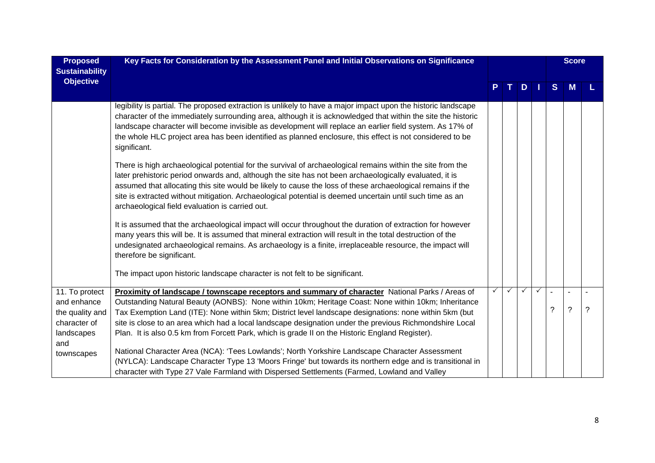| <b>Proposed</b><br><b>Sustainability</b>                                              | Key Facts for Consideration by the Assessment Panel and Initial Observations on Significance                                                                                                                                                                                                                                                                                                                                                                                                                                   |              |              |              | <b>Score</b> |                          |                          |   |
|---------------------------------------------------------------------------------------|--------------------------------------------------------------------------------------------------------------------------------------------------------------------------------------------------------------------------------------------------------------------------------------------------------------------------------------------------------------------------------------------------------------------------------------------------------------------------------------------------------------------------------|--------------|--------------|--------------|--------------|--------------------------|--------------------------|---|
| <b>Objective</b>                                                                      |                                                                                                                                                                                                                                                                                                                                                                                                                                                                                                                                |              | т            | D            |              | <sub>S</sub>             |                          |   |
|                                                                                       | legibility is partial. The proposed extraction is unlikely to have a major impact upon the historic landscape<br>character of the immediately surrounding area, although it is acknowledged that within the site the historic<br>landscape character will become invisible as development will replace an earlier field system. As 17% of<br>the whole HLC project area has been identified as planned enclosure, this effect is not considered to be<br>significant.                                                          |              |              |              |              |                          |                          |   |
|                                                                                       | There is high archaeological potential for the survival of archaeological remains within the site from the<br>later prehistoric period onwards and, although the site has not been archaeologically evaluated, it is<br>assumed that allocating this site would be likely to cause the loss of these archaeological remains if the<br>site is extracted without mitigation. Archaeological potential is deemed uncertain until such time as an<br>archaeological field evaluation is carried out.                              |              |              |              |              |                          |                          |   |
|                                                                                       | It is assumed that the archaeological impact will occur throughout the duration of extraction for however<br>many years this will be. It is assumed that mineral extraction will result in the total destruction of the<br>undesignated archaeological remains. As archaeology is a finite, irreplaceable resource, the impact will<br>therefore be significant.                                                                                                                                                               |              |              |              |              |                          |                          |   |
|                                                                                       | The impact upon historic landscape character is not felt to be significant.                                                                                                                                                                                                                                                                                                                                                                                                                                                    |              |              |              |              |                          |                          |   |
| 11. To protect<br>and enhance<br>the quality and<br>character of<br>landscapes<br>and | Proximity of landscape / townscape receptors and summary of character National Parks / Areas of<br>Outstanding Natural Beauty (AONBS): None within 10km; Heritage Coast: None within 10km; Inheritance<br>Tax Exemption Land (ITE): None within 5km; District level landscape designations: none within 5km (but<br>site is close to an area which had a local landscape designation under the previous Richmondshire Local<br>Plan. It is also 0.5 km from Forcett Park, which is grade II on the Historic England Register). | $\checkmark$ | $\checkmark$ | $\checkmark$ | $\checkmark$ | $\overline{\phantom{a}}$ | $\overline{\phantom{0}}$ | ? |
| townscapes                                                                            | National Character Area (NCA): 'Tees Lowlands'; North Yorkshire Landscape Character Assessment<br>(NYLCA): Landscape Character Type 13 'Moors Fringe' but towards its northern edge and is transitional in<br>character with Type 27 Vale Farmland with Dispersed Settlements (Farmed, Lowland and Valley                                                                                                                                                                                                                      |              |              |              |              |                          |                          |   |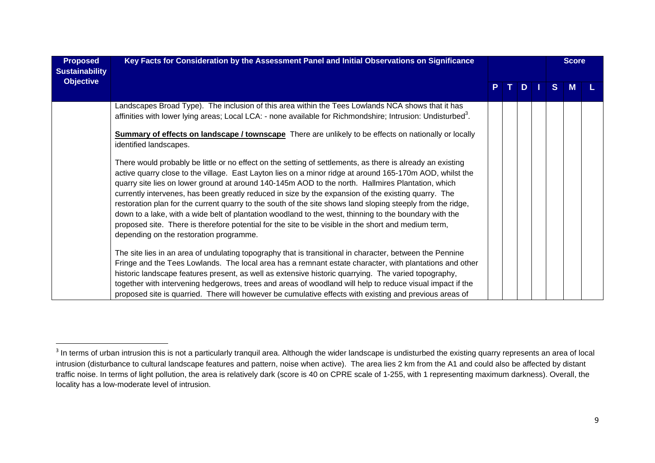| <b>Proposed</b><br><b>Sustainability</b> | Key Facts for Consideration by the Assessment Panel and Initial Observations on Significance                                                                                                                                                                                                                                                                                                                                                                                                                                                                                                                                                                                                                                                                                                                   |  |    |     | <b>Score</b> |   |  |
|------------------------------------------|----------------------------------------------------------------------------------------------------------------------------------------------------------------------------------------------------------------------------------------------------------------------------------------------------------------------------------------------------------------------------------------------------------------------------------------------------------------------------------------------------------------------------------------------------------------------------------------------------------------------------------------------------------------------------------------------------------------------------------------------------------------------------------------------------------------|--|----|-----|--------------|---|--|
| <b>Objective</b>                         |                                                                                                                                                                                                                                                                                                                                                                                                                                                                                                                                                                                                                                                                                                                                                                                                                |  | т. | $D$ | S.           | M |  |
|                                          | Landscapes Broad Type). The inclusion of this area within the Tees Lowlands NCA shows that it has<br>affinities with lower lying areas; Local LCA: - none available for Richmondshire; Intrusion: Undisturbed <sup>3</sup> .                                                                                                                                                                                                                                                                                                                                                                                                                                                                                                                                                                                   |  |    |     |              |   |  |
|                                          | <b>Summary of effects on landscape / townscape</b> There are unlikely to be effects on nationally or locally<br>identified landscapes.                                                                                                                                                                                                                                                                                                                                                                                                                                                                                                                                                                                                                                                                         |  |    |     |              |   |  |
|                                          | There would probably be little or no effect on the setting of settlements, as there is already an existing<br>active quarry close to the village. East Layton lies on a minor ridge at around 165-170m AOD, whilst the<br>quarry site lies on lower ground at around 140-145m AOD to the north. Hallmires Plantation, which<br>currently intervenes, has been greatly reduced in size by the expansion of the existing quarry. The<br>restoration plan for the current quarry to the south of the site shows land sloping steeply from the ridge,<br>down to a lake, with a wide belt of plantation woodland to the west, thinning to the boundary with the<br>proposed site. There is therefore potential for the site to be visible in the short and medium term,<br>depending on the restoration programme. |  |    |     |              |   |  |
|                                          | The site lies in an area of undulating topography that is transitional in character, between the Pennine<br>Fringe and the Tees Lowlands. The local area has a remnant estate character, with plantations and other<br>historic landscape features present, as well as extensive historic quarrying. The varied topography,<br>together with intervening hedgerows, trees and areas of woodland will help to reduce visual impact if the<br>proposed site is quarried. There will however be cumulative effects with existing and previous areas of                                                                                                                                                                                                                                                            |  |    |     |              |   |  |

 $3$  In terms of urban intrusion this is not a particularly tranquil area. Although the wider landscape is undisturbed the existing quarry represents an area of local intrusion (disturbance to cultural landscape features and pattern, noise when active). The area lies 2 km from the A1 and could also be affected by distant traffic noise. In terms of light pollution, the area is relatively dark (score is 40 on CPRE scale of 1-255, with 1 representing maximum darkness). Overall, the locality has a low-moderate level of intrusion.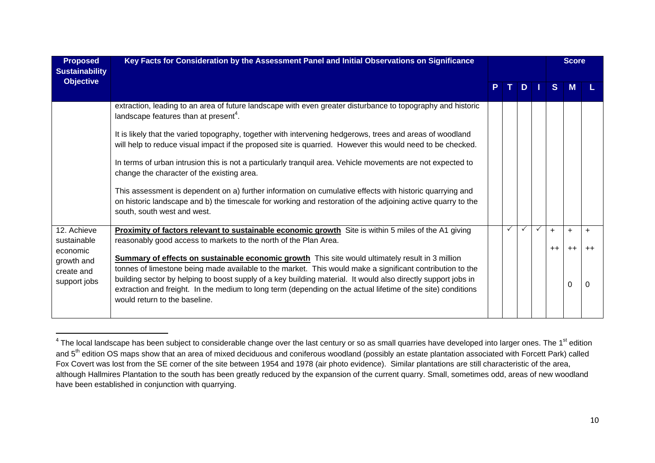| <b>Proposed</b><br><b>Sustainability</b> | Key Facts for Consideration by the Assessment Panel and Initial Observations on Significance                                                                                                                                                                                                                                                                                |    |              |              |      | <b>Score</b> |       |
|------------------------------------------|-----------------------------------------------------------------------------------------------------------------------------------------------------------------------------------------------------------------------------------------------------------------------------------------------------------------------------------------------------------------------------|----|--------------|--------------|------|--------------|-------|
| <b>Objective</b>                         |                                                                                                                                                                                                                                                                                                                                                                             | т. | D            |              | S.   | M            |       |
|                                          | extraction, leading to an area of future landscape with even greater disturbance to topography and historic<br>landscape features than at present <sup>4</sup> .                                                                                                                                                                                                            |    |              |              |      |              |       |
|                                          | It is likely that the varied topography, together with intervening hedgerows, trees and areas of woodland<br>will help to reduce visual impact if the proposed site is quarried. However this would need to be checked.                                                                                                                                                     |    |              |              |      |              |       |
|                                          | In terms of urban intrusion this is not a particularly tranquil area. Vehicle movements are not expected to<br>change the character of the existing area.                                                                                                                                                                                                                   |    |              |              |      |              |       |
|                                          | This assessment is dependent on a) further information on cumulative effects with historic quarrying and<br>on historic landscape and b) the timescale for working and restoration of the adjoining active quarry to the<br>south, south west and west.                                                                                                                     |    |              |              |      |              |       |
| 12. Achieve                              | <b>Proximity of factors relevant to sustainable economic growth</b> Site is within 5 miles of the A1 giving                                                                                                                                                                                                                                                                 |    | $\checkmark$ | $\checkmark$ | $+$  | $\ddot{}$    | $\pm$ |
| sustainable<br>economic<br>growth and    | reasonably good access to markets to the north of the Plan Area.<br>Summary of effects on sustainable economic growth This site would ultimately result in 3 million                                                                                                                                                                                                        |    |              |              | $++$ | $++$         |       |
| create and<br>support jobs               | tonnes of limestone being made available to the market. This would make a significant contribution to the<br>building sector by helping to boost supply of a key building material. It would also directly support jobs in<br>extraction and freight. In the medium to long term (depending on the actual lifetime of the site) conditions<br>would return to the baseline. |    |              |              |      | 0            |       |

 $^4$  The local landscape has been subject to considerable change over the last century or so as small quarries have developed into larger ones. The 1<sup>st</sup> edition and 5<sup>th</sup> edition OS maps show that an area of mixed deciduous and coniferous woodland (possibly an estate plantation associated with Forcett Park) called Fox Covert was lost from the SE corner of the site between 1954 and 1978 (air photo evidence). Similar plantations are still characteristic of the area, although Hallmires Plantation to the south has been greatly reduced by the expansion of the current quarry. Small, sometimes odd, areas of new woodland have been established in conjunction with quarrying.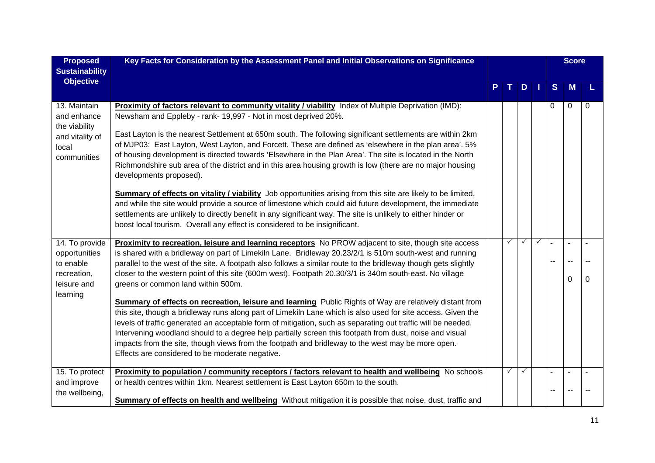| <b>Proposed</b>                                                                         | Key Facts for Consideration by the Assessment Panel and Initial Observations on Significance                                                                                                                                                                                                                                                                                                                                                                                                                                                                                                                                                       |              |              |              |   | <b>Score</b> |   |  |
|-----------------------------------------------------------------------------------------|----------------------------------------------------------------------------------------------------------------------------------------------------------------------------------------------------------------------------------------------------------------------------------------------------------------------------------------------------------------------------------------------------------------------------------------------------------------------------------------------------------------------------------------------------------------------------------------------------------------------------------------------------|--------------|--------------|--------------|---|--------------|---|--|
| <b>Sustainability</b>                                                                   |                                                                                                                                                                                                                                                                                                                                                                                                                                                                                                                                                                                                                                                    |              |              |              |   |              |   |  |
| <b>Objective</b>                                                                        |                                                                                                                                                                                                                                                                                                                                                                                                                                                                                                                                                                                                                                                    |              | D            |              | S | M            |   |  |
| 13. Maintain<br>and enhance<br>the viability<br>and vitality of<br>local<br>communities | Proximity of factors relevant to community vitality / viability Index of Multiple Deprivation (IMD):<br>Newsham and Eppleby - rank- 19,997 - Not in most deprived 20%.<br>East Layton is the nearest Settlement at 650m south. The following significant settlements are within 2km<br>of MJP03: East Layton, West Layton, and Forcett. These are defined as 'elsewhere in the plan area'. 5%<br>of housing development is directed towards 'Elsewhere in the Plan Area'. The site is located in the North<br>Richmondshire sub area of the district and in this area housing growth is low (there are no major housing<br>developments proposed). |              |              |              | 0 | $\mathbf 0$  | 0 |  |
|                                                                                         | <b>Summary of effects on vitality / viability</b> Job opportunities arising from this site are likely to be limited,<br>and while the site would provide a source of limestone which could aid future development, the immediate<br>settlements are unlikely to directly benefit in any significant way. The site is unlikely to either hinder or<br>boost local tourism. Overall any effect is considered to be insignificant.                                                                                                                                                                                                                    |              |              |              |   |              |   |  |
| 14. To provide                                                                          | Proximity to recreation, leisure and learning receptors No PROW adjacent to site, though site access                                                                                                                                                                                                                                                                                                                                                                                                                                                                                                                                               | $\checkmark$ | $\checkmark$ | $\checkmark$ |   |              |   |  |
| opportunities                                                                           | is shared with a bridleway on part of Limekiln Lane. Bridleway 20.23/2/1 is 510m south-west and running                                                                                                                                                                                                                                                                                                                                                                                                                                                                                                                                            |              |              |              |   |              |   |  |
| to enable<br>recreation,                                                                | parallel to the west of the site. A footpath also follows a similar route to the bridleway though gets slightly<br>closer to the western point of this site (600m west). Footpath 20.30/3/1 is 340m south-east. No village                                                                                                                                                                                                                                                                                                                                                                                                                         |              |              |              |   |              |   |  |
| leisure and                                                                             | greens or common land within 500m.                                                                                                                                                                                                                                                                                                                                                                                                                                                                                                                                                                                                                 |              |              |              |   | $\Omega$     |   |  |
| learning                                                                                |                                                                                                                                                                                                                                                                                                                                                                                                                                                                                                                                                                                                                                                    |              |              |              |   |              |   |  |
|                                                                                         | Summary of effects on recreation, leisure and learning Public Rights of Way are relatively distant from<br>this site, though a bridleway runs along part of Limekiln Lane which is also used for site access. Given the                                                                                                                                                                                                                                                                                                                                                                                                                            |              |              |              |   |              |   |  |
|                                                                                         | levels of traffic generated an acceptable form of mitigation, such as separating out traffic will be needed.                                                                                                                                                                                                                                                                                                                                                                                                                                                                                                                                       |              |              |              |   |              |   |  |
|                                                                                         | Intervening woodland should to a degree help partially screen this footpath from dust, noise and visual                                                                                                                                                                                                                                                                                                                                                                                                                                                                                                                                            |              |              |              |   |              |   |  |
|                                                                                         | impacts from the site, though views from the footpath and bridleway to the west may be more open.                                                                                                                                                                                                                                                                                                                                                                                                                                                                                                                                                  |              |              |              |   |              |   |  |
|                                                                                         | Effects are considered to be moderate negative.                                                                                                                                                                                                                                                                                                                                                                                                                                                                                                                                                                                                    |              |              |              |   |              |   |  |
| 15. To protect                                                                          | Proximity to population / community receptors / factors relevant to health and wellbeing No schools                                                                                                                                                                                                                                                                                                                                                                                                                                                                                                                                                | $\checkmark$ | $\checkmark$ |              |   |              |   |  |
| and improve                                                                             | or health centres within 1km. Nearest settlement is East Layton 650m to the south.                                                                                                                                                                                                                                                                                                                                                                                                                                                                                                                                                                 |              |              |              |   |              |   |  |
| the wellbeing,                                                                          | Summary of effects on health and wellbeing Without mitigation it is possible that noise, dust, traffic and                                                                                                                                                                                                                                                                                                                                                                                                                                                                                                                                         |              |              |              |   |              |   |  |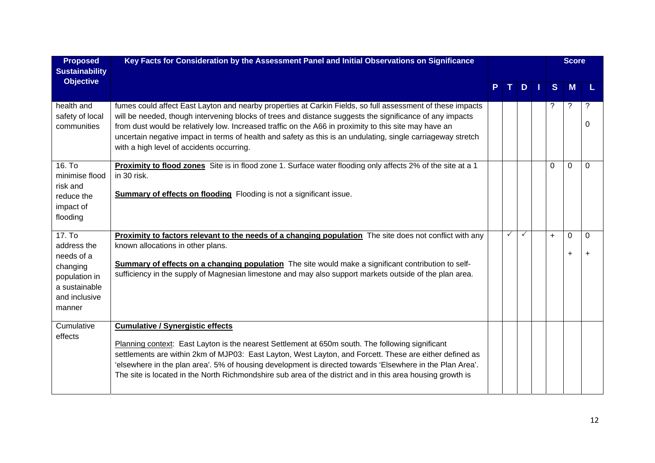| <b>Proposed</b><br><b>Sustainability</b>                                                                     | Key Facts for Consideration by the Assessment Panel and Initial Observations on Significance                                                                                                                                                                                                                                                                                                                                                                                                 |              |              |              | <b>Score</b>   |              |
|--------------------------------------------------------------------------------------------------------------|----------------------------------------------------------------------------------------------------------------------------------------------------------------------------------------------------------------------------------------------------------------------------------------------------------------------------------------------------------------------------------------------------------------------------------------------------------------------------------------------|--------------|--------------|--------------|----------------|--------------|
| <b>Objective</b>                                                                                             |                                                                                                                                                                                                                                                                                                                                                                                                                                                                                              | T I          | D            | S.           | M              |              |
| health and<br>safety of local<br>communities                                                                 | fumes could affect East Layton and nearby properties at Carkin Fields, so full assessment of these impacts<br>will be needed, though intervening blocks of trees and distance suggests the significance of any impacts<br>from dust would be relatively low. Increased traffic on the A66 in proximity to this site may have an<br>uncertain negative impact in terms of health and safety as this is an undulating, single carriageway stretch<br>with a high level of accidents occurring. |              |              |              | ?              | ?<br>0       |
| 16. T <sub>o</sub><br>minimise flood<br>risk and<br>reduce the<br>impact of<br>flooding                      | Proximity to flood zones Site is in flood zone 1. Surface water flooding only affects 2% of the site at a 1<br>in 30 risk.<br><b>Summary of effects on flooding</b> Flooding is not a significant issue.                                                                                                                                                                                                                                                                                     |              |              | $\mathbf{0}$ | $\Omega$       | $\Omega$     |
| 17. To<br>address the<br>needs of a<br>changing<br>population in<br>a sustainable<br>and inclusive<br>manner | Proximity to factors relevant to the needs of a changing population The site does not conflict with any<br>known allocations in other plans.<br>Summary of effects on a changing population The site would make a significant contribution to self-<br>sufficiency in the supply of Magnesian limestone and may also support markets outside of the plan area.                                                                                                                               | $\checkmark$ | $\checkmark$ | $\ddot{}$    | 0<br>$\ddot{}$ | $\mathbf{0}$ |
| Cumulative<br>effects                                                                                        | <b>Cumulative / Synergistic effects</b><br>Planning context: East Layton is the nearest Settlement at 650m south. The following significant<br>settlements are within 2km of MJP03: East Layton, West Layton, and Forcett. These are either defined as<br>'elsewhere in the plan area'. 5% of housing development is directed towards 'Elsewhere in the Plan Area'.<br>The site is located in the North Richmondshire sub area of the district and in this area housing growth is            |              |              |              |                |              |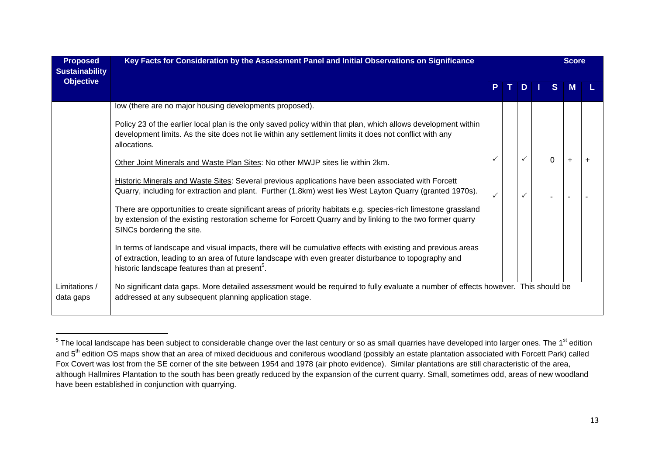| <b>Proposed</b><br><b>Sustainability</b> | Key Facts for Consideration by the Assessment Panel and Initial Observations on Significance                                                                                                                                                                                       |              |    |          | <b>Score</b> |  |  |
|------------------------------------------|------------------------------------------------------------------------------------------------------------------------------------------------------------------------------------------------------------------------------------------------------------------------------------|--------------|----|----------|--------------|--|--|
| <b>Objective</b>                         |                                                                                                                                                                                                                                                                                    |              | D. | S.       | M            |  |  |
|                                          | low (there are no major housing developments proposed).                                                                                                                                                                                                                            |              |    |          |              |  |  |
|                                          | Policy 23 of the earlier local plan is the only saved policy within that plan, which allows development within<br>development limits. As the site does not lie within any settlement limits it does not conflict with any<br>allocations.                                          |              |    |          |              |  |  |
|                                          | Other Joint Minerals and Waste Plan Sites: No other MWJP sites lie within 2km.                                                                                                                                                                                                     |              |    | $\Omega$ | $\ddot{}$    |  |  |
|                                          | <b>Historic Minerals and Waste Sites: Several previous applications have been associated with Forcett</b>                                                                                                                                                                          |              |    |          |              |  |  |
|                                          | Quarry, including for extraction and plant. Further (1.8km) west lies West Layton Quarry (granted 1970s).                                                                                                                                                                          | $\checkmark$ | ✓  |          |              |  |  |
|                                          | There are opportunities to create significant areas of priority habitats e.g. species-rich limestone grassland<br>by extension of the existing restoration scheme for Forcett Quarry and by linking to the two former quarry<br>SINCs bordering the site.                          |              |    |          |              |  |  |
|                                          | In terms of landscape and visual impacts, there will be cumulative effects with existing and previous areas<br>of extraction, leading to an area of future landscape with even greater disturbance to topography and<br>historic landscape features than at present <sup>5</sup> . |              |    |          |              |  |  |
| Limitations /                            | No significant data gaps. More detailed assessment would be required to fully evaluate a number of effects however. This should be                                                                                                                                                 |              |    |          |              |  |  |
| data gaps                                | addressed at any subsequent planning application stage.                                                                                                                                                                                                                            |              |    |          |              |  |  |

 $^5$  The local landscape has been subject to considerable change over the last century or so as small quarries have developed into larger ones. The 1<sup>st</sup> edition and 5<sup>th</sup> edition OS maps show that an area of mixed deciduous and coniferous woodland (possibly an estate plantation associated with Forcett Park) called Fox Covert was lost from the SE corner of the site between 1954 and 1978 (air photo evidence). Similar plantations are still characteristic of the area, although Hallmires Plantation to the south has been greatly reduced by the expansion of the current quarry. Small, sometimes odd, areas of new woodland have been established in conjunction with quarrying.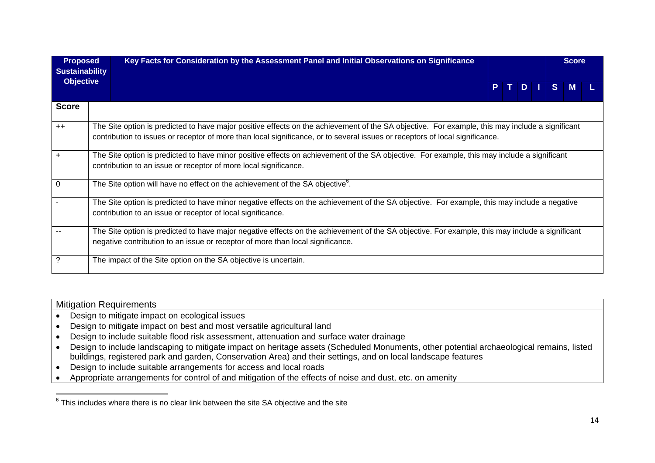| <b>Proposed</b><br><b>Sustainability</b> | Key Facts for Consideration by the Assessment Panel and Initial Observations on Significance                                                                                                                                                                                    |  |  |  | <b>Score</b> |       |   |  |  |  |
|------------------------------------------|---------------------------------------------------------------------------------------------------------------------------------------------------------------------------------------------------------------------------------------------------------------------------------|--|--|--|--------------|-------|---|--|--|--|
| <b>Objective</b>                         |                                                                                                                                                                                                                                                                                 |  |  |  |              | PTDIS | M |  |  |  |
| <b>Score</b>                             |                                                                                                                                                                                                                                                                                 |  |  |  |              |       |   |  |  |  |
| $++$                                     | The Site option is predicted to have major positive effects on the achievement of the SA objective. For example, this may include a significant<br>contribution to issues or receptor of more than local significance, or to several issues or receptors of local significance. |  |  |  |              |       |   |  |  |  |
| $\ddot{}$                                | The Site option is predicted to have minor positive effects on achievement of the SA objective. For example, this may include a significant<br>contribution to an issue or receptor of more local significance.                                                                 |  |  |  |              |       |   |  |  |  |
| 0                                        | The Site option will have no effect on the achievement of the SA objective <sup>6</sup> .                                                                                                                                                                                       |  |  |  |              |       |   |  |  |  |
|                                          | The Site option is predicted to have minor negative effects on the achievement of the SA objective. For example, this may include a negative<br>contribution to an issue or receptor of local significance.                                                                     |  |  |  |              |       |   |  |  |  |
|                                          | The Site option is predicted to have major negative effects on the achievement of the SA objective. For example, this may include a significant<br>negative contribution to an issue or receptor of more than local significance.                                               |  |  |  |              |       |   |  |  |  |
| ?                                        | The impact of the Site option on the SA objective is uncertain.                                                                                                                                                                                                                 |  |  |  |              |       |   |  |  |  |

| <b>Mitigation Requirements</b>                                                                                                           |
|------------------------------------------------------------------------------------------------------------------------------------------|
| Design to mitigate impact on ecological issues                                                                                           |
| Design to mitigate impact on best and most versatile agricultural land                                                                   |
| Design to include suitable flood risk assessment, attenuation and surface water drainage                                                 |
| Design to include landscaping to mitigate impact on heritage assets (Scheduled Monuments, other potential archaeological remains, listed |
| buildings, registered park and garden, Conservation Area) and their settings, and on local landscape features                            |

- Design to include suitable arrangements for access and local roads
- Appropriate arrangements for control of and mitigation of the effects of noise and dust, etc. on amenity

 $6$  This includes where there is no clear link between the site SA objective and the site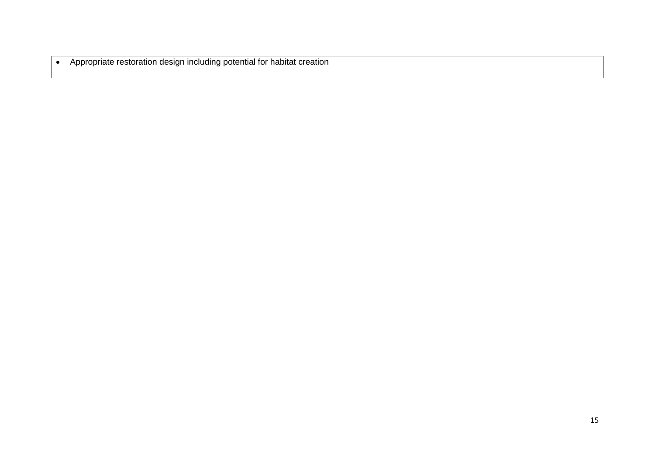Appropriate restoration design including potential for habitat creation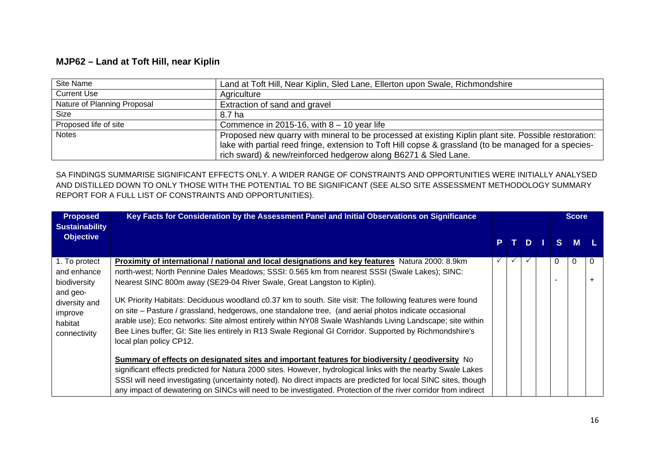### **MJP62 – Land at Toft Hill, near Kiplin**

| Site Name                   | Land at Toft Hill, Near Kiplin, Sled Lane, Ellerton upon Swale, Richmondshire                         |
|-----------------------------|-------------------------------------------------------------------------------------------------------|
| <b>Current Use</b>          | Agriculture                                                                                           |
| Nature of Planning Proposal | Extraction of sand and gravel                                                                         |
| Size                        | 8.7 ha                                                                                                |
| Proposed life of site       | Commence in 2015-16, with $8 - 10$ year life                                                          |
| <b>Notes</b>                | Proposed new quarry with mineral to be processed at existing Kiplin plant site. Possible restoration: |
|                             | lake with partial reed fringe, extension to Toft Hill copse & grassland (to be managed for a species- |
|                             | rich sward) & new/reinforced hedgerow along B6271 & Sled Lane.                                        |

| <b>Proposed</b><br><b>Sustainability</b>                                                                        | Key Facts for Consideration by the Assessment Panel and Initial Observations on Significance                                                                                                                                                                                                                                                                                                                                                                                                                                                                                                                                                                                                                                                            |    |  |  |  |    | <b>Score</b> |   |
|-----------------------------------------------------------------------------------------------------------------|---------------------------------------------------------------------------------------------------------------------------------------------------------------------------------------------------------------------------------------------------------------------------------------------------------------------------------------------------------------------------------------------------------------------------------------------------------------------------------------------------------------------------------------------------------------------------------------------------------------------------------------------------------------------------------------------------------------------------------------------------------|----|--|--|--|----|--------------|---|
| <b>Objective</b>                                                                                                |                                                                                                                                                                                                                                                                                                                                                                                                                                                                                                                                                                                                                                                                                                                                                         | P. |  |  |  | S. | M            |   |
| 1. To protect<br>and enhance<br>biodiversity<br>and geo-<br>diversity and<br>improve<br>habitat<br>connectivity | Proximity of international / national and local designations and key features Natura 2000: 8.9km<br>north-west; North Pennine Dales Meadows; SSSI: 0.565 km from nearest SSSI (Swale Lakes); SINC:<br>Nearest SINC 800m away (SE29-04 River Swale, Great Langston to Kiplin).<br>UK Priority Habitats: Deciduous woodland c0.37 km to south. Site visit: The following features were found<br>on site - Pasture / grassland, hedgerows, one standalone tree, (and aerial photos indicate occasional<br>arable use); Eco networks: Site almost entirely within NY08 Swale Washlands Living Landscape; site within<br>Bee Lines buffer; GI: Site lies entirely in R13 Swale Regional GI Corridor. Supported by Richmondshire's<br>local plan policy CP12. | ✓  |  |  |  | 0  | $\Omega$     | 0 |
|                                                                                                                 | Summary of effects on designated sites and important features for biodiversity / geodiversity No<br>significant effects predicted for Natura 2000 sites. However, hydrological links with the nearby Swale Lakes<br>SSSI will need investigating (uncertainty noted). No direct impacts are predicted for local SINC sites, though<br>any impact of dewatering on SINCs will need to be investigated. Protection of the river corridor from indirect                                                                                                                                                                                                                                                                                                    |    |  |  |  |    |              |   |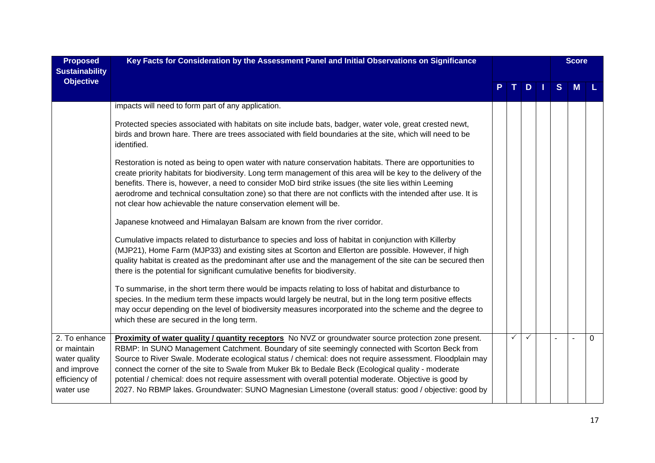| <b>Proposed</b><br><b>Sustainability</b>                                                   | Key Facts for Consideration by the Assessment Panel and Initial Observations on Significance                                                                                                                                                                                                                                                                                                                                                                                                                                                                                                                                                     |  |   |    |  |              | <b>Score</b> |          |
|--------------------------------------------------------------------------------------------|--------------------------------------------------------------------------------------------------------------------------------------------------------------------------------------------------------------------------------------------------------------------------------------------------------------------------------------------------------------------------------------------------------------------------------------------------------------------------------------------------------------------------------------------------------------------------------------------------------------------------------------------------|--|---|----|--|--------------|--------------|----------|
| <b>Objective</b>                                                                           |                                                                                                                                                                                                                                                                                                                                                                                                                                                                                                                                                                                                                                                  |  |   | D. |  | <sub>S</sub> | M            |          |
|                                                                                            | impacts will need to form part of any application.                                                                                                                                                                                                                                                                                                                                                                                                                                                                                                                                                                                               |  |   |    |  |              |              |          |
|                                                                                            | Protected species associated with habitats on site include bats, badger, water vole, great crested newt,<br>birds and brown hare. There are trees associated with field boundaries at the site, which will need to be<br>identified.                                                                                                                                                                                                                                                                                                                                                                                                             |  |   |    |  |              |              |          |
|                                                                                            | Restoration is noted as being to open water with nature conservation habitats. There are opportunities to<br>create priority habitats for biodiversity. Long term management of this area will be key to the delivery of the<br>benefits. There is, however, a need to consider MoD bird strike issues (the site lies within Leeming<br>aerodrome and technical consultation zone) so that there are not conflicts with the intended after use. It is<br>not clear how achievable the nature conservation element will be.                                                                                                                       |  |   |    |  |              |              |          |
|                                                                                            | Japanese knotweed and Himalayan Balsam are known from the river corridor.                                                                                                                                                                                                                                                                                                                                                                                                                                                                                                                                                                        |  |   |    |  |              |              |          |
|                                                                                            | Cumulative impacts related to disturbance to species and loss of habitat in conjunction with Killerby<br>(MJP21), Home Farm (MJP33) and existing sites at Scorton and Ellerton are possible. However, if high<br>quality habitat is created as the predominant after use and the management of the site can be secured then<br>there is the potential for significant cumulative benefits for biodiversity.                                                                                                                                                                                                                                      |  |   |    |  |              |              |          |
|                                                                                            | To summarise, in the short term there would be impacts relating to loss of habitat and disturbance to<br>species. In the medium term these impacts would largely be neutral, but in the long term positive effects<br>may occur depending on the level of biodiversity measures incorporated into the scheme and the degree to<br>which these are secured in the long term.                                                                                                                                                                                                                                                                      |  |   |    |  |              |              |          |
| 2. To enhance<br>or maintain<br>water quality<br>and improve<br>efficiency of<br>water use | Proximity of water quality / quantity receptors No NVZ or groundwater source protection zone present.<br>RBMP: In SUNO Management Catchment. Boundary of site seemingly connected with Scorton Beck from<br>Source to River Swale. Moderate ecological status / chemical: does not require assessment. Floodplain may<br>connect the corner of the site to Swale from Muker Bk to Bedale Beck (Ecological quality - moderate<br>potential / chemical: does not require assessment with overall potential moderate. Objective is good by<br>2027. No RBMP lakes. Groundwater: SUNO Magnesian Limestone (overall status: good / objective: good by |  | ✓ |    |  |              |              | $\Omega$ |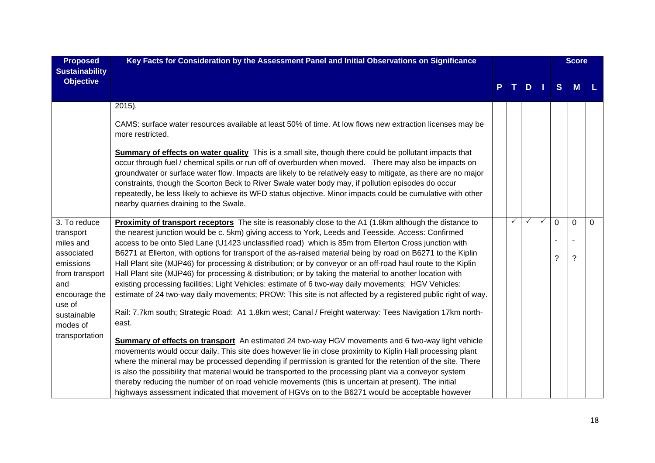| Key Facts for Consideration by the Assessment Panel and Initial Observations on Significance                                                                                                                                                                                                                                                                                                                                                                                                                                                                                                       |                                                                                                                                                                                                                                                                                                                                                                                                                                                                                                                                                                                                                                                                                                                                                                                                                                                                        |   |   |              |             |                |                            |
|----------------------------------------------------------------------------------------------------------------------------------------------------------------------------------------------------------------------------------------------------------------------------------------------------------------------------------------------------------------------------------------------------------------------------------------------------------------------------------------------------------------------------------------------------------------------------------------------------|------------------------------------------------------------------------------------------------------------------------------------------------------------------------------------------------------------------------------------------------------------------------------------------------------------------------------------------------------------------------------------------------------------------------------------------------------------------------------------------------------------------------------------------------------------------------------------------------------------------------------------------------------------------------------------------------------------------------------------------------------------------------------------------------------------------------------------------------------------------------|---|---|--------------|-------------|----------------|----------------------------|
|                                                                                                                                                                                                                                                                                                                                                                                                                                                                                                                                                                                                    |                                                                                                                                                                                                                                                                                                                                                                                                                                                                                                                                                                                                                                                                                                                                                                                                                                                                        |   | D |              | S           | M              |                            |
| $2015$ ).                                                                                                                                                                                                                                                                                                                                                                                                                                                                                                                                                                                          |                                                                                                                                                                                                                                                                                                                                                                                                                                                                                                                                                                                                                                                                                                                                                                                                                                                                        |   |   |              |             |                |                            |
| CAMS: surface water resources available at least 50% of time. At low flows new extraction licenses may be<br>more restricted.                                                                                                                                                                                                                                                                                                                                                                                                                                                                      |                                                                                                                                                                                                                                                                                                                                                                                                                                                                                                                                                                                                                                                                                                                                                                                                                                                                        |   |   |              |             |                |                            |
| Summary of effects on water quality This is a small site, though there could be pollutant impacts that<br>occur through fuel / chemical spills or run off of overburden when moved. There may also be impacts on<br>groundwater or surface water flow. Impacts are likely to be relatively easy to mitigate, as there are no major<br>constraints, though the Scorton Beck to River Swale water body may, if pollution episodes do occur<br>repeatedly, be less likely to achieve its WFD status objective. Minor impacts could be cumulative with other<br>nearby quarries draining to the Swale. |                                                                                                                                                                                                                                                                                                                                                                                                                                                                                                                                                                                                                                                                                                                                                                                                                                                                        |   |   |              |             |                |                            |
| Proximity of transport receptors The site is reasonably close to the A1 (1.8km although the distance to                                                                                                                                                                                                                                                                                                                                                                                                                                                                                            |                                                                                                                                                                                                                                                                                                                                                                                                                                                                                                                                                                                                                                                                                                                                                                                                                                                                        | ✓ | ✓ | $\checkmark$ | $\mathbf 0$ | $\overline{0}$ | $\mathbf 0$                |
|                                                                                                                                                                                                                                                                                                                                                                                                                                                                                                                                                                                                    |                                                                                                                                                                                                                                                                                                                                                                                                                                                                                                                                                                                                                                                                                                                                                                                                                                                                        |   |   |              |             |                |                            |
| B6271 at Ellerton, with options for transport of the as-raised material being by road on B6271 to the Kiplin                                                                                                                                                                                                                                                                                                                                                                                                                                                                                       |                                                                                                                                                                                                                                                                                                                                                                                                                                                                                                                                                                                                                                                                                                                                                                                                                                                                        |   |   |              |             |                |                            |
| Hall Plant site (MJP46) for processing & distribution; or by conveyor or an off-road haul route to the Kiplin                                                                                                                                                                                                                                                                                                                                                                                                                                                                                      |                                                                                                                                                                                                                                                                                                                                                                                                                                                                                                                                                                                                                                                                                                                                                                                                                                                                        |   |   |              |             |                |                            |
|                                                                                                                                                                                                                                                                                                                                                                                                                                                                                                                                                                                                    |                                                                                                                                                                                                                                                                                                                                                                                                                                                                                                                                                                                                                                                                                                                                                                                                                                                                        |   |   |              |             |                |                            |
|                                                                                                                                                                                                                                                                                                                                                                                                                                                                                                                                                                                                    |                                                                                                                                                                                                                                                                                                                                                                                                                                                                                                                                                                                                                                                                                                                                                                                                                                                                        |   |   |              |             |                |                            |
|                                                                                                                                                                                                                                                                                                                                                                                                                                                                                                                                                                                                    |                                                                                                                                                                                                                                                                                                                                                                                                                                                                                                                                                                                                                                                                                                                                                                                                                                                                        |   |   |              |             |                |                            |
| Rail: 7.7km south; Strategic Road: A1 1.8km west; Canal / Freight waterway: Tees Navigation 17km north-<br>east.                                                                                                                                                                                                                                                                                                                                                                                                                                                                                   |                                                                                                                                                                                                                                                                                                                                                                                                                                                                                                                                                                                                                                                                                                                                                                                                                                                                        |   |   |              |             |                |                            |
| Summary of effects on transport An estimated 24 two-way HGV movements and 6 two-way light vehicle                                                                                                                                                                                                                                                                                                                                                                                                                                                                                                  |                                                                                                                                                                                                                                                                                                                                                                                                                                                                                                                                                                                                                                                                                                                                                                                                                                                                        |   |   |              |             |                |                            |
| movements would occur daily. This site does however lie in close proximity to Kiplin Hall processing plant                                                                                                                                                                                                                                                                                                                                                                                                                                                                                         |                                                                                                                                                                                                                                                                                                                                                                                                                                                                                                                                                                                                                                                                                                                                                                                                                                                                        |   |   |              |             |                |                            |
| where the mineral may be processed depending if permission is granted for the retention of the site. There                                                                                                                                                                                                                                                                                                                                                                                                                                                                                         |                                                                                                                                                                                                                                                                                                                                                                                                                                                                                                                                                                                                                                                                                                                                                                                                                                                                        |   |   |              |             |                |                            |
|                                                                                                                                                                                                                                                                                                                                                                                                                                                                                                                                                                                                    |                                                                                                                                                                                                                                                                                                                                                                                                                                                                                                                                                                                                                                                                                                                                                                                                                                                                        |   |   |              |             |                |                            |
|                                                                                                                                                                                                                                                                                                                                                                                                                                                                                                                                                                                                    |                                                                                                                                                                                                                                                                                                                                                                                                                                                                                                                                                                                                                                                                                                                                                                                                                                                                        |   |   |              |             |                |                            |
|                                                                                                                                                                                                                                                                                                                                                                                                                                                                                                                                                                                                    | the nearest junction would be c. 5km) giving access to York, Leeds and Teesside. Access: Confirmed<br>access to be onto Sled Lane (U1423 unclassified road) which is 85m from Ellerton Cross junction with<br>Hall Plant site (MJP46) for processing & distribution; or by taking the material to another location with<br>existing processing facilities; Light Vehicles: estimate of 6 two-way daily movements; HGV Vehicles:<br>estimate of 24 two-way daily movements; PROW: This site is not affected by a registered public right of way.<br>is also the possibility that material would be transported to the processing plant via a conveyor system<br>thereby reducing the number of on road vehicle movements (this is uncertain at present). The initial<br>highways assessment indicated that movement of HGVs on to the B6271 would be acceptable however |   |   |              |             | ?              | <b>Score</b><br>$\ddot{?}$ |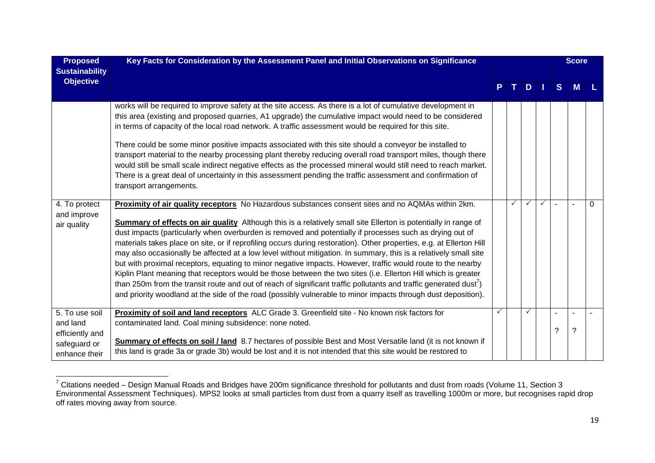| <b>Proposed</b><br><b>Sustainability</b>                                       | Key Facts for Consideration by the Assessment Panel and Initial Observations on Significance                                                                                                                                                                                                                                                                                                                                                                                                                                                                                                                                                                                                                                                                                                                                                                                                                                                                                                                                                                         |              |      |              |              |                | <b>Score</b> |          |
|--------------------------------------------------------------------------------|----------------------------------------------------------------------------------------------------------------------------------------------------------------------------------------------------------------------------------------------------------------------------------------------------------------------------------------------------------------------------------------------------------------------------------------------------------------------------------------------------------------------------------------------------------------------------------------------------------------------------------------------------------------------------------------------------------------------------------------------------------------------------------------------------------------------------------------------------------------------------------------------------------------------------------------------------------------------------------------------------------------------------------------------------------------------|--------------|------|--------------|--------------|----------------|--------------|----------|
| <b>Objective</b>                                                               |                                                                                                                                                                                                                                                                                                                                                                                                                                                                                                                                                                                                                                                                                                                                                                                                                                                                                                                                                                                                                                                                      |              | PTDI |              |              | S              | M            |          |
|                                                                                | works will be required to improve safety at the site access. As there is a lot of cumulative development in<br>this area (existing and proposed quarries, A1 upgrade) the cumulative impact would need to be considered<br>in terms of capacity of the local road network. A traffic assessment would be required for this site.<br>There could be some minor positive impacts associated with this site should a conveyor be installed to<br>transport material to the nearby processing plant thereby reducing overall road transport miles, though there<br>would still be small scale indirect negative effects as the processed mineral would still need to reach market.<br>There is a great deal of uncertainty in this assessment pending the traffic assessment and confirmation of<br>transport arrangements.                                                                                                                                                                                                                                              |              |      |              |              |                |              |          |
| 4. To protect<br>and improve<br>air quality                                    | Proximity of air quality receptors No Hazardous substances consent sites and no AQMAs within 2km.<br><b>Summary of effects on air quality</b> Although this is a relatively small site Ellerton is potentially in range of<br>dust impacts (particularly when overburden is removed and potentially if processes such as drying out of<br>materials takes place on site, or if reprofiling occurs during restoration). Other properties, e.g. at Ellerton Hill<br>may also occasionally be affected at a low level without mitigation. In summary, this is a relatively small site<br>but with proximal receptors, equating to minor negative impacts. However, traffic would route to the nearby<br>Kiplin Plant meaning that receptors would be those between the two sites (i.e. Ellerton Hill which is greater<br>than 250m from the transit route and out of reach of significant traffic pollutants and traffic generated dust <sup>7</sup> )<br>and priority woodland at the side of the road (possibly vulnerable to minor impacts through dust deposition). |              | ✓    | $\checkmark$ | $\checkmark$ | $\overline{a}$ |              | $\Omega$ |
| 5. To use soil<br>and land<br>efficiently and<br>safeguard or<br>enhance their | Proximity of soil and land receptors ALC Grade 3. Greenfield site - No known risk factors for<br>contaminated land. Coal mining subsidence: none noted.<br>Summary of effects on soil / land 8.7 hectares of possible Best and Most Versatile land (it is not known if<br>this land is grade 3a or grade 3b) would be lost and it is not intended that this site would be restored to                                                                                                                                                                                                                                                                                                                                                                                                                                                                                                                                                                                                                                                                                | $\checkmark$ |      | $\checkmark$ |              | $\tilde{?}$    | ?            |          |

 $^7$  Citations needed – Design Manual Roads and Bridges have 200m significance threshold for pollutants and dust from roads (Volume 11, Section 3 Environmental Assessment Techniques). MPS2 looks at small particles from dust from a quarry itself as travelling 1000m or more, but recognises rapid drop off rates moving away from source.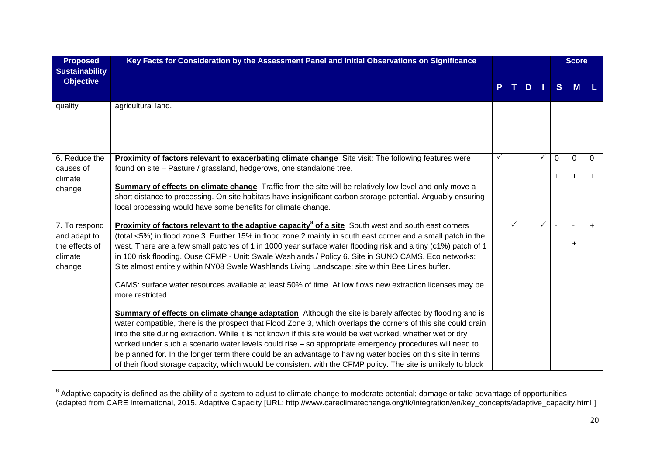| <b>Proposed</b><br><b>Sustainability</b>                             | Key Facts for Consideration by the Assessment Panel and Initial Observations on Significance                                                                                                                                                                                                                                                                                                                                                                                                                                                                                                                                                                                                         |  |   |   |              |                       | <b>Score</b>             |                |  |
|----------------------------------------------------------------------|------------------------------------------------------------------------------------------------------------------------------------------------------------------------------------------------------------------------------------------------------------------------------------------------------------------------------------------------------------------------------------------------------------------------------------------------------------------------------------------------------------------------------------------------------------------------------------------------------------------------------------------------------------------------------------------------------|--|---|---|--------------|-----------------------|--------------------------|----------------|--|
| <b>Objective</b>                                                     |                                                                                                                                                                                                                                                                                                                                                                                                                                                                                                                                                                                                                                                                                                      |  |   | D |              | <sub>S</sub>          | M                        |                |  |
| quality                                                              | agricultural land.                                                                                                                                                                                                                                                                                                                                                                                                                                                                                                                                                                                                                                                                                   |  |   |   |              |                       |                          |                |  |
| 6. Reduce the<br>causes of<br>climate<br>change                      | Proximity of factors relevant to exacerbating climate change Site visit: The following features were<br>found on site - Pasture / grassland, hedgerows, one standalone tree.<br>Summary of effects on climate change Traffic from the site will be relatively low level and only move a<br>short distance to processing. On site habitats have insignificant carbon storage potential. Arguably ensuring<br>local processing would have some benefits for climate change.                                                                                                                                                                                                                            |  |   |   | $\checkmark$ | $\Omega$<br>$\ddot{}$ | $\mathbf 0$<br>$\ddot{}$ | 0<br>$\ddot{}$ |  |
| 7. To respond<br>and adapt to<br>the effects of<br>climate<br>change | <b>Proximity of factors relevant to the adaptive capacity<sup>8</sup> of a site South west and south east corners</b><br>(total <5%) in flood zone 3. Further 15% in flood zone 2 mainly in south east corner and a small patch in the<br>west. There are a few small patches of 1 in 1000 year surface water flooding risk and a tiny (c1%) patch of 1<br>in 100 risk flooding. Ouse CFMP - Unit: Swale Washlands / Policy 6. Site in SUNO CAMS. Eco networks:<br>Site almost entirely within NY08 Swale Washlands Living Landscape; site within Bee Lines buffer.<br>CAMS: surface water resources available at least 50% of time. At low flows new extraction licenses may be<br>more restricted. |  | ✓ |   | ✓            |                       | ÷.<br>÷                  | $+$            |  |
|                                                                      | <b>Summary of effects on climate change adaptation</b> Although the site is barely affected by flooding and is<br>water compatible, there is the prospect that Flood Zone 3, which overlaps the corners of this site could drain<br>into the site during extraction. While it is not known if this site would be wet worked, whether wet or dry<br>worked under such a scenario water levels could rise - so appropriate emergency procedures will need to<br>be planned for. In the longer term there could be an advantage to having water bodies on this site in terms<br>of their flood storage capacity, which would be consistent with the CFMP policy. The site is unlikely to block          |  |   |   |              |                       |                          |                |  |

 $^8$  Adaptive capacity is defined as the ability of a system to adjust to climate change to moderate potential; damage or take advantage of opportunities (adapted from CARE International, 2015. Adaptive Capacity [URL: http://www.careclimatechange.org/tk/integration/en/key\_concepts/adaptive\_capacity.html ]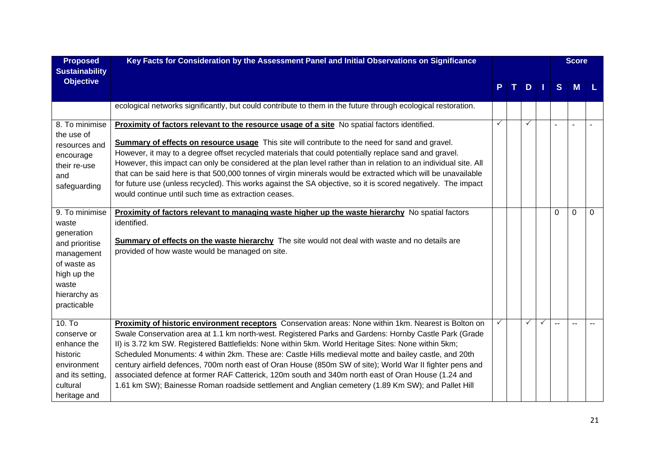| <b>Proposed</b><br><b>Sustainability</b>                                                                                                    | Key Facts for Consideration by the Assessment Panel and Initial Observations on Significance                                                                                                                                                                                                                                                                                                                                                                                                                                                                                                                                                                                                                                                            |              |  |              |    |          | <b>Score</b>   |   |
|---------------------------------------------------------------------------------------------------------------------------------------------|---------------------------------------------------------------------------------------------------------------------------------------------------------------------------------------------------------------------------------------------------------------------------------------------------------------------------------------------------------------------------------------------------------------------------------------------------------------------------------------------------------------------------------------------------------------------------------------------------------------------------------------------------------------------------------------------------------------------------------------------------------|--------------|--|--------------|----|----------|----------------|---|
| <b>Objective</b>                                                                                                                            |                                                                                                                                                                                                                                                                                                                                                                                                                                                                                                                                                                                                                                                                                                                                                         |              |  | D            | H. | S        | M              |   |
|                                                                                                                                             | ecological networks significantly, but could contribute to them in the future through ecological restoration.                                                                                                                                                                                                                                                                                                                                                                                                                                                                                                                                                                                                                                           |              |  |              |    |          |                |   |
| 8. To minimise<br>the use of<br>resources and<br>encourage<br>their re-use<br>and<br>safeguarding                                           | Proximity of factors relevant to the resource usage of a site No spatial factors identified.<br><b>Summary of effects on resource usage</b> This site will contribute to the need for sand and gravel.<br>However, it may to a degree offset recycled materials that could potentially replace sand and gravel.<br>However, this impact can only be considered at the plan level rather than in relation to an individual site. All<br>that can be said here is that 500,000 tonnes of virgin minerals would be extracted which will be unavailable<br>for future use (unless recycled). This works against the SA objective, so it is scored negatively. The impact<br>would continue until such time as extraction ceases.                            | $\checkmark$ |  | $\checkmark$ |    |          | $\overline{a}$ |   |
| 9. To minimise<br>waste<br>generation<br>and prioritise<br>management<br>of waste as<br>high up the<br>waste<br>hierarchy as<br>practicable | <b>Proximity of factors relevant to managing waste higher up the waste hierarchy</b> No spatial factors<br>identified.<br><b>Summary of effects on the waste hierarchy</b> The site would not deal with waste and no details are<br>provided of how waste would be managed on site.                                                                                                                                                                                                                                                                                                                                                                                                                                                                     |              |  |              |    | $\Omega$ | $\mathbf 0$    | 0 |
| 10. T <sub>o</sub><br>conserve or<br>enhance the<br>historic<br>environment<br>and its setting,<br>cultural<br>heritage and                 | Proximity of historic environment receptors Conservation areas: None within 1km. Nearest is Bolton on<br>Swale Conservation area at 1.1 km north-west. Registered Parks and Gardens: Hornby Castle Park (Grade<br>II) is 3.72 km SW. Registered Battlefields: None within 5km. World Heritage Sites: None within 5km;<br>Scheduled Monuments: 4 within 2km. These are: Castle Hills medieval motte and bailey castle, and 20th<br>century airfield defences, 700m north east of Oran House (850m SW of site); World War II fighter pens and<br>associated defence at former RAF Catterick, 120m south and 340m north east of Oran House (1.24 and<br>1.61 km SW); Bainesse Roman roadside settlement and Anglian cemetery (1.89 Km SW); and Pallet Hill |              |  |              | ✓  |          |                |   |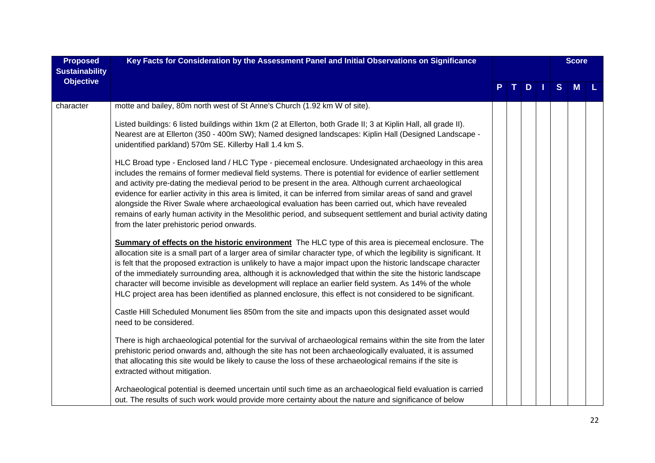| <b>Proposed</b><br><b>Sustainability</b> | Key Facts for Consideration by the Assessment Panel and Initial Observations on Significance                                                                                                                                                                                                                                                                                                                                                                                                                                                                                                                                                                                                                                                                                                             |  |      |   | <b>Score</b> |  |
|------------------------------------------|----------------------------------------------------------------------------------------------------------------------------------------------------------------------------------------------------------------------------------------------------------------------------------------------------------------------------------------------------------------------------------------------------------------------------------------------------------------------------------------------------------------------------------------------------------------------------------------------------------------------------------------------------------------------------------------------------------------------------------------------------------------------------------------------------------|--|------|---|--------------|--|
| <b>Objective</b>                         |                                                                                                                                                                                                                                                                                                                                                                                                                                                                                                                                                                                                                                                                                                                                                                                                          |  | PTDI | S | <b>M</b>     |  |
| character                                | motte and bailey, 80m north west of St Anne's Church (1.92 km W of site).                                                                                                                                                                                                                                                                                                                                                                                                                                                                                                                                                                                                                                                                                                                                |  |      |   |              |  |
|                                          | Listed buildings: 6 listed buildings within 1km (2 at Ellerton, both Grade II; 3 at Kiplin Hall, all grade II).<br>Nearest are at Ellerton (350 - 400m SW); Named designed landscapes: Kiplin Hall (Designed Landscape -<br>unidentified parkland) 570m SE. Killerby Hall 1.4 km S.                                                                                                                                                                                                                                                                                                                                                                                                                                                                                                                      |  |      |   |              |  |
|                                          | HLC Broad type - Enclosed land / HLC Type - piecemeal enclosure. Undesignated archaeology in this area<br>includes the remains of former medieval field systems. There is potential for evidence of earlier settlement<br>and activity pre-dating the medieval period to be present in the area. Although current archaeological<br>evidence for earlier activity in this area is limited, it can be inferred from similar areas of sand and gravel<br>alongside the River Swale where archaeological evaluation has been carried out, which have revealed<br>remains of early human activity in the Mesolithic period, and subsequent settlement and burial activity dating<br>from the later prehistoric period onwards.                                                                               |  |      |   |              |  |
|                                          | <b>Summary of effects on the historic environment</b> The HLC type of this area is piecemeal enclosure. The<br>allocation site is a small part of a larger area of similar character type, of which the legibility is significant. It<br>is felt that the proposed extraction is unlikely to have a major impact upon the historic landscape character<br>of the immediately surrounding area, although it is acknowledged that within the site the historic landscape<br>character will become invisible as development will replace an earlier field system. As 14% of the whole<br>HLC project area has been identified as planned enclosure, this effect is not considered to be significant.<br>Castle Hill Scheduled Monument lies 850m from the site and impacts upon this designated asset would |  |      |   |              |  |
|                                          | need to be considered.<br>There is high archaeological potential for the survival of archaeological remains within the site from the later<br>prehistoric period onwards and, although the site has not been archaeologically evaluated, it is assumed                                                                                                                                                                                                                                                                                                                                                                                                                                                                                                                                                   |  |      |   |              |  |
|                                          | that allocating this site would be likely to cause the loss of these archaeological remains if the site is<br>extracted without mitigation.                                                                                                                                                                                                                                                                                                                                                                                                                                                                                                                                                                                                                                                              |  |      |   |              |  |
|                                          | Archaeological potential is deemed uncertain until such time as an archaeological field evaluation is carried<br>out. The results of such work would provide more certainty about the nature and significance of below                                                                                                                                                                                                                                                                                                                                                                                                                                                                                                                                                                                   |  |      |   |              |  |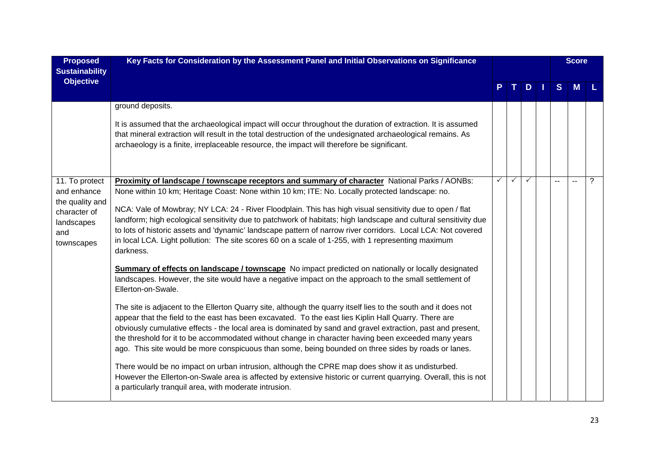| <b>Proposed</b><br><b>Sustainability</b>                                                            | Key Facts for Consideration by the Assessment Panel and Initial Observations on Significance                                                                                                                                                                                                                                                                                                                                                                                                                                                                                                                                                                       |  |   |   | <b>Score</b> |   |
|-----------------------------------------------------------------------------------------------------|--------------------------------------------------------------------------------------------------------------------------------------------------------------------------------------------------------------------------------------------------------------------------------------------------------------------------------------------------------------------------------------------------------------------------------------------------------------------------------------------------------------------------------------------------------------------------------------------------------------------------------------------------------------------|--|---|---|--------------|---|
| <b>Objective</b>                                                                                    |                                                                                                                                                                                                                                                                                                                                                                                                                                                                                                                                                                                                                                                                    |  | D | S | M            |   |
|                                                                                                     | ground deposits.<br>It is assumed that the archaeological impact will occur throughout the duration of extraction. It is assumed<br>that mineral extraction will result in the total destruction of the undesignated archaeological remains. As<br>archaeology is a finite, irreplaceable resource, the impact will therefore be significant.                                                                                                                                                                                                                                                                                                                      |  |   |   |              |   |
| 11. To protect<br>and enhance<br>the quality and<br>character of<br>landscapes<br>and<br>townscapes | Proximity of landscape / townscape receptors and summary of character National Parks / AONBs:<br>None within 10 km; Heritage Coast: None within 10 km; ITE: No. Locally protected landscape: no.<br>NCA: Vale of Mowbray; NY LCA: 24 - River Floodplain. This has high visual sensitivity due to open / flat<br>landform; high ecological sensitivity due to patchwork of habitats; high landscape and cultural sensitivity due<br>to lots of historic assets and 'dynamic' landscape pattern of narrow river corridors. Local LCA: Not covered<br>in local LCA. Light pollution: The site scores 60 on a scale of 1-255, with 1 representing maximum<br>darkness. |  |   |   |              | ? |
|                                                                                                     | <b>Summary of effects on landscape / townscape</b> No impact predicted on nationally or locally designated<br>landscapes. However, the site would have a negative impact on the approach to the small settlement of<br>Ellerton-on-Swale.                                                                                                                                                                                                                                                                                                                                                                                                                          |  |   |   |              |   |
|                                                                                                     | The site is adjacent to the Ellerton Quarry site, although the quarry itself lies to the south and it does not<br>appear that the field to the east has been excavated. To the east lies Kiplin Hall Quarry. There are<br>obviously cumulative effects - the local area is dominated by sand and gravel extraction, past and present,<br>the threshold for it to be accommodated without change in character having been exceeded many years<br>ago. This site would be more conspicuous than some, being bounded on three sides by roads or lanes.                                                                                                                |  |   |   |              |   |
|                                                                                                     | There would be no impact on urban intrusion, although the CPRE map does show it as undisturbed.<br>However the Ellerton-on-Swale area is affected by extensive historic or current quarrying. Overall, this is not<br>a particularly tranquil area, with moderate intrusion.                                                                                                                                                                                                                                                                                                                                                                                       |  |   |   |              |   |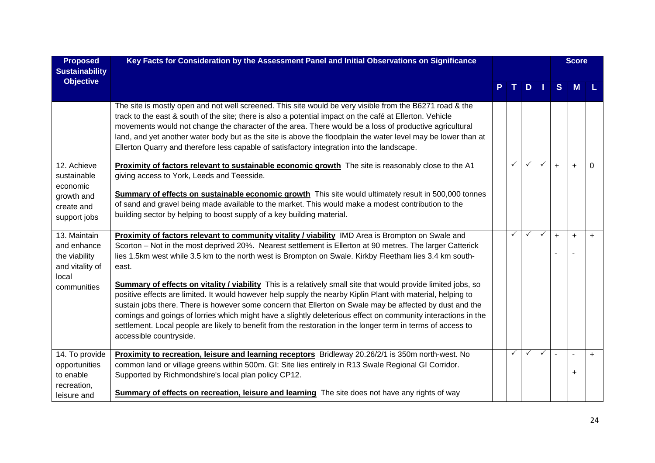| <b>Proposed</b><br><b>Sustainability</b>                                           | Key Facts for Consideration by the Assessment Panel and Initial Observations on Significance                                                                                                                                                                                                                                                                                                                                                                                                                                                                                                                  |              |               |              |           | <b>Score</b> |           |
|------------------------------------------------------------------------------------|---------------------------------------------------------------------------------------------------------------------------------------------------------------------------------------------------------------------------------------------------------------------------------------------------------------------------------------------------------------------------------------------------------------------------------------------------------------------------------------------------------------------------------------------------------------------------------------------------------------|--------------|---------------|--------------|-----------|--------------|-----------|
| <b>Objective</b>                                                                   |                                                                                                                                                                                                                                                                                                                                                                                                                                                                                                                                                                                                               |              | $D \mid \mid$ |              | S         | <b>M</b>     |           |
|                                                                                    | The site is mostly open and not well screened. This site would be very visible from the B6271 road & the<br>track to the east & south of the site; there is also a potential impact on the café at Ellerton. Vehicle<br>movements would not change the character of the area. There would be a loss of productive agricultural<br>land, and yet another water body but as the site is above the floodplain the water level may be lower than at<br>Ellerton Quarry and therefore less capable of satisfactory integration into the landscape.                                                                 |              |               |              |           |              |           |
| 12. Achieve<br>sustainable<br>economic<br>growth and<br>create and<br>support jobs | Proximity of factors relevant to sustainable economic growth The site is reasonably close to the A1<br>giving access to York, Leeds and Teesside.<br>Summary of effects on sustainable economic growth This site would ultimately result in 500,000 tonnes<br>of sand and gravel being made available to the market. This would make a modest contribution to the<br>building sector by helping to boost supply of a key building material.                                                                                                                                                                   |              | $\checkmark$  | ✓            | $\ddot{}$ | $\ddot{}$    | 0         |
| 13. Maintain<br>and enhance<br>the viability<br>and vitality of<br>local           | Proximity of factors relevant to community vitality / viability IMD Area is Brompton on Swale and<br>Scorton - Not in the most deprived 20%. Nearest settlement is Ellerton at 90 metres. The larger Catterick<br>lies 1.5km west while 3.5 km to the north west is Brompton on Swale. Kirkby Fleetham lies 3.4 km south-<br>east.                                                                                                                                                                                                                                                                            | $\checkmark$ | $\checkmark$  | $\checkmark$ | $+$       | $\ddot{}$    | $\ddot{}$ |
| communities                                                                        | <b>Summary of effects on vitality / viability</b> This is a relatively small site that would provide limited jobs, so<br>positive effects are limited. It would however help supply the nearby Kiplin Plant with material, helping to<br>sustain jobs there. There is however some concern that Ellerton on Swale may be affected by dust and the<br>comings and goings of lorries which might have a slightly deleterious effect on community interactions in the<br>settlement. Local people are likely to benefit from the restoration in the longer term in terms of access to<br>accessible countryside. |              |               |              |           |              |           |
| 14. To provide<br>opportunities<br>to enable<br>recreation,<br>leisure and         | Proximity to recreation, leisure and learning receptors Bridleway 20.26/2/1 is 350m north-west. No<br>common land or village greens within 500m. GI: Site lies entirely in R13 Swale Regional GI Corridor.<br>Supported by Richmondshire's local plan policy CP12.<br><b>Summary of effects on recreation, leisure and learning</b> The site does not have any rights of way                                                                                                                                                                                                                                  | ✓            | $\checkmark$  | $\checkmark$ |           |              | $+$       |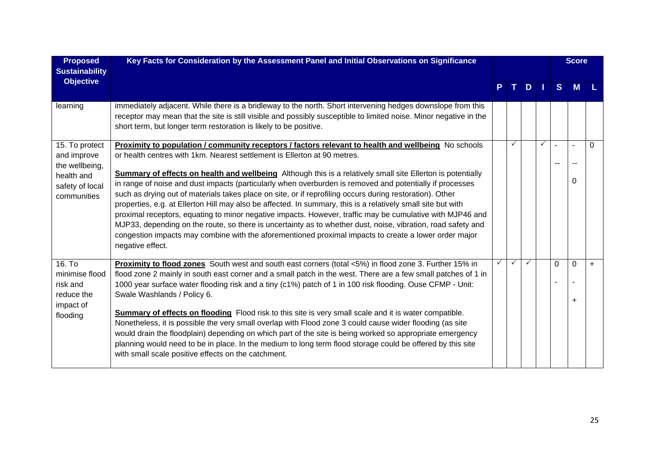| <b>Proposed</b><br><b>Sustainability</b>     | Key Facts for Consideration by the Assessment Panel and Initial Observations on Significance                                                                                                                                                                                                                                                                                                                                                                                                                                                                                                                                                                                                                                                                                                                         |   |              |              |              |          | <b>Score</b> |     |
|----------------------------------------------|----------------------------------------------------------------------------------------------------------------------------------------------------------------------------------------------------------------------------------------------------------------------------------------------------------------------------------------------------------------------------------------------------------------------------------------------------------------------------------------------------------------------------------------------------------------------------------------------------------------------------------------------------------------------------------------------------------------------------------------------------------------------------------------------------------------------|---|--------------|--------------|--------------|----------|--------------|-----|
| <b>Objective</b>                             |                                                                                                                                                                                                                                                                                                                                                                                                                                                                                                                                                                                                                                                                                                                                                                                                                      |   |              | D.           |              | S.       | M            |     |
| learning                                     | immediately adjacent. While there is a bridleway to the north. Short intervening hedges downslope from this<br>receptor may mean that the site is still visible and possibly susceptible to limited noise. Minor negative in the<br>short term, but longer term restoration is likely to be positive.                                                                                                                                                                                                                                                                                                                                                                                                                                                                                                                |   |              |              |              |          |              |     |
| 15. To protect<br>and improve                | Proximity to population / community receptors / factors relevant to health and wellbeing No schools<br>or health centres with 1km. Nearest settlement is Ellerton at 90 metres.                                                                                                                                                                                                                                                                                                                                                                                                                                                                                                                                                                                                                                      |   |              |              | $\checkmark$ |          |              | 0   |
| the wellbeing,                               |                                                                                                                                                                                                                                                                                                                                                                                                                                                                                                                                                                                                                                                                                                                                                                                                                      |   |              |              |              |          |              |     |
| health and<br>safety of local<br>communities | <b>Summary of effects on health and wellbeing</b> Although this is a relatively small site Ellerton is potentially<br>in range of noise and dust impacts (particularly when overburden is removed and potentially if processes<br>such as drying out of materials takes place on site, or if reprofiling occurs during restoration). Other<br>properties, e.g. at Ellerton Hill may also be affected. In summary, this is a relatively small site but with<br>proximal receptors, equating to minor negative impacts. However, traffic may be cumulative with MJP46 and<br>MJP33, depending on the route, so there is uncertainty as to whether dust, noise, vibration, road safety and<br>congestion impacts may combine with the aforementioned proximal impacts to create a lower order major<br>negative effect. |   |              |              |              |          | 0            |     |
| 16. To<br>minimise flood                     | Proximity to flood zones South west and south east corners (total <5%) in flood zone 3. Further 15% in<br>flood zone 2 mainly in south east corner and a small patch in the west. There are a few small patches of 1 in                                                                                                                                                                                                                                                                                                                                                                                                                                                                                                                                                                                              | ✓ | $\checkmark$ | $\checkmark$ |              | $\Omega$ | $\Omega$     | $+$ |
| risk and<br>reduce the                       | 1000 year surface water flooding risk and a tiny (c1%) patch of 1 in 100 risk flooding. Ouse CFMP - Unit:<br>Swale Washlands / Policy 6.                                                                                                                                                                                                                                                                                                                                                                                                                                                                                                                                                                                                                                                                             |   |              |              |              |          | ÷            |     |
| impact of<br>flooding                        | <b>Summary of effects on flooding</b> Flood risk to this site is very small scale and it is water compatible.<br>Nonetheless, it is possible the very small overlap with Flood zone 3 could cause wider flooding (as site<br>would drain the floodplain) depending on which part of the site is being worked so appropriate emergency<br>planning would need to be in place. In the medium to long term flood storage could be offered by this site<br>with small scale positive effects on the catchment.                                                                                                                                                                                                                                                                                                           |   |              |              |              |          |              |     |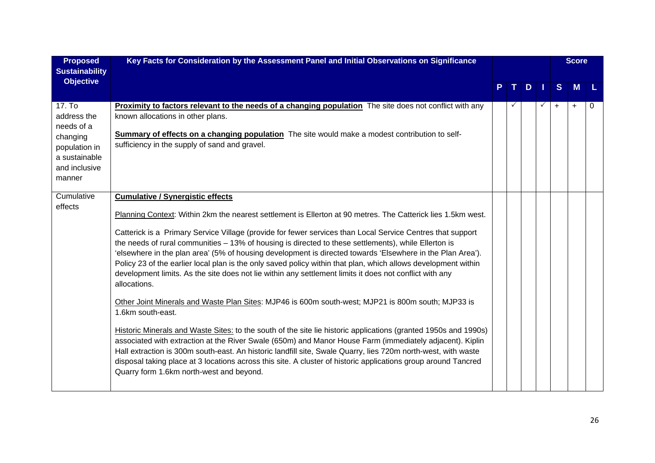| <b>Proposed</b><br><b>Sustainability</b>                                                                     | Key Facts for Consideration by the Assessment Panel and Initial Observations on Significance                                                                                                                                                                                                                                                                                                                                                                                                                                                                                                                                                                                                                                                                                                                                                                                                                                                                                                                                                                                                                                                                                                                                                                                                                                                                                      |              |   |              |           | <b>Score</b> |   |
|--------------------------------------------------------------------------------------------------------------|-----------------------------------------------------------------------------------------------------------------------------------------------------------------------------------------------------------------------------------------------------------------------------------------------------------------------------------------------------------------------------------------------------------------------------------------------------------------------------------------------------------------------------------------------------------------------------------------------------------------------------------------------------------------------------------------------------------------------------------------------------------------------------------------------------------------------------------------------------------------------------------------------------------------------------------------------------------------------------------------------------------------------------------------------------------------------------------------------------------------------------------------------------------------------------------------------------------------------------------------------------------------------------------------------------------------------------------------------------------------------------------|--------------|---|--------------|-----------|--------------|---|
| <b>Objective</b>                                                                                             |                                                                                                                                                                                                                                                                                                                                                                                                                                                                                                                                                                                                                                                                                                                                                                                                                                                                                                                                                                                                                                                                                                                                                                                                                                                                                                                                                                                   |              | D |              | S         | <b>M</b>     |   |
| 17. To<br>address the<br>needs of a<br>changing<br>population in<br>a sustainable<br>and inclusive<br>manner | <b>Proximity to factors relevant to the needs of a changing population</b> The site does not conflict with any<br>known allocations in other plans.<br><b>Summary of effects on a changing population</b> The site would make a modest contribution to self-<br>sufficiency in the supply of sand and gravel.                                                                                                                                                                                                                                                                                                                                                                                                                                                                                                                                                                                                                                                                                                                                                                                                                                                                                                                                                                                                                                                                     | $\checkmark$ |   | $\checkmark$ | $\ddot{}$ | $\ddot{}$    | 0 |
| Cumulative<br>effects                                                                                        | <b>Cumulative / Synergistic effects</b><br>Planning Context: Within 2km the nearest settlement is Ellerton at 90 metres. The Catterick lies 1.5km west.<br>Catterick is a Primary Service Village (provide for fewer services than Local Service Centres that support<br>the needs of rural communities - 13% of housing is directed to these settlements), while Ellerton is<br>'elsewhere in the plan area' (5% of housing development is directed towards 'Elsewhere in the Plan Area').<br>Policy 23 of the earlier local plan is the only saved policy within that plan, which allows development within<br>development limits. As the site does not lie within any settlement limits it does not conflict with any<br>allocations.<br>Other Joint Minerals and Waste Plan Sites: MJP46 is 600m south-west; MJP21 is 800m south; MJP33 is<br>1.6km south-east.<br>Historic Minerals and Waste Sites: to the south of the site lie historic applications (granted 1950s and 1990s)<br>associated with extraction at the River Swale (650m) and Manor House Farm (immediately adjacent). Kiplin<br>Hall extraction is 300m south-east. An historic landfill site, Swale Quarry, lies 720m north-west, with waste<br>disposal taking place at 3 locations across this site. A cluster of historic applications group around Tancred<br>Quarry form 1.6km north-west and beyond. |              |   |              |           |              |   |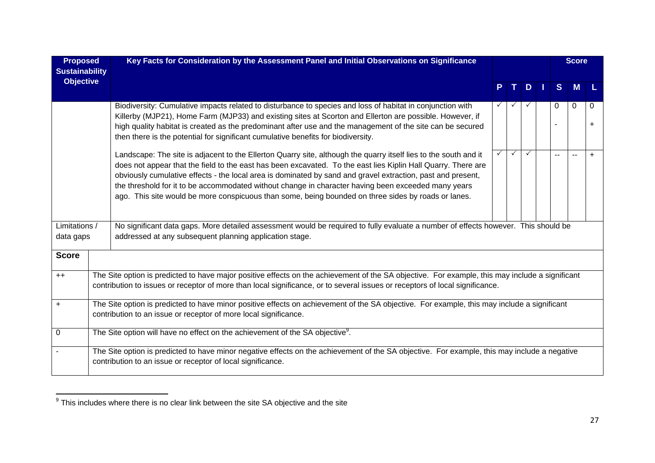| <b>Proposed</b><br><b>Sustainability</b> | Key Facts for Consideration by the Assessment Panel and Initial Observations on Significance                                                                                                                                                                                                                                                                                                                                                                                                                                                                   |  |              |              |     |                          | <b>Score</b>             |           |  |
|------------------------------------------|----------------------------------------------------------------------------------------------------------------------------------------------------------------------------------------------------------------------------------------------------------------------------------------------------------------------------------------------------------------------------------------------------------------------------------------------------------------------------------------------------------------------------------------------------------------|--|--------------|--------------|-----|--------------------------|--------------------------|-----------|--|
| <b>Objective</b>                         |                                                                                                                                                                                                                                                                                                                                                                                                                                                                                                                                                                |  | $T_{\rm{H}}$ |              | $D$ | S                        | M                        |           |  |
|                                          | Biodiversity: Cumulative impacts related to disturbance to species and loss of habitat in conjunction with<br>Killerby (MJP21), Home Farm (MJP33) and existing sites at Scorton and Ellerton are possible. However, if<br>high quality habitat is created as the predominant after use and the management of the site can be secured<br>then there is the potential for significant cumulative benefits for biodiversity.                                                                                                                                      |  |              |              |     | $\Omega$                 | $\Omega$                 | 0         |  |
|                                          | Landscape: The site is adjacent to the Ellerton Quarry site, although the quarry itself lies to the south and it<br>does not appear that the field to the east has been excavated. To the east lies Kiplin Hall Quarry. There are<br>obviously cumulative effects - the local area is dominated by sand and gravel extraction, past and present,<br>the threshold for it to be accommodated without change in character having been exceeded many years<br>ago. This site would be more conspicuous than some, being bounded on three sides by roads or lanes. |  | $\checkmark$ | $\checkmark$ |     | $\overline{\phantom{a}}$ | $\overline{\phantom{a}}$ | $\ddot{}$ |  |
| Limitations /<br>data gaps               | No significant data gaps. More detailed assessment would be required to fully evaluate a number of effects however. This should be<br>addressed at any subsequent planning application stage.                                                                                                                                                                                                                                                                                                                                                                  |  |              |              |     |                          |                          |           |  |
| <b>Score</b>                             |                                                                                                                                                                                                                                                                                                                                                                                                                                                                                                                                                                |  |              |              |     |                          |                          |           |  |
| $++$                                     | The Site option is predicted to have major positive effects on the achievement of the SA objective. For example, this may include a significant<br>contribution to issues or receptor of more than local significance, or to several issues or receptors of local significance.                                                                                                                                                                                                                                                                                |  |              |              |     |                          |                          |           |  |
| $\ddot{}$                                | The Site option is predicted to have minor positive effects on achievement of the SA objective. For example, this may include a significant<br>contribution to an issue or receptor of more local significance.                                                                                                                                                                                                                                                                                                                                                |  |              |              |     |                          |                          |           |  |
| $\mathbf 0$                              | The Site option will have no effect on the achievement of the SA objective <sup>9</sup> .                                                                                                                                                                                                                                                                                                                                                                                                                                                                      |  |              |              |     |                          |                          |           |  |
|                                          | The Site option is predicted to have minor negative effects on the achievement of the SA objective. For example, this may include a negative<br>contribution to an issue or receptor of local significance.                                                                                                                                                                                                                                                                                                                                                    |  |              |              |     |                          |                          |           |  |

 $\overline{9}$  This includes where there is no clear link between the site SA objective and the site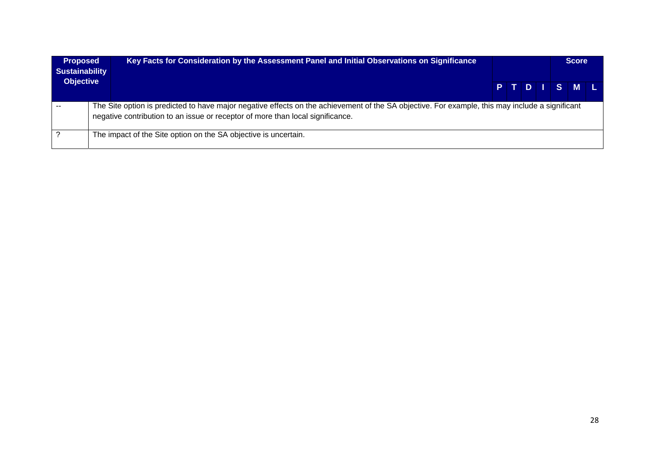| <b>Proposed</b><br><b>Sustainability</b> | Key Facts for Consideration by the Assessment Panel and Initial Observations on Significance                                                                                                                                      |  |  |  |  |  |         |  |  |  |  |  |  |  |  |  |  |  |  |  |  |  | <b>Score</b> |
|------------------------------------------|-----------------------------------------------------------------------------------------------------------------------------------------------------------------------------------------------------------------------------------|--|--|--|--|--|---------|--|--|--|--|--|--|--|--|--|--|--|--|--|--|--|--------------|
| <b>Objective</b>                         |                                                                                                                                                                                                                                   |  |  |  |  |  | PTDISML |  |  |  |  |  |  |  |  |  |  |  |  |  |  |  |              |
|                                          | The Site option is predicted to have major negative effects on the achievement of the SA objective. For example, this may include a significant<br>negative contribution to an issue or receptor of more than local significance. |  |  |  |  |  |         |  |  |  |  |  |  |  |  |  |  |  |  |  |  |  |              |
|                                          | The impact of the Site option on the SA objective is uncertain.                                                                                                                                                                   |  |  |  |  |  |         |  |  |  |  |  |  |  |  |  |  |  |  |  |  |  |              |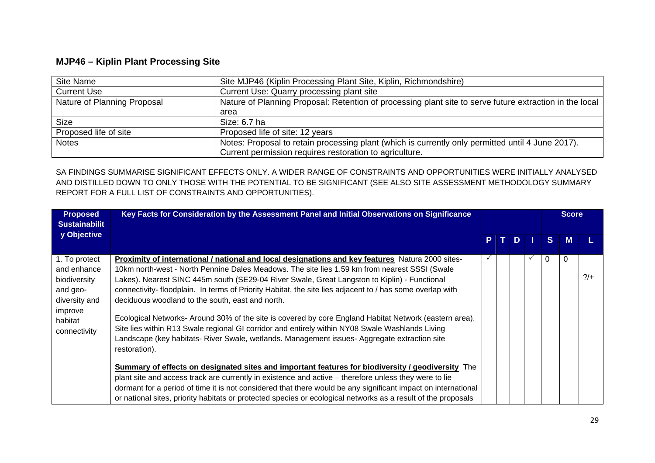## **MJP46 – Kiplin Plant Processing Site**

| Site Name                   | Site MJP46 (Kiplin Processing Plant Site, Kiplin, Richmondshire)                                        |
|-----------------------------|---------------------------------------------------------------------------------------------------------|
| <b>Current Use</b>          | Current Use: Quarry processing plant site                                                               |
| Nature of Planning Proposal | Nature of Planning Proposal: Retention of processing plant site to serve future extraction in the local |
|                             | area                                                                                                    |
| <b>Size</b>                 | Size: 6.7 ha                                                                                            |
| Proposed life of site       | Proposed life of site: 12 years                                                                         |
| <b>Notes</b>                | Notes: Proposal to retain processing plant (which is currently only permitted until 4 June 2017).       |
|                             | Current permission requires restoration to agriculture.                                                 |

| <b>Proposed</b><br><b>Sustainabilit</b>                                                                         | Key Facts for Consideration by the Assessment Panel and Initial Observations on Significance                                                                                                                                                                                                                                                                                                                                                                                                                                                                                                                                                                                                                                                                                                    |    |    |   |  |              | <b>Score</b> |               |
|-----------------------------------------------------------------------------------------------------------------|-------------------------------------------------------------------------------------------------------------------------------------------------------------------------------------------------------------------------------------------------------------------------------------------------------------------------------------------------------------------------------------------------------------------------------------------------------------------------------------------------------------------------------------------------------------------------------------------------------------------------------------------------------------------------------------------------------------------------------------------------------------------------------------------------|----|----|---|--|--------------|--------------|---------------|
| y Objective                                                                                                     |                                                                                                                                                                                                                                                                                                                                                                                                                                                                                                                                                                                                                                                                                                                                                                                                 | P. | т. | D |  | <sub>S</sub> | M            |               |
| 1. To protect<br>and enhance<br>biodiversity<br>and geo-<br>diversity and<br>improve<br>habitat<br>connectivity | Proximity of international / national and local designations and key features Natura 2000 sites-<br>10km north-west - North Pennine Dales Meadows. The site lies 1.59 km from nearest SSSI (Swale<br>Lakes). Nearest SINC 445m south (SE29-04 River Swale, Great Langston to Kiplin) - Functional<br>connectivity-floodplain. In terms of Priority Habitat, the site lies adjacent to / has some overlap with<br>deciduous woodland to the south, east and north.<br>Ecological Networks- Around 30% of the site is covered by core England Habitat Network (eastern area).<br>Site lies within R13 Swale regional GI corridor and entirely within NY08 Swale Washlands Living<br>Landscape (key habitats- River Swale, wetlands. Management issues- Aggregate extraction site<br>restoration). |    |    |   |  | 0            | 0            | $\frac{2}{+}$ |
|                                                                                                                 | Summary of effects on designated sites and important features for biodiversity / geodiversity The<br>plant site and access track are currently in existence and active – therefore unless they were to lie<br>dormant for a period of time it is not considered that there would be any significant impact on international<br>or national sites, priority habitats or protected species or ecological networks as a result of the proposals                                                                                                                                                                                                                                                                                                                                                    |    |    |   |  |              |              |               |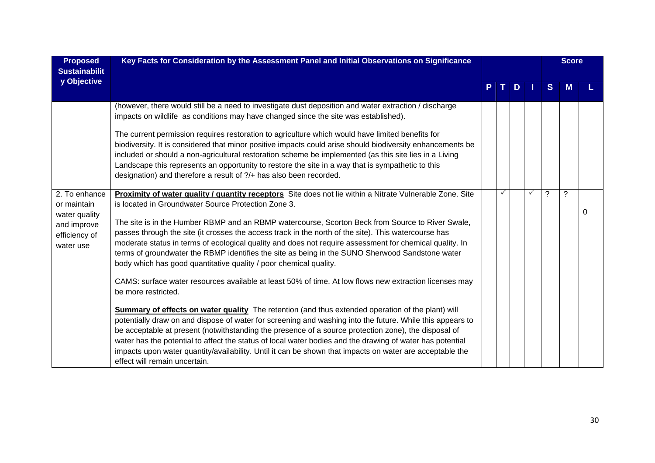| <b>Proposed</b><br><b>Sustainabilit</b>                                                    | Key Facts for Consideration by the Assessment Panel and Initial Observations on Significance                                                                                                                                                                                                                                                                                                                                                                                                                                                                                                                                                                                                                                                                                                                                                                                                                                                                                                                                                                                                                                                                                                                                                                                                                                                                                               |   |              |   |              |                |   |   |  |  |  |  |  |  |  |  |  |  |  |  |  |  |  |  |  |  |  | <b>Score</b> |  |
|--------------------------------------------------------------------------------------------|--------------------------------------------------------------------------------------------------------------------------------------------------------------------------------------------------------------------------------------------------------------------------------------------------------------------------------------------------------------------------------------------------------------------------------------------------------------------------------------------------------------------------------------------------------------------------------------------------------------------------------------------------------------------------------------------------------------------------------------------------------------------------------------------------------------------------------------------------------------------------------------------------------------------------------------------------------------------------------------------------------------------------------------------------------------------------------------------------------------------------------------------------------------------------------------------------------------------------------------------------------------------------------------------------------------------------------------------------------------------------------------------|---|--------------|---|--------------|----------------|---|---|--|--|--|--|--|--|--|--|--|--|--|--|--|--|--|--|--|--|--|--------------|--|
| y Objective                                                                                |                                                                                                                                                                                                                                                                                                                                                                                                                                                                                                                                                                                                                                                                                                                                                                                                                                                                                                                                                                                                                                                                                                                                                                                                                                                                                                                                                                                            | P | $\mathbf{T}$ | D |              | S.             | M |   |  |  |  |  |  |  |  |  |  |  |  |  |  |  |  |  |  |  |  |              |  |
|                                                                                            | (however, there would still be a need to investigate dust deposition and water extraction / discharge<br>impacts on wildlife as conditions may have changed since the site was established).<br>The current permission requires restoration to agriculture which would have limited benefits for<br>biodiversity. It is considered that minor positive impacts could arise should biodiversity enhancements be<br>included or should a non-agricultural restoration scheme be implemented (as this site lies in a Living<br>Landscape this represents an opportunity to restore the site in a way that is sympathetic to this<br>designation) and therefore a result of ?/+ has also been recorded.                                                                                                                                                                                                                                                                                                                                                                                                                                                                                                                                                                                                                                                                                        |   |              |   |              |                |   |   |  |  |  |  |  |  |  |  |  |  |  |  |  |  |  |  |  |  |  |              |  |
| 2. To enhance<br>or maintain<br>water quality<br>and improve<br>efficiency of<br>water use | Proximity of water quality / quantity receptors Site does not lie within a Nitrate Vulnerable Zone. Site<br>is located in Groundwater Source Protection Zone 3.<br>The site is in the Humber RBMP and an RBMP watercourse, Scorton Beck from Source to River Swale,<br>passes through the site (it crosses the access track in the north of the site). This watercourse has<br>moderate status in terms of ecological quality and does not require assessment for chemical quality. In<br>terms of groundwater the RBMP identifies the site as being in the SUNO Sherwood Sandstone water<br>body which has good quantitative quality / poor chemical quality.<br>CAMS: surface water resources available at least 50% of time. At low flows new extraction licenses may<br>be more restricted.<br><b>Summary of effects on water quality</b> The retention (and thus extended operation of the plant) will<br>potentially draw on and dispose of water for screening and washing into the future. While this appears to<br>be acceptable at present (notwithstanding the presence of a source protection zone), the disposal of<br>water has the potential to affect the status of local water bodies and the drawing of water has potential<br>impacts upon water quantity/availability. Until it can be shown that impacts on water are acceptable the<br>effect will remain uncertain. |   | $\checkmark$ |   | $\checkmark$ | $\overline{?}$ | ? | 0 |  |  |  |  |  |  |  |  |  |  |  |  |  |  |  |  |  |  |  |              |  |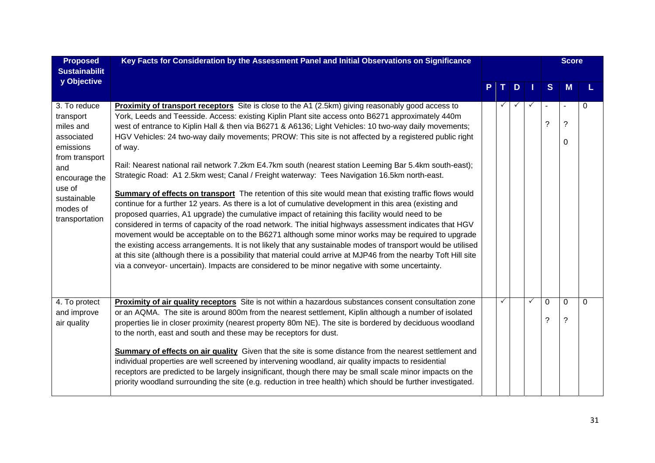| <b>Proposed</b><br><b>Sustainabilit</b>                                                                                                                            | Key Facts for Consideration by the Assessment Panel and Initial Observations on Significance                                                                                                                                                                                                                                                                                                                                                                                                                                                                                                                                                                                                                                                                                                                                                                                                                                                                                                                                                                                                                                                                                                                                                                                                                                                                                                                                                                                                                                         |              |              |              |               | <b>Score</b>  |          |
|--------------------------------------------------------------------------------------------------------------------------------------------------------------------|--------------------------------------------------------------------------------------------------------------------------------------------------------------------------------------------------------------------------------------------------------------------------------------------------------------------------------------------------------------------------------------------------------------------------------------------------------------------------------------------------------------------------------------------------------------------------------------------------------------------------------------------------------------------------------------------------------------------------------------------------------------------------------------------------------------------------------------------------------------------------------------------------------------------------------------------------------------------------------------------------------------------------------------------------------------------------------------------------------------------------------------------------------------------------------------------------------------------------------------------------------------------------------------------------------------------------------------------------------------------------------------------------------------------------------------------------------------------------------------------------------------------------------------|--------------|--------------|--------------|---------------|---------------|----------|
| y Objective                                                                                                                                                        |                                                                                                                                                                                                                                                                                                                                                                                                                                                                                                                                                                                                                                                                                                                                                                                                                                                                                                                                                                                                                                                                                                                                                                                                                                                                                                                                                                                                                                                                                                                                      | T.           | D            | ш            | <sub>S</sub>  | М             |          |
| 3. To reduce<br>transport<br>miles and<br>associated<br>emissions<br>from transport<br>and<br>encourage the<br>use of<br>sustainable<br>modes of<br>transportation | <b>Proximity of transport receptors</b> Site is close to the A1 (2.5km) giving reasonably good access to<br>York, Leeds and Teesside. Access: existing Kiplin Plant site access onto B6271 approximately 440m<br>west of entrance to Kiplin Hall & then via B6271 & A6136; Light Vehicles: 10 two-way daily movements;<br>HGV Vehicles: 24 two-way daily movements; PROW: This site is not affected by a registered public right<br>of way.<br>Rail: Nearest national rail network 7.2km E4.7km south (nearest station Leeming Bar 5.4km south-east);<br>Strategic Road: A1 2.5km west; Canal / Freight waterway: Tees Navigation 16.5km north-east.<br>Summary of effects on transport The retention of this site would mean that existing traffic flows would<br>continue for a further 12 years. As there is a lot of cumulative development in this area (existing and<br>proposed quarries, A1 upgrade) the cumulative impact of retaining this facility would need to be<br>considered in terms of capacity of the road network. The initial highways assessment indicates that HGV<br>movement would be acceptable on to the B6271 although some minor works may be required to upgrade<br>the existing access arrangements. It is not likely that any sustainable modes of transport would be utilised<br>at this site (although there is a possibility that material could arrive at MJP46 from the nearby Toft Hill site<br>via a conveyor- uncertain). Impacts are considered to be minor negative with some uncertainty. | $\checkmark$ | $\checkmark$ |              | ?             | ?<br>0        | $\Omega$ |
| 4. To protect<br>and improve<br>air quality                                                                                                                        | Proximity of air quality receptors Site is not within a hazardous substances consent consultation zone<br>or an AQMA. The site is around 800m from the nearest settlement, Kiplin although a number of isolated<br>properties lie in closer proximity (nearest property 80m NE). The site is bordered by deciduous woodland<br>to the north, east and south and these may be receptors for dust.<br>Summary of effects on air quality Given that the site is some distance from the nearest settlement and<br>individual properties are well screened by intervening woodland, air quality impacts to residential<br>receptors are predicted to be largely insignificant, though there may be small scale minor impacts on the<br>priority woodland surrounding the site (e.g. reduction in tree health) which should be further investigated.                                                                                                                                                                                                                                                                                                                                                                                                                                                                                                                                                                                                                                                                                       | ✓            |              | $\checkmark$ | $\Omega$<br>? | $\Omega$<br>? | 0        |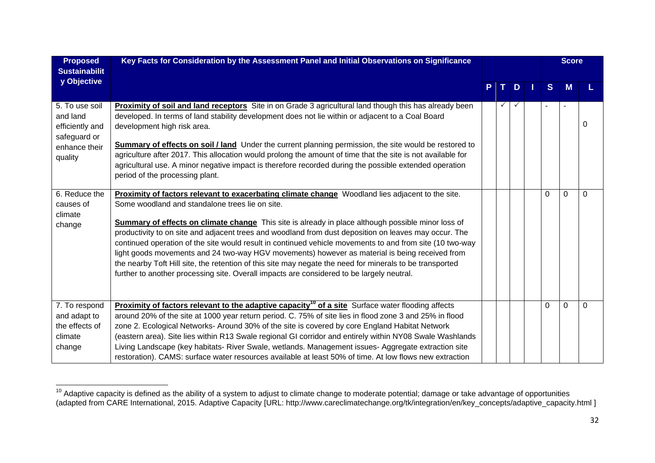| <b>Proposed</b><br><b>Sustainabilit</b>                                                   | Key Facts for Consideration by the Assessment Panel and Initial Observations on Significance                                                                                                                                                                                                                                                                                                                                                                                                                                                                                                                                                                                                                                                                                                     |   |              |            |   |          | <b>Score</b> |   |
|-------------------------------------------------------------------------------------------|--------------------------------------------------------------------------------------------------------------------------------------------------------------------------------------------------------------------------------------------------------------------------------------------------------------------------------------------------------------------------------------------------------------------------------------------------------------------------------------------------------------------------------------------------------------------------------------------------------------------------------------------------------------------------------------------------------------------------------------------------------------------------------------------------|---|--------------|------------|---|----------|--------------|---|
| y Objective                                                                               |                                                                                                                                                                                                                                                                                                                                                                                                                                                                                                                                                                                                                                                                                                                                                                                                  | P | $\mathbf{T}$ | $\bf \Phi$ | Т | S        | М            |   |
| 5. To use soil<br>and land<br>efficiently and<br>safeguard or<br>enhance their<br>quality | Proximity of soil and land receptors Site in on Grade 3 agricultural land though this has already been<br>developed. In terms of land stability development does not lie within or adjacent to a Coal Board<br>development high risk area.<br><b>Summary of effects on soil / land</b> Under the current planning permission, the site would be restored to<br>agriculture after 2017. This allocation would prolong the amount of time that the site is not available for<br>agricultural use. A minor negative impact is therefore recorded during the possible extended operation<br>period of the processing plant.                                                                                                                                                                          |   | ✓            |            |   |          |              | 0 |
| 6. Reduce the<br>causes of<br>climate<br>change                                           | Proximity of factors relevant to exacerbating climate change Woodland lies adjacent to the site.<br>Some woodland and standalone trees lie on site.<br><b>Summary of effects on climate change</b> This site is already in place although possible minor loss of<br>productivity to on site and adjacent trees and woodland from dust deposition on leaves may occur. The<br>continued operation of the site would result in continued vehicle movements to and from site (10 two-way<br>light goods movements and 24 two-way HGV movements) however as material is being received from<br>the nearby Toft Hill site, the retention of this site may negate the need for minerals to be transported<br>further to another processing site. Overall impacts are considered to be largely neutral. |   |              |            |   | $\Omega$ | $\Omega$     | 0 |
| 7. To respond<br>and adapt to<br>the effects of<br>climate<br>change                      | Proximity of factors relevant to the adaptive capacity <sup>10</sup> of a site Surface water flooding affects<br>around 20% of the site at 1000 year return period. C. 75% of site lies in flood zone 3 and 25% in flood<br>zone 2. Ecological Networks-Around 30% of the site is covered by core England Habitat Network<br>(eastern area). Site lies within R13 Swale regional GI corridor and entirely within NY08 Swale Washlands<br>Living Landscape (key habitats- River Swale, wetlands. Management issues- Aggregate extraction site<br>restoration). CAMS: surface water resources available at least 50% of time. At low flows new extraction                                                                                                                                          |   |              |            |   | 0        | $\Omega$     | 0 |

 $^{10}$  Adaptive capacity is defined as the ability of a system to adjust to climate change to moderate potential; damage or take advantage of opportunities (adapted from CARE International, 2015. Adaptive Capacity [URL: http://www.careclimatechange.org/tk/integration/en/key\_concepts/adaptive\_capacity.html ]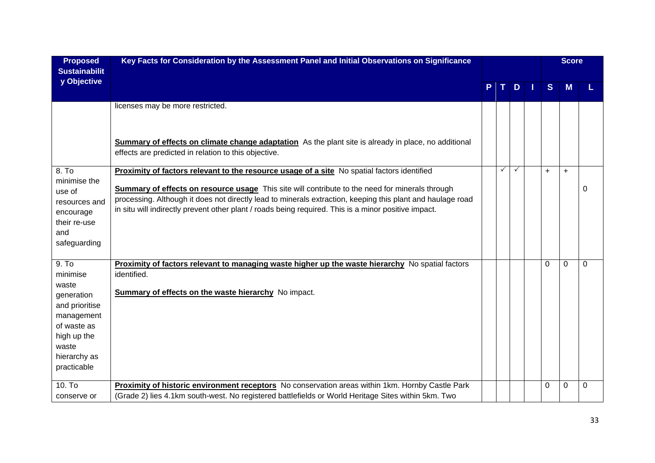| <b>Proposed</b><br><b>Sustainabilit</b>                                                                                                        | Key Facts for Consideration by the Assessment Panel and Initial Observations on Significance                                                                                                                                                                                                                                                                                                                                |   |              |              |   |              | <b>Score</b> |          |
|------------------------------------------------------------------------------------------------------------------------------------------------|-----------------------------------------------------------------------------------------------------------------------------------------------------------------------------------------------------------------------------------------------------------------------------------------------------------------------------------------------------------------------------------------------------------------------------|---|--------------|--------------|---|--------------|--------------|----------|
| y Objective                                                                                                                                    |                                                                                                                                                                                                                                                                                                                                                                                                                             | P | $\mathbf{T}$ | D            | 1 | <sub>S</sub> | M            |          |
|                                                                                                                                                | licenses may be more restricted.<br><b>Summary of effects on climate change adaptation</b> As the plant site is already in place, no additional<br>effects are predicted in relation to this objective.                                                                                                                                                                                                                     |   |              |              |   |              |              |          |
| 8. To<br>minimise the<br>use of<br>resources and<br>encourage<br>their re-use<br>and<br>safeguarding                                           | Proximity of factors relevant to the resource usage of a site No spatial factors identified<br><b>Summary of effects on resource usage</b> This site will contribute to the need for minerals through<br>processing. Although it does not directly lead to minerals extraction, keeping this plant and haulage road<br>in situ will indirectly prevent other plant / roads being required. This is a minor positive impact. |   | $\checkmark$ | $\checkmark$ |   | $+$          | $+$          | $\Omega$ |
| 9. To<br>minimise<br>waste<br>generation<br>and prioritise<br>management<br>of waste as<br>high up the<br>waste<br>hierarchy as<br>practicable | <b>Proximity of factors relevant to managing waste higher up the waste hierarchy</b> No spatial factors<br>identified.<br><b>Summary of effects on the waste hierarchy</b> No impact.                                                                                                                                                                                                                                       |   |              |              |   | $\Omega$     | $\Omega$     | $\Omega$ |
| 10. To<br>conserve or                                                                                                                          | Proximity of historic environment receptors No conservation areas within 1km. Hornby Castle Park<br>(Grade 2) lies 4.1km south-west. No registered battlefields or World Heritage Sites within 5km. Two                                                                                                                                                                                                                     |   |              |              |   | 0            | 0            | 0        |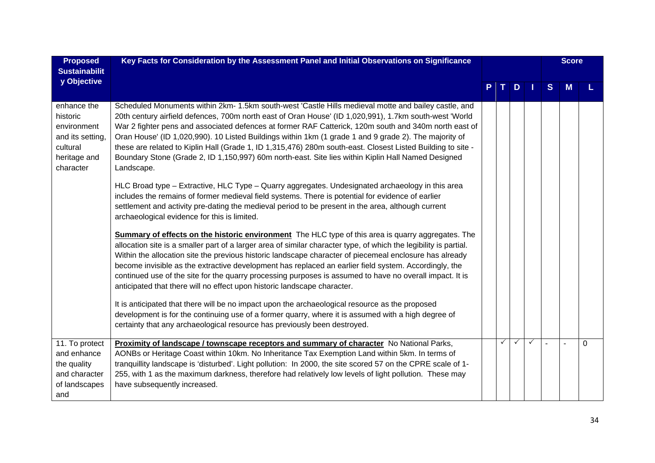| <b>Proposed</b>                                                                                     | Key Facts for Consideration by the Assessment Panel and Initial Observations on Significance                                                                                                                                                                                                                                                                                                                                                                                                                                                                                                                                                                        |   |              |              |              |        | <b>Score</b> |          |
|-----------------------------------------------------------------------------------------------------|---------------------------------------------------------------------------------------------------------------------------------------------------------------------------------------------------------------------------------------------------------------------------------------------------------------------------------------------------------------------------------------------------------------------------------------------------------------------------------------------------------------------------------------------------------------------------------------------------------------------------------------------------------------------|---|--------------|--------------|--------------|--------|--------------|----------|
| <b>Sustainabilit</b>                                                                                |                                                                                                                                                                                                                                                                                                                                                                                                                                                                                                                                                                                                                                                                     |   |              |              |              |        |              |          |
| y Objective                                                                                         |                                                                                                                                                                                                                                                                                                                                                                                                                                                                                                                                                                                                                                                                     | P | $\mathbf{T}$ | D            | 1            | S      | M            |          |
| enhance the<br>historic<br>environment<br>and its setting,<br>cultural<br>heritage and<br>character | Scheduled Monuments within 2km- 1.5km south-west 'Castle Hills medieval motte and bailey castle, and<br>20th century airfield defences, 700m north east of Oran House' (ID 1,020,991), 1.7km south-west 'World<br>War 2 fighter pens and associated defences at former RAF Catterick, 120m south and 340m north east of<br>Oran House' (ID 1,020,990). 10 Listed Buildings within 1km (1 grade 1 and 9 grade 2). The majority of<br>these are related to Kiplin Hall (Grade 1, ID 1,315,476) 280m south-east. Closest Listed Building to site -<br>Boundary Stone (Grade 2, ID 1,150,997) 60m north-east. Site lies within Kiplin Hall Named Designed<br>Landscape. |   |              |              |              |        |              |          |
|                                                                                                     | HLC Broad type – Extractive, HLC Type – Quarry aggregates. Undesignated archaeology in this area<br>includes the remains of former medieval field systems. There is potential for evidence of earlier<br>settlement and activity pre-dating the medieval period to be present in the area, although current<br>archaeological evidence for this is limited.                                                                                                                                                                                                                                                                                                         |   |              |              |              |        |              |          |
|                                                                                                     | <b>Summary of effects on the historic environment</b> The HLC type of this area is quarry aggregates. The<br>allocation site is a smaller part of a larger area of similar character type, of which the legibility is partial.<br>Within the allocation site the previous historic landscape character of piecemeal enclosure has already<br>become invisible as the extractive development has replaced an earlier field system. Accordingly, the<br>continued use of the site for the quarry processing purposes is assumed to have no overall impact. It is<br>anticipated that there will no effect upon historic landscape character.                          |   |              |              |              |        |              |          |
|                                                                                                     | It is anticipated that there will be no impact upon the archaeological resource as the proposed<br>development is for the continuing use of a former quarry, where it is assumed with a high degree of<br>certainty that any archaeological resource has previously been destroyed.                                                                                                                                                                                                                                                                                                                                                                                 |   |              |              |              |        |              |          |
| 11. To protect<br>and enhance<br>the quality<br>and character<br>of landscapes<br>and               | Proximity of landscape / townscape receptors and summary of character No National Parks,<br>AONBs or Heritage Coast within 10km. No Inheritance Tax Exemption Land within 5km. In terms of<br>tranquillity landscape is 'disturbed'. Light pollution: In 2000, the site scored 57 on the CPRE scale of 1-<br>255, with 1 as the maximum darkness, therefore had relatively low levels of light pollution. These may<br>have subsequently increased.                                                                                                                                                                                                                 |   | ✓            | $\checkmark$ | $\checkmark$ | $\sim$ |              | $\Omega$ |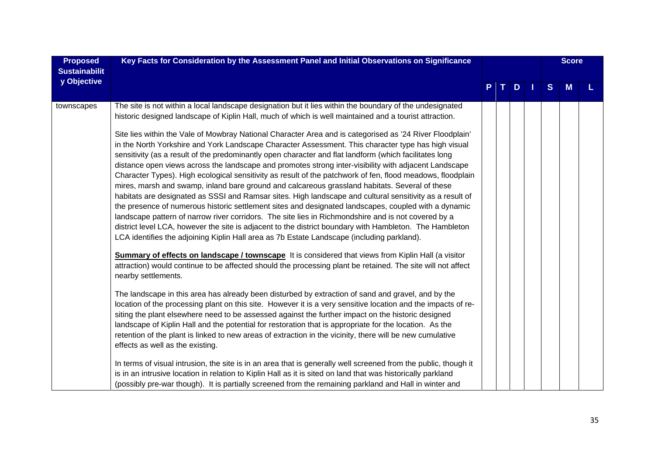| <b>Proposed</b><br><b>Sustainabilit</b> | Key Facts for Consideration by the Assessment Panel and Initial Observations on Significance                                                                                                                                                                                                                                                                                                                                                                                                                                                                                                                                                                                                                                                                                                                                                                                                                                                                                                                                                                                                                                                                                                                                                                                                                                                                                                                                                                                                                               |    |     |             |              | <b>Score</b> |  |
|-----------------------------------------|----------------------------------------------------------------------------------------------------------------------------------------------------------------------------------------------------------------------------------------------------------------------------------------------------------------------------------------------------------------------------------------------------------------------------------------------------------------------------------------------------------------------------------------------------------------------------------------------------------------------------------------------------------------------------------------------------------------------------------------------------------------------------------------------------------------------------------------------------------------------------------------------------------------------------------------------------------------------------------------------------------------------------------------------------------------------------------------------------------------------------------------------------------------------------------------------------------------------------------------------------------------------------------------------------------------------------------------------------------------------------------------------------------------------------------------------------------------------------------------------------------------------------|----|-----|-------------|--------------|--------------|--|
| y Objective                             |                                                                                                                                                                                                                                                                                                                                                                                                                                                                                                                                                                                                                                                                                                                                                                                                                                                                                                                                                                                                                                                                                                                                                                                                                                                                                                                                                                                                                                                                                                                            | P. | IT. | $\mathbf D$ | <sub>S</sub> | M            |  |
| townscapes                              | The site is not within a local landscape designation but it lies within the boundary of the undesignated<br>historic designed landscape of Kiplin Hall, much of which is well maintained and a tourist attraction.<br>Site lies within the Vale of Mowbray National Character Area and is categorised as '24 River Floodplain'<br>in the North Yorkshire and York Landscape Character Assessment. This character type has high visual<br>sensitivity (as a result of the predominantly open character and flat landform (which facilitates long<br>distance open views across the landscape and promotes strong inter-visibility with adjacent Landscape<br>Character Types). High ecological sensitivity as result of the patchwork of fen, flood meadows, floodplain<br>mires, marsh and swamp, inland bare ground and calcareous grassland habitats. Several of these<br>habitats are designated as SSSI and Ramsar sites. High landscape and cultural sensitivity as a result of<br>the presence of numerous historic settlement sites and designated landscapes, coupled with a dynamic<br>landscape pattern of narrow river corridors. The site lies in Richmondshire and is not covered by a<br>district level LCA, however the site is adjacent to the district boundary with Hambleton. The Hambleton<br>LCA identifies the adjoining Kiplin Hall area as 7b Estate Landscape (including parkland).<br><b>Summary of effects on landscape / townscape</b> It is considered that views from Kiplin Hall (a visitor |    |     |             |              |              |  |
|                                         | attraction) would continue to be affected should the processing plant be retained. The site will not affect<br>nearby settlements.<br>The landscape in this area has already been disturbed by extraction of sand and gravel, and by the<br>location of the processing plant on this site. However it is a very sensitive location and the impacts of re-<br>siting the plant elsewhere need to be assessed against the further impact on the historic designed<br>landscape of Kiplin Hall and the potential for restoration that is appropriate for the location. As the<br>retention of the plant is linked to new areas of extraction in the vicinity, there will be new cumulative<br>effects as well as the existing.<br>In terms of visual intrusion, the site is in an area that is generally well screened from the public, though it                                                                                                                                                                                                                                                                                                                                                                                                                                                                                                                                                                                                                                                                             |    |     |             |              |              |  |
|                                         | is in an intrusive location in relation to Kiplin Hall as it is sited on land that was historically parkland<br>(possibly pre-war though). It is partially screened from the remaining parkland and Hall in winter and                                                                                                                                                                                                                                                                                                                                                                                                                                                                                                                                                                                                                                                                                                                                                                                                                                                                                                                                                                                                                                                                                                                                                                                                                                                                                                     |    |     |             |              |              |  |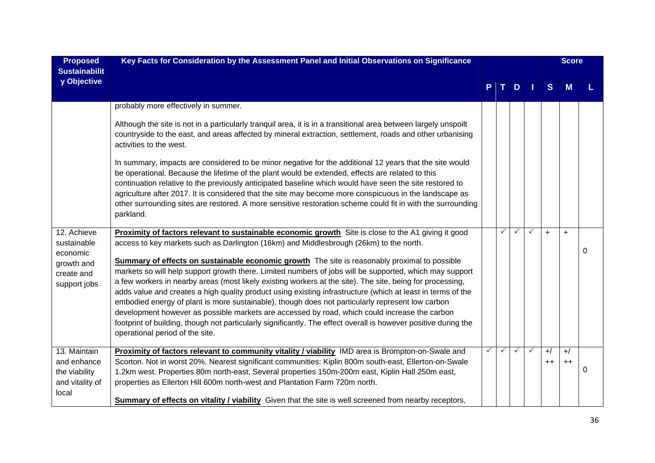| <b>Proposed</b><br><b>Sustainabilit</b>                                            | Key Facts for Consideration by the Assessment Panel and Initial Observations on Significance                                                                                                                                                                                                                                                                                                                                                                                                                                                                                                                                                                                                                                                                                                                                                                                                                                                                                                     |              |              |              |              |                  | <b>Score</b>     |   |  |  |
|------------------------------------------------------------------------------------|--------------------------------------------------------------------------------------------------------------------------------------------------------------------------------------------------------------------------------------------------------------------------------------------------------------------------------------------------------------------------------------------------------------------------------------------------------------------------------------------------------------------------------------------------------------------------------------------------------------------------------------------------------------------------------------------------------------------------------------------------------------------------------------------------------------------------------------------------------------------------------------------------------------------------------------------------------------------------------------------------|--------------|--------------|--------------|--------------|------------------|------------------|---|--|--|
| y Objective                                                                        |                                                                                                                                                                                                                                                                                                                                                                                                                                                                                                                                                                                                                                                                                                                                                                                                                                                                                                                                                                                                  |              |              | D            | п            | S                | M                |   |  |  |
|                                                                                    | probably more effectively in summer.                                                                                                                                                                                                                                                                                                                                                                                                                                                                                                                                                                                                                                                                                                                                                                                                                                                                                                                                                             |              |              |              |              |                  |                  |   |  |  |
|                                                                                    | Although the site is not in a particularly tranquil area, it is in a transitional area between largely unspoilt<br>countryside to the east, and areas affected by mineral extraction, settlement, roads and other urbanising<br>activities to the west.                                                                                                                                                                                                                                                                                                                                                                                                                                                                                                                                                                                                                                                                                                                                          |              |              |              |              |                  |                  |   |  |  |
|                                                                                    | In summary, impacts are considered to be minor negative for the additional 12 years that the site would<br>be operational. Because the lifetime of the plant would be extended, effects are related to this<br>continuation relative to the previously anticipated baseline which would have seen the site restored to<br>agriculture after 2017. It is considered that the site may become more conspicuous in the landscape as<br>other surrounding sites are restored. A more sensitive restoration scheme could fit in with the surrounding<br>parkland.                                                                                                                                                                                                                                                                                                                                                                                                                                     |              |              |              |              |                  |                  |   |  |  |
| 12. Achieve<br>sustainable<br>economic<br>growth and<br>create and<br>support jobs | Proximity of factors relevant to sustainable economic growth Site is close to the A1 giving it good<br>access to key markets such as Darlington (16km) and Middlesbrough (26km) to the north.<br>Summary of effects on sustainable economic growth The site is reasonably proximal to possible<br>markets so will help support growth there. Limited numbers of jobs will be supported, which may support<br>a few workers in nearby areas (most likely existing workers at the site). The site, being for processing,<br>adds value and creates a high quality product using existing infrastructure (which at least in terms of the<br>embodied energy of plant is more sustainable), though does not particularly represent low carbon<br>development however as possible markets are accessed by road, which could increase the carbon<br>footprint of building, though not particularly significantly. The effect overall is however positive during the<br>operational period of the site. |              | $\checkmark$ | ✓            | $\checkmark$ | $\ddot{}$        | $\ddot{}$        | 0 |  |  |
| 13. Maintain<br>and enhance<br>the viability<br>and vitality of<br>local           | Proximity of factors relevant to community vitality / viability IMD area is Brompton-on-Swale and<br>Scorton. Not in worst 20%. Nearest significant communities: Kiplin 800m south-east, Ellerton-on-Swale<br>1.2km west. Properties 80m north-east, Several properties 150m-200m east, Kiplin Hall 250m east,<br>properties as Ellerton Hill 600m north-west and Plantation Farm 720m north.<br>Summary of effects on vitality / viability Given that the site is well screened from nearby receptors,                                                                                                                                                                                                                                                                                                                                                                                                                                                                                          | $\checkmark$ | $\checkmark$ | $\checkmark$ | $\checkmark$ | $+$ /<br>$^{++}$ | $+$ /<br>$^{++}$ | 0 |  |  |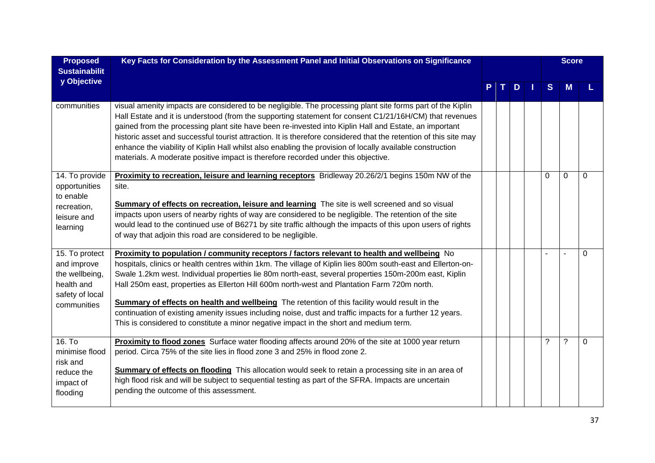| <b>Proposed</b><br><b>Sustainabilit</b>                                                         | Key Facts for Consideration by the Assessment Panel and Initial Observations on Significance                                                                                                                                                                                                                                                                                                                                                                                                                                                                                                                                                                                                                                       |    |   |   |   | <b>Score</b> |              |
|-------------------------------------------------------------------------------------------------|------------------------------------------------------------------------------------------------------------------------------------------------------------------------------------------------------------------------------------------------------------------------------------------------------------------------------------------------------------------------------------------------------------------------------------------------------------------------------------------------------------------------------------------------------------------------------------------------------------------------------------------------------------------------------------------------------------------------------------|----|---|---|---|--------------|--------------|
| y Objective                                                                                     |                                                                                                                                                                                                                                                                                                                                                                                                                                                                                                                                                                                                                                                                                                                                    | т. | D | Ш | S | M            |              |
| communities                                                                                     | visual amenity impacts are considered to be negligible. The processing plant site forms part of the Kiplin<br>Hall Estate and it is understood (from the supporting statement for consent C1/21/16H/CM) that revenues<br>gained from the processing plant site have been re-invested into Kiplin Hall and Estate, an important<br>historic asset and successful tourist attraction. It is therefore considered that the retention of this site may<br>enhance the viability of Kiplin Hall whilst also enabling the provision of locally available construction<br>materials. A moderate positive impact is therefore recorded under this objective.                                                                               |    |   |   |   |              |              |
| 14. To provide<br>opportunities<br>to enable<br>recreation,<br>leisure and<br>learning          | <b>Proximity to recreation, leisure and learning receptors</b> Bridleway 20.26/2/1 begins 150m NW of the<br>site.<br><b>Summary of effects on recreation, leisure and learning</b> The site is well screened and so visual<br>impacts upon users of nearby rights of way are considered to be negligible. The retention of the site<br>would lead to the continued use of B6271 by site traffic although the impacts of this upon users of rights<br>of way that adjoin this road are considered to be negligible.                                                                                                                                                                                                                 |    |   |   | 0 | 0            | $\Omega$     |
| 15. To protect<br>and improve<br>the wellbeing,<br>health and<br>safety of local<br>communities | Proximity to population / community receptors / factors relevant to health and wellbeing No<br>hospitals, clinics or health centres within 1km. The village of Kiplin lies 800m south-east and Ellerton-on-<br>Swale 1.2km west. Individual properties lie 80m north-east, several properties 150m-200m east, Kiplin<br>Hall 250m east, properties as Ellerton Hill 600m north-west and Plantation Farm 720m north.<br><b>Summary of effects on health and wellbeing</b> The retention of this facility would result in the<br>continuation of existing amenity issues including noise, dust and traffic impacts for a further 12 years.<br>This is considered to constitute a minor negative impact in the short and medium term. |    |   |   |   |              | $\Omega$     |
| 16. To<br>minimise flood<br>risk and<br>reduce the<br>impact of<br>flooding                     | Proximity to flood zones Surface water flooding affects around 20% of the site at 1000 year return<br>period. Circa 75% of the site lies in flood zone 3 and 25% in flood zone 2.<br><b>Summary of effects on flooding</b> This allocation would seek to retain a processing site in an area of<br>high flood risk and will be subject to sequential testing as part of the SFRA. Impacts are uncertain<br>pending the outcome of this assessment.                                                                                                                                                                                                                                                                                 |    |   |   | ? | ?            | $\mathbf{0}$ |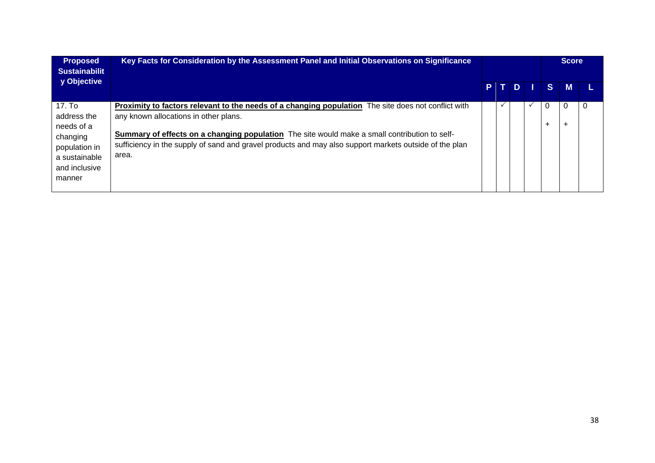| <b>Proposed</b><br><b>Sustainabilit</b>                                                                      | Key Facts for Consideration by the Assessment Panel and Initial Observations on Significance                                                                                                                                                                                                                                                                            |  |     |     | <b>Score</b> |             |   |  |  |
|--------------------------------------------------------------------------------------------------------------|-------------------------------------------------------------------------------------------------------------------------------------------------------------------------------------------------------------------------------------------------------------------------------------------------------------------------------------------------------------------------|--|-----|-----|--------------|-------------|---|--|--|
| y Objective                                                                                                  |                                                                                                                                                                                                                                                                                                                                                                         |  | PTD | -11 | <b>SI</b>    | M           |   |  |  |
| 17. To<br>address the<br>needs of a<br>changing<br>population in<br>a sustainable<br>and inclusive<br>manner | <b>Proximity to factors relevant to the needs of a changing population</b> The site does not conflict with<br>any known allocations in other plans.<br>Summary of effects on a changing population The site would make a small contribution to self-<br>sufficiency in the supply of sand and gravel products and may also support markets outside of the plan<br>area. |  |     |     |              | O<br>$\div$ | 0 |  |  |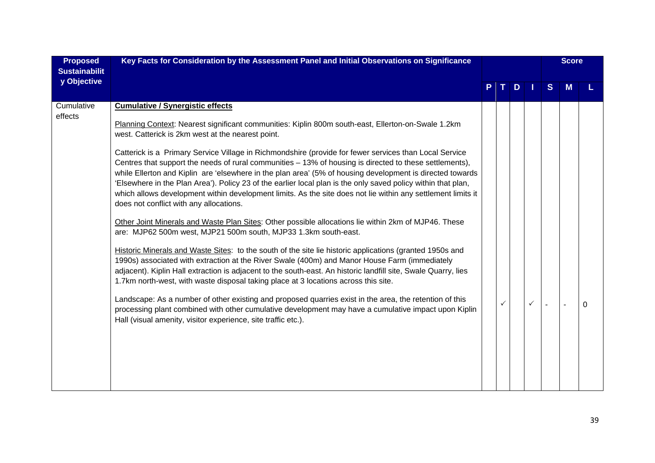| <b>Proposed</b><br><b>Sustainabilit</b> | Key Facts for Consideration by the Assessment Panel and Initial Observations on Significance                                                                                                                                                                                                                                                                                                                                                                                                                                                                                                               |   |   |   |              |   |   |  |  | <b>Score</b> |  |
|-----------------------------------------|------------------------------------------------------------------------------------------------------------------------------------------------------------------------------------------------------------------------------------------------------------------------------------------------------------------------------------------------------------------------------------------------------------------------------------------------------------------------------------------------------------------------------------------------------------------------------------------------------------|---|---|---|--------------|---|---|--|--|--------------|--|
| y Objective                             |                                                                                                                                                                                                                                                                                                                                                                                                                                                                                                                                                                                                            | P |   | D |              | S | М |  |  |              |  |
| Cumulative                              | <b>Cumulative / Synergistic effects</b>                                                                                                                                                                                                                                                                                                                                                                                                                                                                                                                                                                    |   |   |   |              |   |   |  |  |              |  |
| effects                                 | Planning Context: Nearest significant communities: Kiplin 800m south-east, Ellerton-on-Swale 1.2km<br>west. Catterick is 2km west at the nearest point.                                                                                                                                                                                                                                                                                                                                                                                                                                                    |   |   |   |              |   |   |  |  |              |  |
|                                         | Catterick is a Primary Service Village in Richmondshire (provide for fewer services than Local Service<br>Centres that support the needs of rural communities - 13% of housing is directed to these settlements),<br>while Ellerton and Kiplin are 'elsewhere in the plan area' (5% of housing development is directed towards<br>'Elsewhere in the Plan Area'). Policy 23 of the earlier local plan is the only saved policy within that plan,<br>which allows development within development limits. As the site does not lie within any settlement limits it<br>does not conflict with any allocations. |   |   |   |              |   |   |  |  |              |  |
|                                         | Other Joint Minerals and Waste Plan Sites: Other possible allocations lie within 2km of MJP46. These<br>are: MJP62 500m west, MJP21 500m south, MJP33 1.3km south-east.                                                                                                                                                                                                                                                                                                                                                                                                                                    |   |   |   |              |   |   |  |  |              |  |
|                                         | Historic Minerals and Waste Sites: to the south of the site lie historic applications (granted 1950s and<br>1990s) associated with extraction at the River Swale (400m) and Manor House Farm (immediately<br>adjacent). Kiplin Hall extraction is adjacent to the south-east. An historic landfill site, Swale Quarry, lies<br>1.7km north-west, with waste disposal taking place at 3 locations across this site.                                                                                                                                                                                         |   |   |   |              |   |   |  |  |              |  |
|                                         | Landscape: As a number of other existing and proposed quarries exist in the area, the retention of this<br>processing plant combined with other cumulative development may have a cumulative impact upon Kiplin<br>Hall (visual amenity, visitor experience, site traffic etc.).                                                                                                                                                                                                                                                                                                                           |   | ✓ |   | $\checkmark$ |   |   |  |  |              |  |
|                                         |                                                                                                                                                                                                                                                                                                                                                                                                                                                                                                                                                                                                            |   |   |   |              |   |   |  |  |              |  |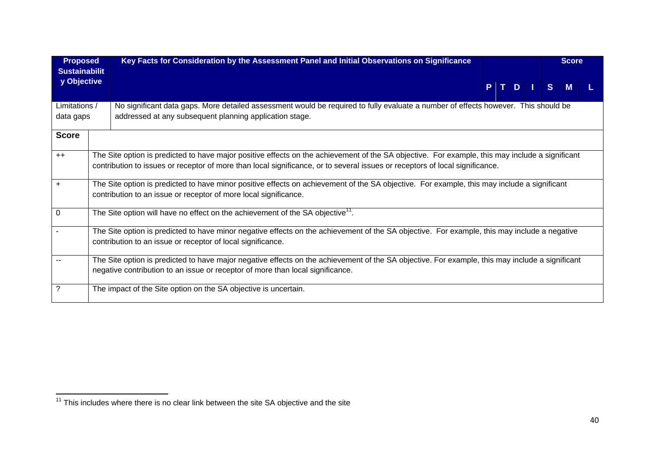| <b>Proposed</b><br><b>Sustainabilit</b> | Key Facts for Consideration by the Assessment Panel and Initial Observations on Significance                                                                                                                                                                                    |       |  |              | <b>Score</b> |  |
|-----------------------------------------|---------------------------------------------------------------------------------------------------------------------------------------------------------------------------------------------------------------------------------------------------------------------------------|-------|--|--------------|--------------|--|
| y Objective                             |                                                                                                                                                                                                                                                                                 | PTDII |  | <sub>S</sub> | M            |  |
| Limitations /<br>data gaps              | No significant data gaps. More detailed assessment would be required to fully evaluate a number of effects however. This should be<br>addressed at any subsequent planning application stage.                                                                                   |       |  |              |              |  |
| <b>Score</b>                            |                                                                                                                                                                                                                                                                                 |       |  |              |              |  |
| $++$                                    | The Site option is predicted to have major positive effects on the achievement of the SA objective. For example, this may include a significant<br>contribution to issues or receptor of more than local significance, or to several issues or receptors of local significance. |       |  |              |              |  |
| $\ddot{}$                               | The Site option is predicted to have minor positive effects on achievement of the SA objective. For example, this may include a significant<br>contribution to an issue or receptor of more local significance.                                                                 |       |  |              |              |  |
| $\Omega$                                | The Site option will have no effect on the achievement of the SA objective <sup>11</sup> .                                                                                                                                                                                      |       |  |              |              |  |
|                                         | The Site option is predicted to have minor negative effects on the achievement of the SA objective. For example, this may include a negative<br>contribution to an issue or receptor of local significance.                                                                     |       |  |              |              |  |
| --                                      | The Site option is predicted to have major negative effects on the achievement of the SA objective. For example, this may include a significant<br>negative contribution to an issue or receptor of more than local significance.                                               |       |  |              |              |  |
| $\ddot{?}$                              | The impact of the Site option on the SA objective is uncertain.                                                                                                                                                                                                                 |       |  |              |              |  |

<sup>&</sup>lt;sup>11</sup> This includes where there is no clear link between the site SA objective and the site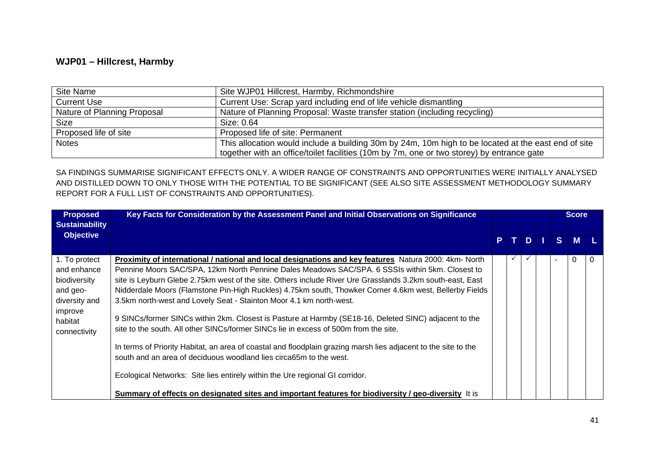#### **WJP01 – Hillcrest, Harmby**

| Site Name                   | Site WJP01 Hillcrest, Harmby, Richmondshire                                                         |
|-----------------------------|-----------------------------------------------------------------------------------------------------|
| <b>Current Use</b>          | Current Use: Scrap yard including end of life vehicle dismantling                                   |
| Nature of Planning Proposal | Nature of Planning Proposal: Waste transfer station (including recycling)                           |
| <b>Size</b>                 | Size: 0.64                                                                                          |
| Proposed life of site       | Proposed life of site: Permanent                                                                    |
| <b>Notes</b>                | This allocation would include a building 30m by 24m, 10m high to be located at the east end of site |
|                             | together with an office/toilet facilities (10m by 7m, one or two storey) by entrance gate           |

| <b>Proposed</b><br><b>Sustainability</b>                                                                        | Key Facts for Consideration by the Assessment Panel and Initial Observations on Significance                                                                                                                                                                                                                                                                                                                                                                                                                                                                                                                                                                                                                                                                                                                                                                                                                                                                                                                                                                                            |    |              |   | <b>Score</b>             |          |          |
|-----------------------------------------------------------------------------------------------------------------|-----------------------------------------------------------------------------------------------------------------------------------------------------------------------------------------------------------------------------------------------------------------------------------------------------------------------------------------------------------------------------------------------------------------------------------------------------------------------------------------------------------------------------------------------------------------------------------------------------------------------------------------------------------------------------------------------------------------------------------------------------------------------------------------------------------------------------------------------------------------------------------------------------------------------------------------------------------------------------------------------------------------------------------------------------------------------------------------|----|--------------|---|--------------------------|----------|----------|
| <b>Objective</b>                                                                                                |                                                                                                                                                                                                                                                                                                                                                                                                                                                                                                                                                                                                                                                                                                                                                                                                                                                                                                                                                                                                                                                                                         | P. |              | D | S.                       | <b>M</b> |          |
| 1. To protect<br>and enhance<br>biodiversity<br>and geo-<br>diversity and<br>improve<br>habitat<br>connectivity | Proximity of international / national and local designations and key features Natura 2000: 4km- North<br>Pennine Moors SAC/SPA, 12km North Pennine Dales Meadows SAC/SPA. 6 SSSIs within 5km. Closest to<br>site is Leyburn Glebe 2.75km west of the site. Others include River Ure Grasslands 3.2km south-east, East<br>Nidderdale Moors (Flamstone Pin-High Ruckles) 4.75km south, Thowker Corner 4.6km west, Bellerby Fields<br>3.5km north-west and Lovely Seat - Stainton Moor 4.1 km north-west.<br>9 SINCs/former SINCs within 2km. Closest is Pasture at Harmby (SE18-16, Deleted SINC) adjacent to the<br>site to the south. All other SINCs/former SINCs lie in excess of 500m from the site.<br>In terms of Priority Habitat, an area of coastal and floodplain grazing marsh lies adjacent to the site to the<br>south and an area of deciduous woodland lies circa65m to the west.<br>Ecological Networks: Site lies entirely within the Ure regional GI corridor.<br>Summary of effects on designated sites and important features for biodiversity / geo-diversity It is |    | $\checkmark$ |   | $\overline{\phantom{a}}$ | $\Omega$ | $\Omega$ |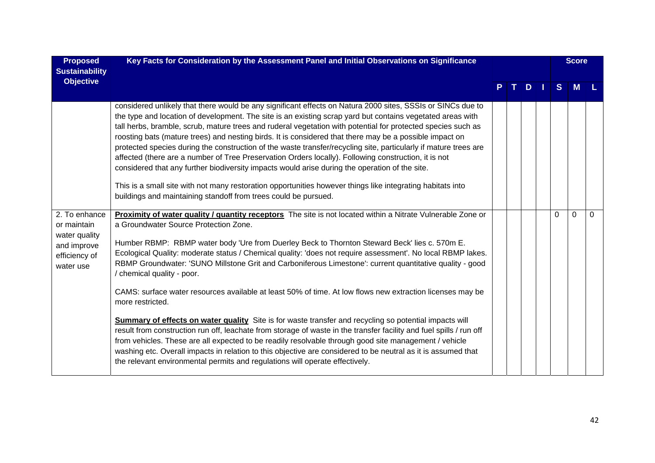| <b>Proposed</b><br><b>Sustainability</b>                                                   | Key Facts for Consideration by the Assessment Panel and Initial Observations on Significance                                                                                                                                                                                                                                                                                                                                                                                                                                                                                                                                                                                                                                                                                                                                                                                                                                                                                                                                                                                                                      |    |     |          | <b>Score</b> |          |
|--------------------------------------------------------------------------------------------|-------------------------------------------------------------------------------------------------------------------------------------------------------------------------------------------------------------------------------------------------------------------------------------------------------------------------------------------------------------------------------------------------------------------------------------------------------------------------------------------------------------------------------------------------------------------------------------------------------------------------------------------------------------------------------------------------------------------------------------------------------------------------------------------------------------------------------------------------------------------------------------------------------------------------------------------------------------------------------------------------------------------------------------------------------------------------------------------------------------------|----|-----|----------|--------------|----------|
| <b>Objective</b>                                                                           |                                                                                                                                                                                                                                                                                                                                                                                                                                                                                                                                                                                                                                                                                                                                                                                                                                                                                                                                                                                                                                                                                                                   | т. | $D$ | S        | <b>M</b>     |          |
|                                                                                            | considered unlikely that there would be any significant effects on Natura 2000 sites, SSSIs or SINCs due to<br>the type and location of development. The site is an existing scrap yard but contains vegetated areas with<br>tall herbs, bramble, scrub, mature trees and ruderal vegetation with potential for protected species such as<br>roosting bats (mature trees) and nesting birds. It is considered that there may be a possible impact on<br>protected species during the construction of the waste transfer/recycling site, particularly if mature trees are<br>affected (there are a number of Tree Preservation Orders locally). Following construction, it is not<br>considered that any further biodiversity impacts would arise during the operation of the site.<br>This is a small site with not many restoration opportunities however things like integrating habitats into<br>buildings and maintaining standoff from trees could be pursued.                                                                                                                                               |    |     |          |              |          |
| 2. To enhance<br>or maintain<br>water quality<br>and improve<br>efficiency of<br>water use | Proximity of water quality / quantity receptors The site is not located within a Nitrate Vulnerable Zone or<br>a Groundwater Source Protection Zone.<br>Humber RBMP: RBMP water body 'Ure from Duerley Beck to Thornton Steward Beck' lies c. 570m E.<br>Ecological Quality: moderate status / Chemical quality: 'does not require assessment'. No local RBMP lakes.<br>RBMP Groundwater: 'SUNO Millstone Grit and Carboniferous Limestone': current quantitative quality - good<br>/ chemical quality - poor.<br>CAMS: surface water resources available at least 50% of time. At low flows new extraction licenses may be<br>more restricted.<br><b>Summary of effects on water quality</b> Site is for waste transfer and recycling so potential impacts will<br>result from construction run off, leachate from storage of waste in the transfer facility and fuel spills / run off<br>from vehicles. These are all expected to be readily resolvable through good site management / vehicle<br>washing etc. Overall impacts in relation to this objective are considered to be neutral as it is assumed that |    |     | $\Omega$ | $\Omega$     | $\Omega$ |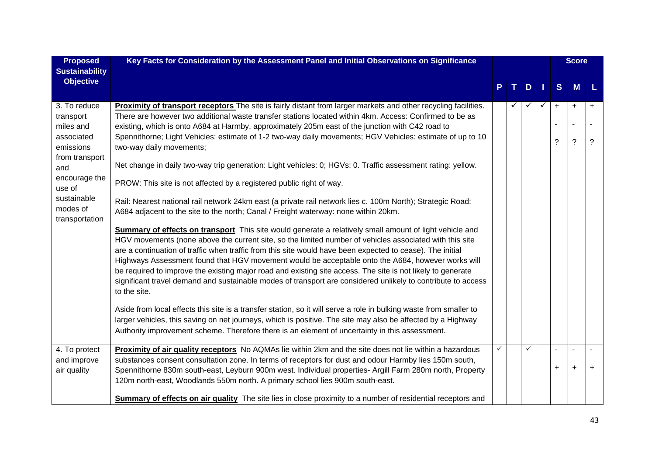| <b>Proposed</b>         | Key Facts for Consideration by the Assessment Panel and Initial Observations on Significance                                                                                                                              |   |   |              |              |   | <b>Score</b>   |           |
|-------------------------|---------------------------------------------------------------------------------------------------------------------------------------------------------------------------------------------------------------------------|---|---|--------------|--------------|---|----------------|-----------|
| <b>Sustainability</b>   |                                                                                                                                                                                                                           |   |   |              |              |   |                |           |
| <b>Objective</b>        |                                                                                                                                                                                                                           |   |   | D            |              | S | M              | L         |
|                         |                                                                                                                                                                                                                           |   |   |              |              |   |                |           |
| 3. To reduce            | Proximity of transport receptors The site is fairly distant from larger markets and other recycling facilities.                                                                                                           |   | ✓ | ✓            | $\checkmark$ | + | $\ddot{}$      | $\ddot{}$ |
| transport               | There are however two additional waste transfer stations located within 4km. Access: Confirmed to be as                                                                                                                   |   |   |              |              |   |                |           |
| miles and<br>associated | existing, which is onto A684 at Harmby, approximately 205m east of the junction with C42 road to                                                                                                                          |   |   |              |              |   |                |           |
| emissions               | Spennithorne; Light Vehicles: estimate of 1-2 two-way daily movements; HGV Vehicles: estimate of up to 10<br>two-way daily movements;                                                                                     |   |   |              |              | ? | $\tilde{?}$    | ?         |
| from transport          |                                                                                                                                                                                                                           |   |   |              |              |   |                |           |
| and                     | Net change in daily two-way trip generation: Light vehicles: 0; HGVs: 0. Traffic assessment rating: yellow.                                                                                                               |   |   |              |              |   |                |           |
| encourage the<br>use of | PROW: This site is not affected by a registered public right of way.                                                                                                                                                      |   |   |              |              |   |                |           |
| sustainable             | Rail: Nearest national rail network 24km east (a private rail network lies c. 100m North); Strategic Road:                                                                                                                |   |   |              |              |   |                |           |
| modes of                | A684 adjacent to the site to the north; Canal / Freight waterway: none within 20km.                                                                                                                                       |   |   |              |              |   |                |           |
| transportation          |                                                                                                                                                                                                                           |   |   |              |              |   |                |           |
|                         | <b>Summary of effects on transport</b> This site would generate a relatively small amount of light vehicle and<br>HGV movements (none above the current site, so the limited number of vehicles associated with this site |   |   |              |              |   |                |           |
|                         | are a continuation of traffic when traffic from this site would have been expected to cease). The initial                                                                                                                 |   |   |              |              |   |                |           |
|                         | Highways Assessment found that HGV movement would be acceptable onto the A684, however works will                                                                                                                         |   |   |              |              |   |                |           |
|                         | be required to improve the existing major road and existing site access. The site is not likely to generate                                                                                                               |   |   |              |              |   |                |           |
|                         | significant travel demand and sustainable modes of transport are considered unlikely to contribute to access                                                                                                              |   |   |              |              |   |                |           |
|                         | to the site.                                                                                                                                                                                                              |   |   |              |              |   |                |           |
|                         | Aside from local effects this site is a transfer station, so it will serve a role in bulking waste from smaller to                                                                                                        |   |   |              |              |   |                |           |
|                         | larger vehicles, this saving on net journeys, which is positive. The site may also be affected by a Highway                                                                                                               |   |   |              |              |   |                |           |
|                         | Authority improvement scheme. Therefore there is an element of uncertainty in this assessment.                                                                                                                            |   |   |              |              |   |                |           |
| 4. To protect           | Proximity of air quality receptors No AQMAs lie within 2km and the site does not lie within a hazardous                                                                                                                   | ✓ |   | $\checkmark$ |              |   | $\overline{a}$ |           |
| and improve             | substances consent consultation zone. In terms of receptors for dust and odour Harmby lies 150m south,                                                                                                                    |   |   |              |              |   |                |           |
| air quality             | Spennithorne 830m south-east, Leyburn 900m west. Individual properties- Argill Farm 280m north, Property                                                                                                                  |   |   |              |              | + | $\ddot{}$      | $\ddot{}$ |
|                         | 120m north-east, Woodlands 550m north. A primary school lies 900m south-east.                                                                                                                                             |   |   |              |              |   |                |           |
|                         | Summary of effects on air quality The site lies in close proximity to a number of residential receptors and                                                                                                               |   |   |              |              |   |                |           |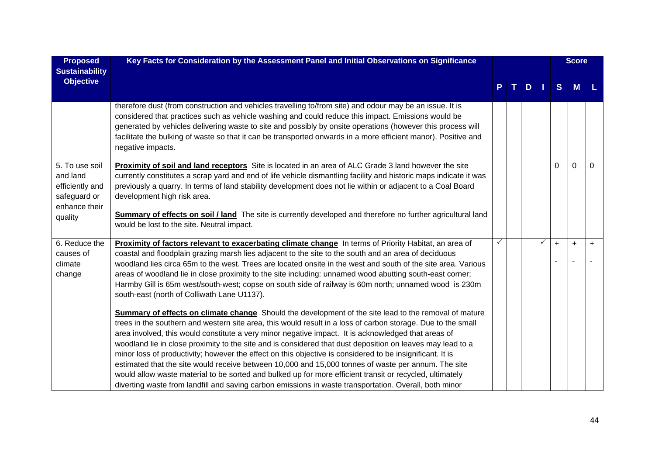| <b>Proposed</b><br><b>Sustainability</b>                                                  | Key Facts for Consideration by the Assessment Panel and Initial Observations on Significance                                                                                                                                                                                                                                                                                                                                                                                                                                                                                                                                                                                                                                                                                |  |   |              |     | <b>Score</b> |          |
|-------------------------------------------------------------------------------------------|-----------------------------------------------------------------------------------------------------------------------------------------------------------------------------------------------------------------------------------------------------------------------------------------------------------------------------------------------------------------------------------------------------------------------------------------------------------------------------------------------------------------------------------------------------------------------------------------------------------------------------------------------------------------------------------------------------------------------------------------------------------------------------|--|---|--------------|-----|--------------|----------|
| <b>Objective</b>                                                                          |                                                                                                                                                                                                                                                                                                                                                                                                                                                                                                                                                                                                                                                                                                                                                                             |  | D |              | S   | M            |          |
|                                                                                           | therefore dust (from construction and vehicles travelling to/from site) and odour may be an issue. It is<br>considered that practices such as vehicle washing and could reduce this impact. Emissions would be<br>generated by vehicles delivering waste to site and possibly by onsite operations (however this process will<br>facilitate the bulking of waste so that it can be transported onwards in a more efficient manor). Positive and<br>negative impacts.                                                                                                                                                                                                                                                                                                        |  |   |              |     |              |          |
| 5. To use soil<br>and land<br>efficiently and<br>safeguard or<br>enhance their<br>quality | Proximity of soil and land receptors Site is located in an area of ALC Grade 3 land however the site<br>currently constitutes a scrap yard and end of life vehicle dismantling facility and historic maps indicate it was<br>previously a quarry. In terms of land stability development does not lie within or adjacent to a Coal Board<br>development high risk area.<br>Summary of effects on soil / land The site is currently developed and therefore no further agricultural land<br>would be lost to the site. Neutral impact.                                                                                                                                                                                                                                       |  |   |              | 0   | $\Omega$     | $\Omega$ |
| 6. Reduce the<br>causes of<br>climate<br>change                                           | Proximity of factors relevant to exacerbating climate change In terms of Priority Habitat, an area of<br>coastal and floodplain grazing marsh lies adjacent to the site to the south and an area of deciduous<br>woodland lies circa 65m to the west. Trees are located onsite in the west and south of the site area. Various<br>areas of woodland lie in close proximity to the site including: unnamed wood abutting south-east corner;<br>Harmby Gill is 65m west/south-west; copse on south side of railway is 60m north; unnamed wood is 230m<br>south-east (north of Colliwath Lane U1137).<br><b>Summary of effects on climate change</b> Should the development of the site lead to the removal of mature                                                          |  |   | $\checkmark$ | $+$ | $\ddot{}$    | $+$      |
|                                                                                           | trees in the southern and western site area, this would result in a loss of carbon storage. Due to the small<br>area involved, this would constitute a very minor negative impact. It is acknowledged that areas of<br>woodland lie in close proximity to the site and is considered that dust deposition on leaves may lead to a<br>minor loss of productivity; however the effect on this objective is considered to be insignificant. It is<br>estimated that the site would receive between 10,000 and 15,000 tonnes of waste per annum. The site<br>would allow waste material to be sorted and bulked up for more efficient transit or recycled, ultimately<br>diverting waste from landfill and saving carbon emissions in waste transportation. Overall, both minor |  |   |              |     |              |          |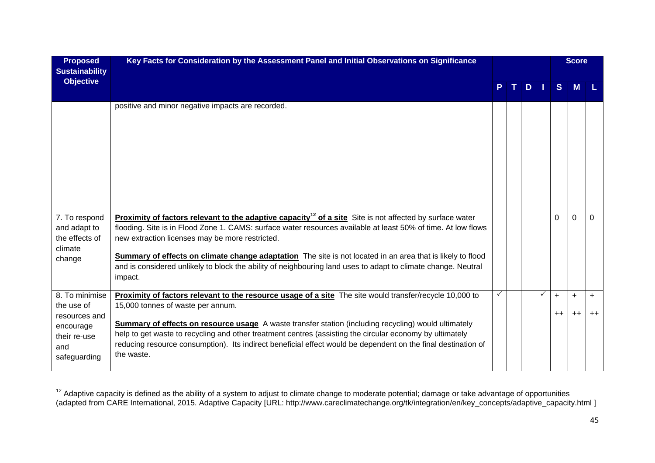| <b>Proposed</b><br><b>Sustainability</b>                                                          | Key Facts for Consideration by the Assessment Panel and Initial Observations on Significance                                                                                                                                                                                                                                                                                                                                                                                                                                       |  |   |              |                   | <b>Score</b>      |                   |
|---------------------------------------------------------------------------------------------------|------------------------------------------------------------------------------------------------------------------------------------------------------------------------------------------------------------------------------------------------------------------------------------------------------------------------------------------------------------------------------------------------------------------------------------------------------------------------------------------------------------------------------------|--|---|--------------|-------------------|-------------------|-------------------|
| <b>Objective</b>                                                                                  |                                                                                                                                                                                                                                                                                                                                                                                                                                                                                                                                    |  | D |              | S.                | M                 |                   |
|                                                                                                   | positive and minor negative impacts are recorded.                                                                                                                                                                                                                                                                                                                                                                                                                                                                                  |  |   |              |                   |                   |                   |
| 7. To respond<br>and adapt to<br>the effects of<br>climate<br>change                              | Proximity of factors relevant to the adaptive capacity <sup>12</sup> of a site Site is not affected by surface water<br>flooding. Site is in Flood Zone 1. CAMS: surface water resources available at least 50% of time. At low flows<br>new extraction licenses may be more restricted.<br>Summary of effects on climate change adaptation The site is not located in an area that is likely to flood<br>and is considered unlikely to block the ability of neighbouring land uses to adapt to climate change. Neutral<br>impact. |  |   |              | $\Omega$          | $\Omega$          | $\Omega$          |
| 8. To minimise<br>the use of<br>resources and<br>encourage<br>their re-use<br>and<br>safeguarding | <b>Proximity of factors relevant to the resource usage of a site</b> The site would transfer/recycle 10,000 to<br>15,000 tonnes of waste per annum.<br>Summary of effects on resource usage A waste transfer station (including recycling) would ultimately<br>help to get waste to recycling and other treatment centres (assisting the circular economy by ultimately<br>reducing resource consumption). Its indirect beneficial effect would be dependent on the final destination of<br>the waste.                             |  |   | $\checkmark$ | $\ddot{}$<br>$++$ | $\ddot{}$<br>$++$ | $\ddot{}$<br>$++$ |

 $12$  Adaptive capacity is defined as the ability of a system to adjust to climate change to moderate potential; damage or take advantage of opportunities (adapted from CARE International, 2015. Adaptive Capacity [URL: http://www.careclimatechange.org/tk/integration/en/key\_concepts/adaptive\_capacity.html ]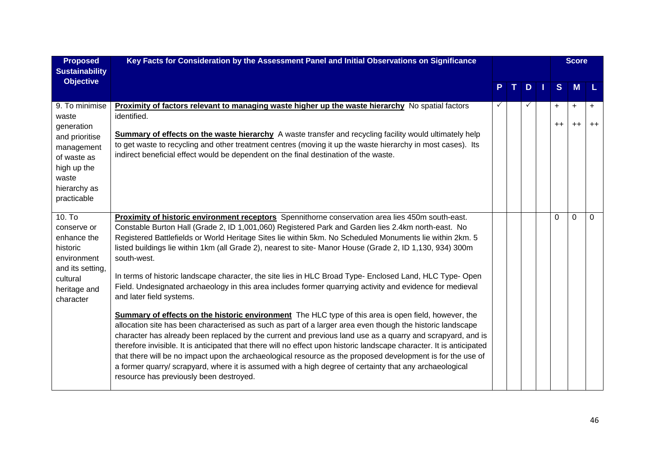| <b>Proposed</b><br><b>Sustainability</b>                                                                                                    | Key Facts for Consideration by the Assessment Panel and Initial Observations on Significance                                                                                                                                                                                                                                                                                                                                                                                                                                                                                                                                                                                                                                                                                                                                                                                                                                                                                                                                                                                                                                                                                                                                                                                                                                                                                                                                                 |  |   |                   | <b>Score</b> |          |
|---------------------------------------------------------------------------------------------------------------------------------------------|----------------------------------------------------------------------------------------------------------------------------------------------------------------------------------------------------------------------------------------------------------------------------------------------------------------------------------------------------------------------------------------------------------------------------------------------------------------------------------------------------------------------------------------------------------------------------------------------------------------------------------------------------------------------------------------------------------------------------------------------------------------------------------------------------------------------------------------------------------------------------------------------------------------------------------------------------------------------------------------------------------------------------------------------------------------------------------------------------------------------------------------------------------------------------------------------------------------------------------------------------------------------------------------------------------------------------------------------------------------------------------------------------------------------------------------------|--|---|-------------------|--------------|----------|
| <b>Objective</b>                                                                                                                            |                                                                                                                                                                                                                                                                                                                                                                                                                                                                                                                                                                                                                                                                                                                                                                                                                                                                                                                                                                                                                                                                                                                                                                                                                                                                                                                                                                                                                                              |  | D | <sub>S</sub>      | M            |          |
| 9. To minimise<br>waste<br>generation<br>and prioritise<br>management<br>of waste as<br>high up the<br>waste<br>hierarchy as<br>practicable | <b>Proximity of factors relevant to managing waste higher up the waste hierarchy</b> No spatial factors<br>identified.<br><b>Summary of effects on the waste hierarchy</b> A waste transfer and recycling facility would ultimately help<br>to get waste to recycling and other treatment centres (moving it up the waste hierarchy in most cases). Its<br>indirect beneficial effect would be dependent on the final destination of the waste.                                                                                                                                                                                                                                                                                                                                                                                                                                                                                                                                                                                                                                                                                                                                                                                                                                                                                                                                                                                              |  |   | $\ddot{}$<br>$++$ | +<br>$++$    | $++$     |
| 10. To<br>conserve or<br>enhance the<br>historic<br>environment<br>and its setting,<br>cultural<br>heritage and<br>character                | Proximity of historic environment receptors Spennithorne conservation area lies 450m south-east.<br>Constable Burton Hall (Grade 2, ID 1,001,060) Registered Park and Garden lies 2.4km north-east. No<br>Registered Battlefields or World Heritage Sites lie within 5km. No Scheduled Monuments lie within 2km. 5<br>listed buildings lie within 1km (all Grade 2), nearest to site- Manor House (Grade 2, ID 1,130, 934) 300m<br>south-west.<br>In terms of historic landscape character, the site lies in HLC Broad Type- Enclosed Land, HLC Type- Open<br>Field. Undesignated archaeology in this area includes former quarrying activity and evidence for medieval<br>and later field systems.<br><b>Summary of effects on the historic environment</b> The HLC type of this area is open field, however, the<br>allocation site has been characterised as such as part of a larger area even though the historic landscape<br>character has already been replaced by the current and previous land use as a quarry and scrapyard, and is<br>therefore invisible. It is anticipated that there will no effect upon historic landscape character. It is anticipated<br>that there will be no impact upon the archaeological resource as the proposed development is for the use of<br>a former quarry/ scrapyard, where it is assumed with a high degree of certainty that any archaeological<br>resource has previously been destroyed. |  |   | 0                 | $\mathbf{0}$ | $\Omega$ |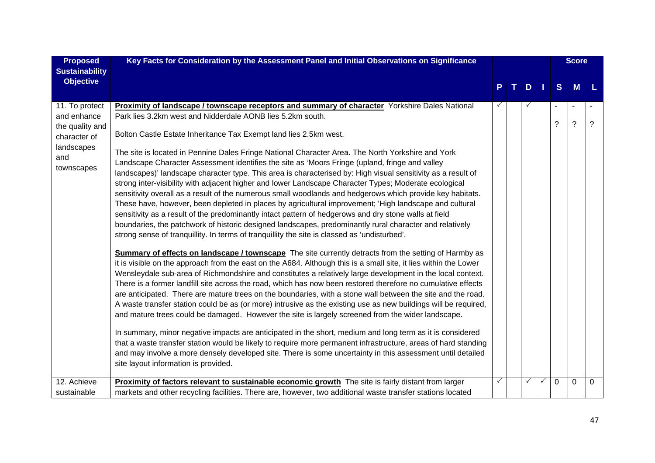| <b>Proposed</b>                                                                                                    | Key Facts for Consideration by the Assessment Panel and Initial Observations on Significance                                                                                                                                                                                                                                                                                                                                                                                                                                                                                                                                                                                                                                                                                                                                                                                                                                                                                                                                                                                                                                                                                                                                                                                                                                                                                                                                                                                                                                                                                                                                                                                                                                                                                                                                                                                                                                                                                                                                                                                                                                                                                                                                                                                                                                                                                                                                                                                                                             |        |        |              |               | <b>Score</b>               |               |
|--------------------------------------------------------------------------------------------------------------------|--------------------------------------------------------------------------------------------------------------------------------------------------------------------------------------------------------------------------------------------------------------------------------------------------------------------------------------------------------------------------------------------------------------------------------------------------------------------------------------------------------------------------------------------------------------------------------------------------------------------------------------------------------------------------------------------------------------------------------------------------------------------------------------------------------------------------------------------------------------------------------------------------------------------------------------------------------------------------------------------------------------------------------------------------------------------------------------------------------------------------------------------------------------------------------------------------------------------------------------------------------------------------------------------------------------------------------------------------------------------------------------------------------------------------------------------------------------------------------------------------------------------------------------------------------------------------------------------------------------------------------------------------------------------------------------------------------------------------------------------------------------------------------------------------------------------------------------------------------------------------------------------------------------------------------------------------------------------------------------------------------------------------------------------------------------------------------------------------------------------------------------------------------------------------------------------------------------------------------------------------------------------------------------------------------------------------------------------------------------------------------------------------------------------------------------------------------------------------------------------------------------------------|--------|--------|--------------|---------------|----------------------------|---------------|
| <b>Sustainability</b>                                                                                              |                                                                                                                                                                                                                                                                                                                                                                                                                                                                                                                                                                                                                                                                                                                                                                                                                                                                                                                                                                                                                                                                                                                                                                                                                                                                                                                                                                                                                                                                                                                                                                                                                                                                                                                                                                                                                                                                                                                                                                                                                                                                                                                                                                                                                                                                                                                                                                                                                                                                                                                          |        |        |              |               |                            |               |
| <b>Objective</b>                                                                                                   |                                                                                                                                                                                                                                                                                                                                                                                                                                                                                                                                                                                                                                                                                                                                                                                                                                                                                                                                                                                                                                                                                                                                                                                                                                                                                                                                                                                                                                                                                                                                                                                                                                                                                                                                                                                                                                                                                                                                                                                                                                                                                                                                                                                                                                                                                                                                                                                                                                                                                                                          |        | D      |              | S             | M                          |               |
| 11. To protect<br>and enhance<br>the quality and<br>character of<br>landscapes<br>and<br>townscapes<br>12. Achieve | <b>Proximity of landscape / townscape receptors and summary of character</b> Yorkshire Dales National<br>Park lies 3.2km west and Nidderdale AONB lies 5.2km south.<br>Bolton Castle Estate Inheritance Tax Exempt land lies 2.5km west.<br>The site is located in Pennine Dales Fringe National Character Area. The North Yorkshire and York<br>Landscape Character Assessment identifies the site as 'Moors Fringe (upland, fringe and valley<br>landscapes)' landscape character type. This area is characterised by: High visual sensitivity as a result of<br>strong inter-visibility with adjacent higher and lower Landscape Character Types; Moderate ecological<br>sensitivity overall as a result of the numerous small woodlands and hedgerows which provide key habitats.<br>These have, however, been depleted in places by agricultural improvement; 'High landscape and cultural<br>sensitivity as a result of the predominantly intact pattern of hedgerows and dry stone walls at field<br>boundaries, the patchwork of historic designed landscapes, predominantly rural character and relatively<br>strong sense of tranquillity. In terms of tranquillity the site is classed as 'undisturbed'.<br><b>Summary of effects on landscape / townscape</b> The site currently detracts from the setting of Harmby as<br>it is visible on the approach from the east on the A684. Although this is a small site, it lies within the Lower<br>Wensleydale sub-area of Richmondshire and constitutes a relatively large development in the local context.<br>There is a former landfill site across the road, which has now been restored therefore no cumulative effects<br>are anticipated. There are mature trees on the boundaries, with a stone wall between the site and the road.<br>A waste transfer station could be as (or more) intrusive as the existing use as new buildings will be required,<br>and mature trees could be damaged. However the site is largely screened from the wider landscape.<br>In summary, minor negative impacts are anticipated in the short, medium and long term as it is considered<br>that a waste transfer station would be likely to require more permanent infrastructure, areas of hard standing<br>and may involve a more densely developed site. There is some uncertainty in this assessment until detailed<br>site layout information is provided.<br>Proximity of factors relevant to sustainable economic growth The site is fairly distant from larger | ✓<br>✓ | ✓<br>✓ | $\checkmark$ | ?<br>$\Omega$ | $\tilde{?}$<br>$\mathbf 0$ | ?<br>$\Omega$ |
| sustainable                                                                                                        | markets and other recycling facilities. There are, however, two additional waste transfer stations located                                                                                                                                                                                                                                                                                                                                                                                                                                                                                                                                                                                                                                                                                                                                                                                                                                                                                                                                                                                                                                                                                                                                                                                                                                                                                                                                                                                                                                                                                                                                                                                                                                                                                                                                                                                                                                                                                                                                                                                                                                                                                                                                                                                                                                                                                                                                                                                                               |        |        |              |               |                            |               |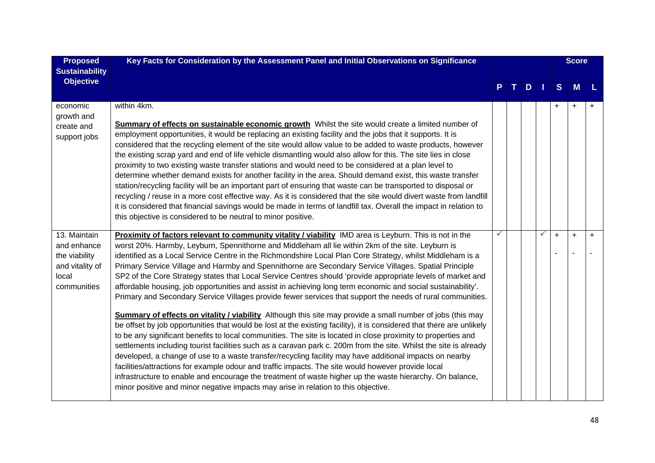| <b>Proposed</b><br><b>Sustainability</b>                                                | Key Facts for Consideration by the Assessment Panel and Initial Observations on Significance                                                                                                                                                                                                                                                                                                                                                                                                                                                                                                                                                                                                                                                                                                                                                                                                                                                                                                                                                                                                                                                                                                                                                                                                                                                                                                                                                                                                                                                                                                                                                                                           |   |   |              |           | <b>Score</b> |     |
|-----------------------------------------------------------------------------------------|----------------------------------------------------------------------------------------------------------------------------------------------------------------------------------------------------------------------------------------------------------------------------------------------------------------------------------------------------------------------------------------------------------------------------------------------------------------------------------------------------------------------------------------------------------------------------------------------------------------------------------------------------------------------------------------------------------------------------------------------------------------------------------------------------------------------------------------------------------------------------------------------------------------------------------------------------------------------------------------------------------------------------------------------------------------------------------------------------------------------------------------------------------------------------------------------------------------------------------------------------------------------------------------------------------------------------------------------------------------------------------------------------------------------------------------------------------------------------------------------------------------------------------------------------------------------------------------------------------------------------------------------------------------------------------------|---|---|--------------|-----------|--------------|-----|
| <b>Objective</b>                                                                        |                                                                                                                                                                                                                                                                                                                                                                                                                                                                                                                                                                                                                                                                                                                                                                                                                                                                                                                                                                                                                                                                                                                                                                                                                                                                                                                                                                                                                                                                                                                                                                                                                                                                                        |   | D |              | S         | M            |     |
| economic<br>growth and<br>create and<br>support jobs                                    | within 4km.<br><b>Summary of effects on sustainable economic growth</b> Whilst the site would create a limited number of<br>employment opportunities, it would be replacing an existing facility and the jobs that it supports. It is<br>considered that the recycling element of the site would allow value to be added to waste products, however<br>the existing scrap yard and end of life vehicle dismantling would also allow for this. The site lies in close<br>proximity to two existing waste transfer stations and would need to be considered at a plan level to<br>determine whether demand exists for another facility in the area. Should demand exist, this waste transfer<br>station/recycling facility will be an important part of ensuring that waste can be transported to disposal or<br>recycling / reuse in a more cost effective way. As it is considered that the site would divert waste from landfill<br>it is considered that financial savings would be made in terms of landfill tax. Overall the impact in relation to<br>this objective is considered to be neutral to minor positive.                                                                                                                                                                                                                                                                                                                                                                                                                                                                                                                                                                |   |   |              | $\ddot{}$ | $\ddot{}$    |     |
| 13. Maintain<br>and enhance<br>the viability<br>and vitality of<br>local<br>communities | Proximity of factors relevant to community vitality / viability IMD area is Leyburn. This is not in the<br>worst 20%. Harmby, Leyburn, Spennithorne and Middleham all lie within 2km of the site. Leyburn is<br>identified as a Local Service Centre in the Richmondshire Local Plan Core Strategy, whilst Middleham is a<br>Primary Service Village and Harmby and Spennithorne are Secondary Service Villages. Spatial Principle<br>SP2 of the Core Strategy states that Local Service Centres should 'provide appropriate levels of market and<br>affordable housing, job opportunities and assist in achieving long term economic and social sustainability'.<br>Primary and Secondary Service Villages provide fewer services that support the needs of rural communities.<br><b>Summary of effects on vitality / viability</b> Although this site may provide a small number of jobs (this may<br>be offset by job opportunities that would be lost at the existing facility), it is considered that there are unlikely<br>to be any significant benefits to local communities. The site is located in close proximity to properties and<br>settlements including tourist facilities such as a caravan park c. 200m from the site. Whilst the site is already<br>developed, a change of use to a waste transfer/recycling facility may have additional impacts on nearby<br>facilities/attractions for example odour and traffic impacts. The site would however provide local<br>infrastructure to enable and encourage the treatment of waste higher up the waste hierarchy. On balance,<br>minor positive and minor negative impacts may arise in relation to this objective. | ✓ |   | $\checkmark$ | $\ddot{}$ | $+$          | $+$ |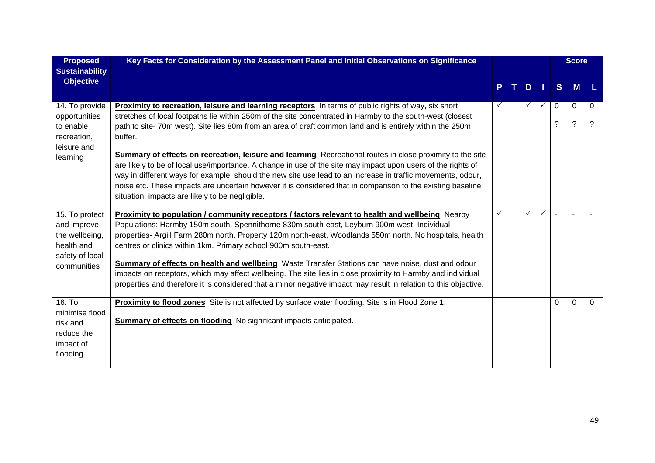| <b>Proposed</b><br><b>Sustainability</b>                                                        | Key Facts for Consideration by the Assessment Panel and Initial Observations on Significance                                                                                                                                                                                                                                                                                                                                                                                                                                                                                                                                                                                                                                                                                                                                                                        |   |              |              |               | <b>Score</b>     |          |
|-------------------------------------------------------------------------------------------------|---------------------------------------------------------------------------------------------------------------------------------------------------------------------------------------------------------------------------------------------------------------------------------------------------------------------------------------------------------------------------------------------------------------------------------------------------------------------------------------------------------------------------------------------------------------------------------------------------------------------------------------------------------------------------------------------------------------------------------------------------------------------------------------------------------------------------------------------------------------------|---|--------------|--------------|---------------|------------------|----------|
| <b>Objective</b>                                                                                |                                                                                                                                                                                                                                                                                                                                                                                                                                                                                                                                                                                                                                                                                                                                                                                                                                                                     |   | D            |              | <sub>S</sub>  | M                |          |
| 14. To provide<br>opportunities<br>to enable<br>recreation,<br>leisure and<br>learning          | <b>Proximity to recreation, leisure and learning receptors</b> In terms of public rights of way, six short<br>stretches of local footpaths lie within 250m of the site concentrated in Harmby to the south-west (closest<br>path to site-70m west). Site lies 80m from an area of draft common land and is entirely within the 250m<br>buffer.<br><b>Summary of effects on recreation, leisure and learning</b> Recreational routes in close proximity to the site<br>are likely to be of local use/importance. A change in use of the site may impact upon users of the rights of<br>way in different ways for example, should the new site use lead to an increase in traffic movements, odour,<br>noise etc. These impacts are uncertain however it is considered that in comparison to the existing baseline<br>situation, impacts are likely to be negligible. |   |              |              | $\Omega$<br>? | 0<br>$\tilde{?}$ | 0<br>?   |
| 15. To protect<br>and improve<br>the wellbeing,<br>health and<br>safety of local<br>communities | Proximity to population / community receptors / factors relevant to health and wellbeing Nearby<br>Populations: Harmby 150m south, Spennithorne 830m south-east, Leyburn 900m west. Individual<br>properties- Argill Farm 280m north, Property 120m north-east, Woodlands 550m north. No hospitals, health<br>centres or clinics within 1km. Primary school 900m south-east.<br><b>Summary of effects on health and wellbeing</b> Waste Transfer Stations can have noise, dust and odour<br>impacts on receptors, which may affect wellbeing. The site lies in close proximity to Harmby and individual<br>properties and therefore it is considered that a minor negative impact may result in relation to this objective.                                                                                                                                         | ✓ | $\checkmark$ | $\checkmark$ |               |                  |          |
| 16. T <sub>o</sub><br>minimise flood<br>risk and<br>reduce the<br>impact of<br>flooding         | Proximity to flood zones Site is not affected by surface water flooding. Site is in Flood Zone 1.<br><b>Summary of effects on flooding</b> No significant impacts anticipated.                                                                                                                                                                                                                                                                                                                                                                                                                                                                                                                                                                                                                                                                                      |   |              |              | $\Omega$      | $\Omega$         | $\Omega$ |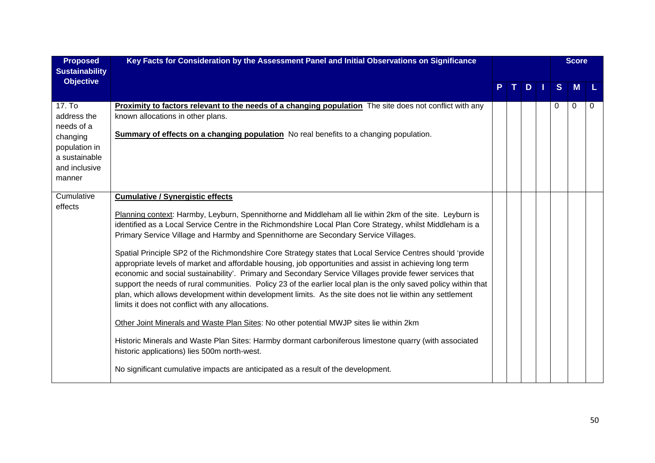| <b>Proposed</b><br><b>Sustainability</b>                                                                     | Key Facts for Consideration by the Assessment Panel and Initial Observations on Significance                                                                                                                                                                                                                                                                                                                                                                                                                                                                                                                                                                                                                                                                                                                                                                                                                                                                                                                                                                                                                                                                                                                                                                                                                                |  |    |              | <b>Score</b> |   |
|--------------------------------------------------------------------------------------------------------------|-----------------------------------------------------------------------------------------------------------------------------------------------------------------------------------------------------------------------------------------------------------------------------------------------------------------------------------------------------------------------------------------------------------------------------------------------------------------------------------------------------------------------------------------------------------------------------------------------------------------------------------------------------------------------------------------------------------------------------------------------------------------------------------------------------------------------------------------------------------------------------------------------------------------------------------------------------------------------------------------------------------------------------------------------------------------------------------------------------------------------------------------------------------------------------------------------------------------------------------------------------------------------------------------------------------------------------|--|----|--------------|--------------|---|
| <b>Objective</b>                                                                                             |                                                                                                                                                                                                                                                                                                                                                                                                                                                                                                                                                                                                                                                                                                                                                                                                                                                                                                                                                                                                                                                                                                                                                                                                                                                                                                                             |  | D. | <sub>S</sub> | <b>M</b>     |   |
| 17. To<br>address the<br>needs of a<br>changing<br>population in<br>a sustainable<br>and inclusive<br>manner | <b>Proximity to factors relevant to the needs of a changing population</b> The site does not conflict with any<br>known allocations in other plans.<br><b>Summary of effects on a changing population</b> No real benefits to a changing population.                                                                                                                                                                                                                                                                                                                                                                                                                                                                                                                                                                                                                                                                                                                                                                                                                                                                                                                                                                                                                                                                        |  |    | 0            | 0            | 0 |
| Cumulative<br>effects                                                                                        | <b>Cumulative / Synergistic effects</b><br>Planning context: Harmby, Leyburn, Spennithorne and Middleham all lie within 2km of the site. Leyburn is<br>identified as a Local Service Centre in the Richmondshire Local Plan Core Strategy, whilst Middleham is a<br>Primary Service Village and Harmby and Spennithorne are Secondary Service Villages.<br>Spatial Principle SP2 of the Richmondshire Core Strategy states that Local Service Centres should 'provide<br>appropriate levels of market and affordable housing, job opportunities and assist in achieving long term<br>economic and social sustainability'. Primary and Secondary Service Villages provide fewer services that<br>support the needs of rural communities. Policy 23 of the earlier local plan is the only saved policy within that<br>plan, which allows development within development limits. As the site does not lie within any settlement<br>limits it does not conflict with any allocations.<br>Other Joint Minerals and Waste Plan Sites: No other potential MWJP sites lie within 2km<br>Historic Minerals and Waste Plan Sites: Harmby dormant carboniferous limestone quarry (with associated<br>historic applications) lies 500m north-west.<br>No significant cumulative impacts are anticipated as a result of the development. |  |    |              |              |   |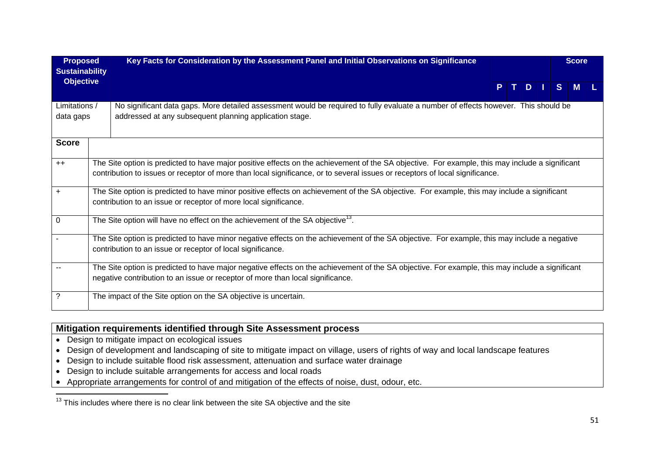| <b>Proposed</b>                           | Key Facts for Consideration by the Assessment Panel and Initial Observations on Significance                                                                                                                                                                                    |  |  | <b>Score</b> |  |
|-------------------------------------------|---------------------------------------------------------------------------------------------------------------------------------------------------------------------------------------------------------------------------------------------------------------------------------|--|--|--------------|--|
| <b>Sustainability</b><br><b>Objective</b> |                                                                                                                                                                                                                                                                                 |  |  | PTDISM       |  |
| Limitations /<br>data gaps                | No significant data gaps. More detailed assessment would be required to fully evaluate a number of effects however. This should be<br>addressed at any subsequent planning application stage.                                                                                   |  |  |              |  |
| <b>Score</b>                              |                                                                                                                                                                                                                                                                                 |  |  |              |  |
| $++$                                      | The Site option is predicted to have major positive effects on the achievement of the SA objective. For example, this may include a significant<br>contribution to issues or receptor of more than local significance, or to several issues or receptors of local significance. |  |  |              |  |
| $\ddot{}$                                 | The Site option is predicted to have minor positive effects on achievement of the SA objective. For example, this may include a significant<br>contribution to an issue or receptor of more local significance.                                                                 |  |  |              |  |
| 0                                         | The Site option will have no effect on the achievement of the SA objective <sup>13</sup> .                                                                                                                                                                                      |  |  |              |  |
|                                           | The Site option is predicted to have minor negative effects on the achievement of the SA objective. For example, this may include a negative<br>contribution to an issue or receptor of local significance.                                                                     |  |  |              |  |
|                                           | The Site option is predicted to have major negative effects on the achievement of the SA objective. For example, this may include a significant<br>negative contribution to an issue or receptor of more than local significance.                                               |  |  |              |  |
| ?                                         | The impact of the Site option on the SA objective is uncertain.                                                                                                                                                                                                                 |  |  |              |  |

#### **Mitigation requirements identified through Site Assessment process**

- Design to mitigate impact on ecological issues
- Design of development and landscaping of site to mitigate impact on village, users of rights of way and local landscape features
- Design to include suitable flood risk assessment, attenuation and surface water drainage
- Design to include suitable arrangements for access and local roads
- Appropriate arrangements for control of and mitigation of the effects of noise, dust, odour, etc.

 $13$  This includes where there is no clear link between the site SA objective and the site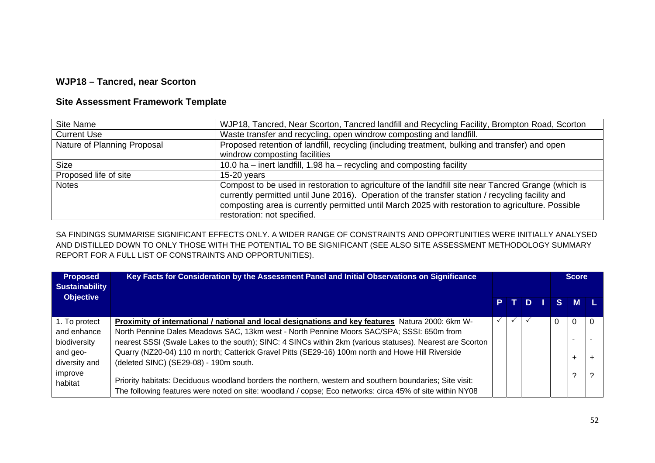## **WJP18 – Tancred, near Scorton**

#### **Site Assessment Framework Template**

| <b>Site Name</b>            | WJP18, Tancred, Near Scorton, Tancred landfill and Recycling Facility, Brompton Road, Scorton                                                                                                                                                                                                                                               |
|-----------------------------|---------------------------------------------------------------------------------------------------------------------------------------------------------------------------------------------------------------------------------------------------------------------------------------------------------------------------------------------|
| <b>Current Use</b>          | Waste transfer and recycling, open windrow composting and landfill.                                                                                                                                                                                                                                                                         |
| Nature of Planning Proposal | Proposed retention of landfill, recycling (including treatment, bulking and transfer) and open                                                                                                                                                                                                                                              |
|                             | windrow composting facilities                                                                                                                                                                                                                                                                                                               |
| <b>Size</b>                 | 10.0 ha $-$ inert landfill, 1.98 ha $-$ recycling and composting facility                                                                                                                                                                                                                                                                   |
| Proposed life of site       | $15-20$ years                                                                                                                                                                                                                                                                                                                               |
| <b>Notes</b>                | Compost to be used in restoration to agriculture of the landfill site near Tancred Grange (which is<br>currently permitted until June 2016). Operation of the transfer station / recycling facility and<br>composting area is currently permitted until March 2025 with restoration to agriculture. Possible<br>restoration: not specified. |

| <b>Proposed</b><br><b>Sustainability</b> | Key Facts for Consideration by the Assessment Panel and Initial Observations on Significance                                                                                                                         |  |      |  | <b>Score</b> |  |
|------------------------------------------|----------------------------------------------------------------------------------------------------------------------------------------------------------------------------------------------------------------------|--|------|--|--------------|--|
| <b>Objective</b>                         |                                                                                                                                                                                                                      |  | PTDI |  | S M L        |  |
| 1. To protect                            | Proximity of international / national and local designations and key features Natura 2000: 6km W-                                                                                                                    |  |      |  |              |  |
| and enhance                              | North Pennine Dales Meadows SAC, 13km west - North Pennine Moors SAC/SPA; SSSI: 650m from                                                                                                                            |  |      |  |              |  |
| biodiversity                             | nearest SSSI (Swale Lakes to the south); SINC: 4 SINCs within 2km (various statuses). Nearest are Scorton                                                                                                            |  |      |  |              |  |
| and geo-                                 | Quarry (NZ20-04) 110 m north; Catterick Gravel Pitts (SE29-16) 100m north and Howe Hill Riverside                                                                                                                    |  |      |  |              |  |
| diversity and                            | (deleted SINC) (SE29-08) - 190m south.                                                                                                                                                                               |  |      |  |              |  |
| improve<br>habitat                       | Priority habitats: Deciduous woodland borders the northern, western and southern boundaries; Site visit:<br>The following features were noted on site: woodland / copse; Eco networks: circa 45% of site within NY08 |  |      |  | ◠            |  |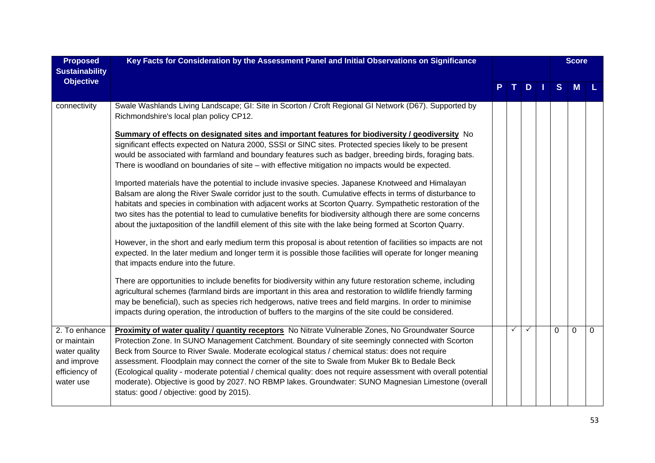| <b>Proposed</b><br><b>Sustainability</b><br><b>Objective</b>                               | Key Facts for Consideration by the Assessment Panel and Initial Observations on Significance                                                                                                                                                                                                                                                                                                                                                                                                                                                                                                                                                                                       |              |              |   | <b>Score</b> |          |
|--------------------------------------------------------------------------------------------|------------------------------------------------------------------------------------------------------------------------------------------------------------------------------------------------------------------------------------------------------------------------------------------------------------------------------------------------------------------------------------------------------------------------------------------------------------------------------------------------------------------------------------------------------------------------------------------------------------------------------------------------------------------------------------|--------------|--------------|---|--------------|----------|
|                                                                                            |                                                                                                                                                                                                                                                                                                                                                                                                                                                                                                                                                                                                                                                                                    |              | D            | S | M            |          |
| connectivity                                                                               | Swale Washlands Living Landscape; GI: Site in Scorton / Croft Regional GI Network (D67). Supported by<br>Richmondshire's local plan policy CP12.                                                                                                                                                                                                                                                                                                                                                                                                                                                                                                                                   |              |              |   |              |          |
|                                                                                            | Summary of effects on designated sites and important features for biodiversity / geodiversity No<br>significant effects expected on Natura 2000, SSSI or SINC sites. Protected species likely to be present<br>would be associated with farmland and boundary features such as badger, breeding birds, foraging bats.<br>There is woodland on boundaries of site - with effective mitigation no impacts would be expected.                                                                                                                                                                                                                                                         |              |              |   |              |          |
|                                                                                            | Imported materials have the potential to include invasive species. Japanese Knotweed and Himalayan<br>Balsam are along the River Swale corridor just to the south. Cumulative effects in terms of disturbance to<br>habitats and species in combination with adjacent works at Scorton Quarry. Sympathetic restoration of the<br>two sites has the potential to lead to cumulative benefits for biodiversity although there are some concerns<br>about the juxtaposition of the landfill element of this site with the lake being formed at Scorton Quarry.                                                                                                                        |              |              |   |              |          |
|                                                                                            | However, in the short and early medium term this proposal is about retention of facilities so impacts are not<br>expected. In the later medium and longer term it is possible those facilities will operate for longer meaning<br>that impacts endure into the future.                                                                                                                                                                                                                                                                                                                                                                                                             |              |              |   |              |          |
|                                                                                            | There are opportunities to include benefits for biodiversity within any future restoration scheme, including<br>agricultural schemes (farmland birds are important in this area and restoration to wildlife friendly farming<br>may be beneficial), such as species rich hedgerows, native trees and field margins. In order to minimise<br>impacts during operation, the introduction of buffers to the margins of the site could be considered.                                                                                                                                                                                                                                  |              |              |   |              |          |
| 2. To enhance<br>or maintain<br>water quality<br>and improve<br>efficiency of<br>water use | Proximity of water quality / quantity receptors No Nitrate Vulnerable Zones, No Groundwater Source<br>Protection Zone. In SUNO Management Catchment. Boundary of site seemingly connected with Scorton<br>Beck from Source to River Swale. Moderate ecological status / chemical status: does not require<br>assessment. Floodplain may connect the corner of the site to Swale from Muker Bk to Bedale Beck<br>(Ecological quality - moderate potential / chemical quality: does not require assessment with overall potential<br>moderate). Objective is good by 2027. NO RBMP lakes. Groundwater: SUNO Magnesian Limestone (overall<br>status: good / objective: good by 2015). | $\checkmark$ | $\checkmark$ | 0 | $\Omega$     | $\Omega$ |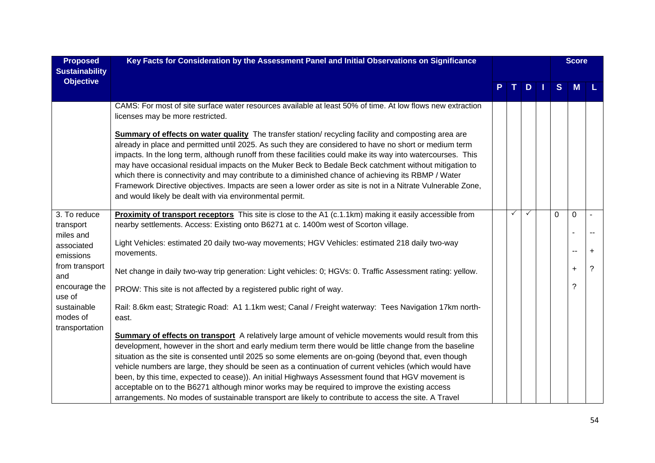| <b>Proposed</b><br><b>Sustainability</b>  | Key Facts for Consideration by the Assessment Panel and Initial Observations on Significance                                                                                                                                                                                                                                                                                                                                                                                                                                                                                                                                                                                                                                    |    |              |   | <b>Score</b> |   |
|-------------------------------------------|---------------------------------------------------------------------------------------------------------------------------------------------------------------------------------------------------------------------------------------------------------------------------------------------------------------------------------------------------------------------------------------------------------------------------------------------------------------------------------------------------------------------------------------------------------------------------------------------------------------------------------------------------------------------------------------------------------------------------------|----|--------------|---|--------------|---|
| <b>Objective</b>                          |                                                                                                                                                                                                                                                                                                                                                                                                                                                                                                                                                                                                                                                                                                                                 | т. | $D$          | S | M            | L |
|                                           | CAMS: For most of site surface water resources available at least 50% of time. At low flows new extraction<br>licenses may be more restricted.                                                                                                                                                                                                                                                                                                                                                                                                                                                                                                                                                                                  |    |              |   |              |   |
|                                           | <b>Summary of effects on water quality</b> The transfer station/ recycling facility and composting area are<br>already in place and permitted until 2025. As such they are considered to have no short or medium term<br>impacts. In the long term, although runoff from these facilities could make its way into watercourses. This<br>may have occasional residual impacts on the Muker Beck to Bedale Beck catchment without mitigation to<br>which there is connectivity and may contribute to a diminished chance of achieving its RBMP / Water<br>Framework Directive objectives. Impacts are seen a lower order as site is not in a Nitrate Vulnerable Zone,<br>and would likely be dealt with via environmental permit. |    |              |   |              |   |
| 3. To reduce<br>transport                 | <b>Proximity of transport receptors</b> This site is close to the A1 (c.1.1km) making it easily accessible from<br>nearby settlements. Access: Existing onto B6271 at c. 1400m west of Scorton village.                                                                                                                                                                                                                                                                                                                                                                                                                                                                                                                         | ✓  | $\checkmark$ | 0 | 0            |   |
| miles and<br>associated<br>emissions      | Light Vehicles: estimated 20 daily two-way movements; HGV Vehicles: estimated 218 daily two-way<br>movements.                                                                                                                                                                                                                                                                                                                                                                                                                                                                                                                                                                                                                   |    |              |   |              | ÷ |
| from transport<br>and                     | Net change in daily two-way trip generation: Light vehicles: 0; HGVs: 0. Traffic Assessment rating: yellow.                                                                                                                                                                                                                                                                                                                                                                                                                                                                                                                                                                                                                     |    |              |   | $\ddot{}$    | ? |
| encourage the<br>use of                   | PROW: This site is not affected by a registered public right of way.                                                                                                                                                                                                                                                                                                                                                                                                                                                                                                                                                                                                                                                            |    |              |   | ?            |   |
| sustainable<br>modes of<br>transportation | Rail: 8.6km east; Strategic Road: A1 1.1km west; Canal / Freight waterway: Tees Navigation 17km north-<br>east.                                                                                                                                                                                                                                                                                                                                                                                                                                                                                                                                                                                                                 |    |              |   |              |   |
|                                           | <b>Summary of effects on transport</b> A relatively large amount of vehicle movements would result from this<br>development, however in the short and early medium term there would be little change from the baseline<br>situation as the site is consented until 2025 so some elements are on-going (beyond that, even though<br>vehicle numbers are large, they should be seen as a continuation of current vehicles (which would have<br>been, by this time, expected to cease)). An initial Highways Assessment found that HGV movement is                                                                                                                                                                                 |    |              |   |              |   |
|                                           | acceptable on to the B6271 although minor works may be required to improve the existing access<br>arrangements. No modes of sustainable transport are likely to contribute to access the site. A Travel                                                                                                                                                                                                                                                                                                                                                                                                                                                                                                                         |    |              |   |              |   |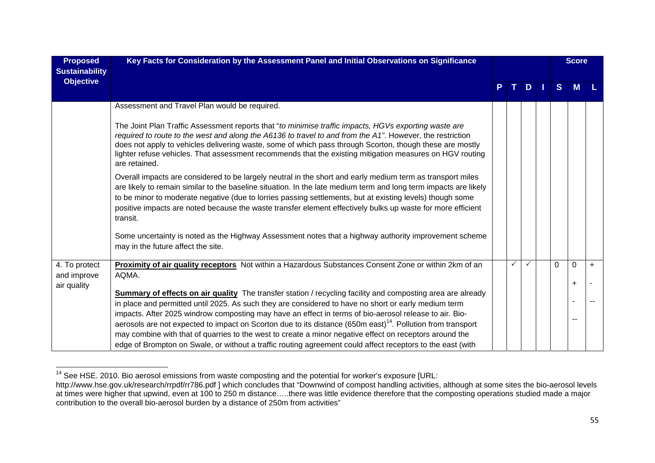| <b>Proposed</b><br><b>Sustainability</b> | Key Facts for Consideration by the Assessment Panel and Initial Observations on Significance                                                                                                                                                                                                                                                                                                                                                                                                                                                                       |   |              |          | <b>Score</b> |           |
|------------------------------------------|--------------------------------------------------------------------------------------------------------------------------------------------------------------------------------------------------------------------------------------------------------------------------------------------------------------------------------------------------------------------------------------------------------------------------------------------------------------------------------------------------------------------------------------------------------------------|---|--------------|----------|--------------|-----------|
| <b>Objective</b>                         |                                                                                                                                                                                                                                                                                                                                                                                                                                                                                                                                                                    |   | $D \mid$     | S        | <b>M</b>     |           |
|                                          | Assessment and Travel Plan would be required.                                                                                                                                                                                                                                                                                                                                                                                                                                                                                                                      |   |              |          |              |           |
|                                          | The Joint Plan Traffic Assessment reports that "to minimise traffic impacts, HGVs exporting waste are<br>required to route to the west and along the A6136 to travel to and from the $A1$ ". However, the restriction<br>does not apply to vehicles delivering waste, some of which pass through Scorton, though these are mostly<br>lighter refuse vehicles. That assessment recommends that the existing mitigation measures on HGV routing<br>are retained.                                                                                                     |   |              |          |              |           |
|                                          | Overall impacts are considered to be largely neutral in the short and early medium term as transport miles<br>are likely to remain similar to the baseline situation. In the late medium term and long term impacts are likely<br>to be minor to moderate negative (due to lorries passing settlements, but at existing levels) though some<br>positive impacts are noted because the waste transfer element effectively bulks up waste for more efficient<br>transit.                                                                                             |   |              |          |              |           |
|                                          | Some uncertainty is noted as the Highway Assessment notes that a highway authority improvement scheme<br>may in the future affect the site.                                                                                                                                                                                                                                                                                                                                                                                                                        |   |              |          |              |           |
| 4. To protect                            | Proximity of air quality receptors Not within a Hazardous Substances Consent Zone or within 2km of an                                                                                                                                                                                                                                                                                                                                                                                                                                                              | ✓ | $\checkmark$ | $\Omega$ | $\Omega$     | $\ddot{}$ |
| and improve<br>air quality               | AQMA.                                                                                                                                                                                                                                                                                                                                                                                                                                                                                                                                                              |   |              |          | $\ddot{}$    |           |
|                                          | <b>Summary of effects on air quality</b> The transfer station / recycling facility and composting area are already                                                                                                                                                                                                                                                                                                                                                                                                                                                 |   |              |          |              |           |
|                                          | in place and permitted until 2025. As such they are considered to have no short or early medium term<br>impacts. After 2025 windrow composting may have an effect in terms of bio-aerosol release to air. Bio-<br>aerosols are not expected to impact on Scorton due to its distance (650m east) <sup>14</sup> . Pollution from transport<br>may combine with that of quarries to the west to create a minor negative effect on receptors around the<br>edge of Brompton on Swale, or without a traffic routing agreement could affect receptors to the east (with |   |              |          |              |           |

<sup>&</sup>lt;sup>14</sup> See HSE. 2010. Bio aerosol emissions from waste composting and the potential for worker's exposure [URL:

http://www.hse.gov.uk/research/rrpdf/rr786.pdf ] which concludes that "Downwind of compost handling activities, although at some sites the bio-aerosol levels at times were higher that upwind, even at 100 to 250 m distance…..there was little evidence therefore that the composting operations studied made a major contribution to the overall bio-aerosol burden by a distance of 250m from activities"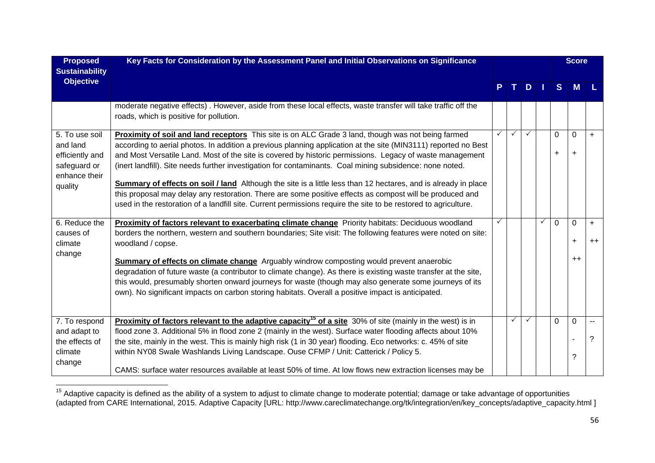| <b>Proposed</b><br><b>Sustainability</b>                                                  | Key Facts for Consideration by the Assessment Panel and Initial Observations on Significance                                                                                                                                                                                                                                                                                                                                                                                                                                                                                                                                                                                                                                                                                                         |    |              |     |              |                | <b>Score</b>             |             |
|-------------------------------------------------------------------------------------------|------------------------------------------------------------------------------------------------------------------------------------------------------------------------------------------------------------------------------------------------------------------------------------------------------------------------------------------------------------------------------------------------------------------------------------------------------------------------------------------------------------------------------------------------------------------------------------------------------------------------------------------------------------------------------------------------------------------------------------------------------------------------------------------------------|----|--------------|-----|--------------|----------------|--------------------------|-------------|
| <b>Objective</b>                                                                          |                                                                                                                                                                                                                                                                                                                                                                                                                                                                                                                                                                                                                                                                                                                                                                                                      | P. | T I          | $D$ |              | S              | <b>M</b>                 |             |
|                                                                                           | moderate negative effects). However, aside from these local effects, waste transfer will take traffic off the<br>roads, which is positive for pollution.                                                                                                                                                                                                                                                                                                                                                                                                                                                                                                                                                                                                                                             |    |              |     |              |                |                          |             |
| 5. To use soil<br>and land<br>efficiently and<br>safeguard or<br>enhance their<br>quality | Proximity of soil and land receptors This site is on ALC Grade 3 land, though was not being farmed<br>according to aerial photos. In addition a previous planning application at the site (MIN3111) reported no Best<br>and Most Versatile Land. Most of the site is covered by historic permissions. Legacy of waste management<br>(inert landfill). Site needs further investigation for contaminants. Coal mining subsidence: none noted.<br><b>Summary of effects on soil / land</b> Although the site is a little less than 12 hectares, and is already in place<br>this proposal may delay any restoration. There are some positive effects as compost will be produced and<br>used in the restoration of a landfill site. Current permissions require the site to be restored to agriculture. | ✓  | $\checkmark$ | ✓   |              | 0<br>$\ddot{}$ | $\Omega$<br>$\ddot{}$    | $+$         |
| 6. Reduce the<br>causes of<br>climate                                                     | <b>Proximity of factors relevant to exacerbating climate change</b> Priority habitats: Deciduous woodland<br>borders the northern, western and southern boundaries; Site visit: The following features were noted on site:<br>woodland / copse.                                                                                                                                                                                                                                                                                                                                                                                                                                                                                                                                                      |    |              |     | $\checkmark$ | $\Omega$       | $\mathbf 0$<br>$\ddot{}$ | $+$<br>$++$ |
| change                                                                                    | <b>Summary of effects on climate change</b> Arguably windrow composting would prevent anaerobic<br>degradation of future waste (a contributor to climate change). As there is existing waste transfer at the site,<br>this would, presumably shorten onward journeys for waste (though may also generate some journeys of its<br>own). No significant impacts on carbon storing habitats. Overall a positive impact is anticipated.                                                                                                                                                                                                                                                                                                                                                                  |    |              |     |              |                | $++$                     |             |
| 7. To respond<br>and adapt to<br>the effects of<br>climate<br>change                      | <b>Proximity of factors relevant to the adaptive capacity<sup>15</sup> of a site</b> 30% of site (mainly in the west) is in<br>flood zone 3. Additional 5% in flood zone 2 (mainly in the west). Surface water flooding affects about 10%<br>the site, mainly in the west. This is mainly high risk (1 in 30 year) flooding. Eco networks: c. 45% of site<br>within NY08 Swale Washlands Living Landscape. Ouse CFMP / Unit: Catterick / Policy 5.<br>CAMS: surface water resources available at least 50% of time. At low flows new extraction licenses may be                                                                                                                                                                                                                                      |    |              |     |              | 0              | 0<br>?                   | ?           |

<sup>&</sup>lt;sup>15</sup> Adaptive capacity is defined as the ability of a system to adjust to climate change to moderate potential; damage or take advantage of opportunities (adapted from CARE International, 2015. Adaptive Capacity [URL: http://www.careclimatechange.org/tk/integration/en/key\_concepts/adaptive\_capacity.html ]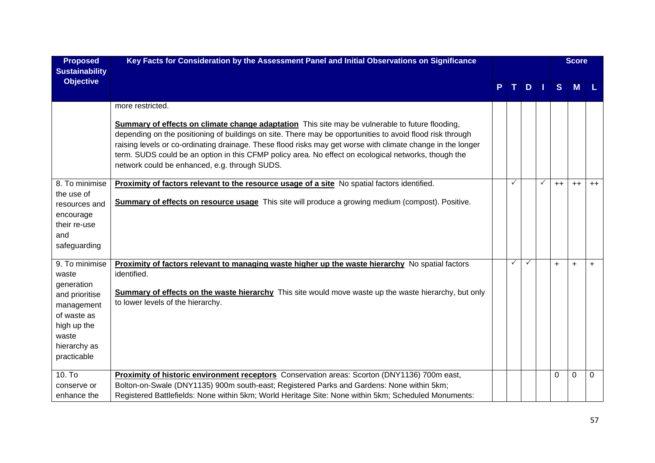| <b>Proposed</b><br><b>Sustainability</b>                                                                         | Key Facts for Consideration by the Assessment Panel and Initial Observations on Significance                                                                                                                                                                                                                                                                                                                                                                                                |  |   |   |      | <b>Score</b> |      |  |
|------------------------------------------------------------------------------------------------------------------|---------------------------------------------------------------------------------------------------------------------------------------------------------------------------------------------------------------------------------------------------------------------------------------------------------------------------------------------------------------------------------------------------------------------------------------------------------------------------------------------|--|---|---|------|--------------|------|--|
| <b>Objective</b>                                                                                                 |                                                                                                                                                                                                                                                                                                                                                                                                                                                                                             |  |   | D | S    | M            |      |  |
|                                                                                                                  | more restricted.                                                                                                                                                                                                                                                                                                                                                                                                                                                                            |  |   |   |      |              |      |  |
|                                                                                                                  | <b>Summary of effects on climate change adaptation</b> This site may be vulnerable to future flooding,<br>depending on the positioning of buildings on site. There may be opportunities to avoid flood risk through<br>raising levels or co-ordinating drainage. These flood risks may get worse with climate change in the longer<br>term. SUDS could be an option in this CFMP policy area. No effect on ecological networks, though the<br>network could be enhanced, e.g. through SUDS. |  |   |   |      |              |      |  |
| 8. To minimise                                                                                                   | Proximity of factors relevant to the resource usage of a site No spatial factors identified.                                                                                                                                                                                                                                                                                                                                                                                                |  | ✓ |   | $++$ | $++$         | $++$ |  |
| the use of<br>resources and<br>encourage<br>their re-use<br>and<br>safeguarding                                  | Summary of effects on resource usage This site will produce a growing medium (compost). Positive.                                                                                                                                                                                                                                                                                                                                                                                           |  |   |   |      |              |      |  |
| 9. To minimise                                                                                                   | <b>Proximity of factors relevant to managing waste higher up the waste hierarchy</b> No spatial factors                                                                                                                                                                                                                                                                                                                                                                                     |  | ✓ | ✓ | $+$  | $\ddot{}$    | $+$  |  |
| waste                                                                                                            | identified.                                                                                                                                                                                                                                                                                                                                                                                                                                                                                 |  |   |   |      |              |      |  |
| generation<br>and prioritise<br>management<br>of waste as<br>high up the<br>waste<br>hierarchy as<br>practicable | Summary of effects on the waste hierarchy This site would move waste up the waste hierarchy, but only<br>to lower levels of the hierarchy.                                                                                                                                                                                                                                                                                                                                                  |  |   |   |      |              |      |  |
| 10. To                                                                                                           | Proximity of historic environment receptors Conservation areas: Scorton (DNY1136) 700m east,                                                                                                                                                                                                                                                                                                                                                                                                |  |   |   | 0    | $\Omega$     | 0    |  |
| conserve or<br>enhance the                                                                                       | Bolton-on-Swale (DNY1135) 900m south-east; Registered Parks and Gardens: None within 5km;<br>Registered Battlefields: None within 5km; World Heritage Site: None within 5km; Scheduled Monuments:                                                                                                                                                                                                                                                                                           |  |   |   |      |              |      |  |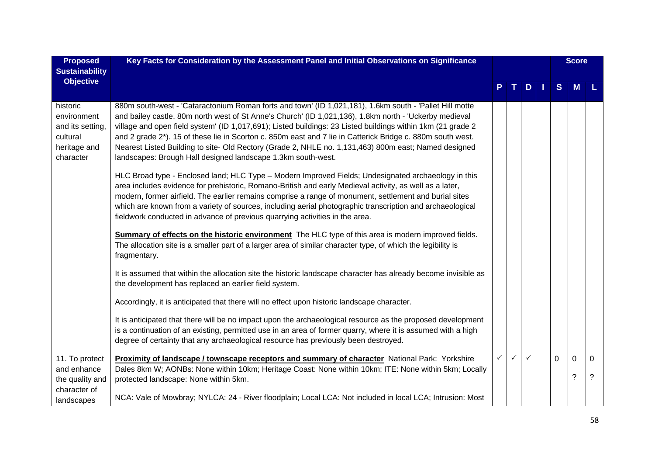| <b>Proposed</b>                                                                      | Key Facts for Consideration by the Assessment Panel and Initial Observations on Significance                                                                                                                                                                                                                                                                                                                                                                                                                                                                                                                                                                                                                                                                                                                                                                                                                                                                                                                                                                                                                                                                                                                                                                                                                                                                                                                                                                                                                                                                                                                                                                     |  |              |              |              | <b>Score</b> |   |
|--------------------------------------------------------------------------------------|------------------------------------------------------------------------------------------------------------------------------------------------------------------------------------------------------------------------------------------------------------------------------------------------------------------------------------------------------------------------------------------------------------------------------------------------------------------------------------------------------------------------------------------------------------------------------------------------------------------------------------------------------------------------------------------------------------------------------------------------------------------------------------------------------------------------------------------------------------------------------------------------------------------------------------------------------------------------------------------------------------------------------------------------------------------------------------------------------------------------------------------------------------------------------------------------------------------------------------------------------------------------------------------------------------------------------------------------------------------------------------------------------------------------------------------------------------------------------------------------------------------------------------------------------------------------------------------------------------------------------------------------------------------|--|--------------|--------------|--------------|--------------|---|
| <b>Sustainability</b>                                                                |                                                                                                                                                                                                                                                                                                                                                                                                                                                                                                                                                                                                                                                                                                                                                                                                                                                                                                                                                                                                                                                                                                                                                                                                                                                                                                                                                                                                                                                                                                                                                                                                                                                                  |  |              |              |              |              |   |
| <b>Objective</b>                                                                     |                                                                                                                                                                                                                                                                                                                                                                                                                                                                                                                                                                                                                                                                                                                                                                                                                                                                                                                                                                                                                                                                                                                                                                                                                                                                                                                                                                                                                                                                                                                                                                                                                                                                  |  |              | $D$          | S            | M            |   |
| historic<br>environment<br>and its setting,<br>cultural<br>heritage and<br>character | 880m south-west - 'Cataractonium Roman forts and town' (ID 1,021,181), 1.6km south - 'Pallet Hill motte<br>and bailey castle, 80m north west of St Anne's Church' (ID 1,021,136), 1.8km north - 'Uckerby medieval<br>village and open field system' (ID 1,017,691); Listed buildings: 23 Listed buildings within 1km (21 grade 2<br>and 2 grade 2*). 15 of these lie in Scorton c. 850m east and 7 lie in Catterick Bridge c. 880m south west.<br>Nearest Listed Building to site- Old Rectory (Grade 2, NHLE no. 1,131,463) 800m east; Named designed<br>landscapes: Brough Hall designed landscape 1.3km south-west.<br>HLC Broad type - Enclosed land; HLC Type - Modern Improved Fields; Undesignated archaeology in this<br>area includes evidence for prehistoric, Romano-British and early Medieval activity, as well as a later,<br>modern, former airfield. The earlier remains comprise a range of monument, settlement and burial sites<br>which are known from a variety of sources, including aerial photographic transcription and archaeological<br>fieldwork conducted in advance of previous quarrying activities in the area.<br>Summary of effects on the historic environment The HLC type of this area is modern improved fields.<br>The allocation site is a smaller part of a larger area of similar character type, of which the legibility is<br>fragmentary.<br>It is assumed that within the allocation site the historic landscape character has already become invisible as<br>the development has replaced an earlier field system.<br>Accordingly, it is anticipated that there will no effect upon historic landscape character. |  |              |              |              |              |   |
|                                                                                      | It is anticipated that there will be no impact upon the archaeological resource as the proposed development<br>is a continuation of an existing, permitted use in an area of former quarry, where it is assumed with a high<br>degree of certainty that any archaeological resource has previously been destroyed.                                                                                                                                                                                                                                                                                                                                                                                                                                                                                                                                                                                                                                                                                                                                                                                                                                                                                                                                                                                                                                                                                                                                                                                                                                                                                                                                               |  |              |              |              |              |   |
| 11. To protect                                                                       | <b>Proximity of landscape / townscape receptors and summary of character</b> National Park: Yorkshire                                                                                                                                                                                                                                                                                                                                                                                                                                                                                                                                                                                                                                                                                                                                                                                                                                                                                                                                                                                                                                                                                                                                                                                                                                                                                                                                                                                                                                                                                                                                                            |  | $\checkmark$ | $\checkmark$ | $\mathbf{0}$ | 0            | 0 |
| and enhance                                                                          | Dales 8km W; AONBs: None within 10km; Heritage Coast: None within 10km; ITE: None within 5km; Locally                                                                                                                                                                                                                                                                                                                                                                                                                                                                                                                                                                                                                                                                                                                                                                                                                                                                                                                                                                                                                                                                                                                                                                                                                                                                                                                                                                                                                                                                                                                                                            |  |              |              |              | ?            | ? |
| the quality and                                                                      | protected landscape: None within 5km.                                                                                                                                                                                                                                                                                                                                                                                                                                                                                                                                                                                                                                                                                                                                                                                                                                                                                                                                                                                                                                                                                                                                                                                                                                                                                                                                                                                                                                                                                                                                                                                                                            |  |              |              |              |              |   |
| character of<br>landscapes                                                           | NCA: Vale of Mowbray; NYLCA: 24 - River floodplain; Local LCA: Not included in local LCA; Intrusion: Most                                                                                                                                                                                                                                                                                                                                                                                                                                                                                                                                                                                                                                                                                                                                                                                                                                                                                                                                                                                                                                                                                                                                                                                                                                                                                                                                                                                                                                                                                                                                                        |  |              |              |              |              |   |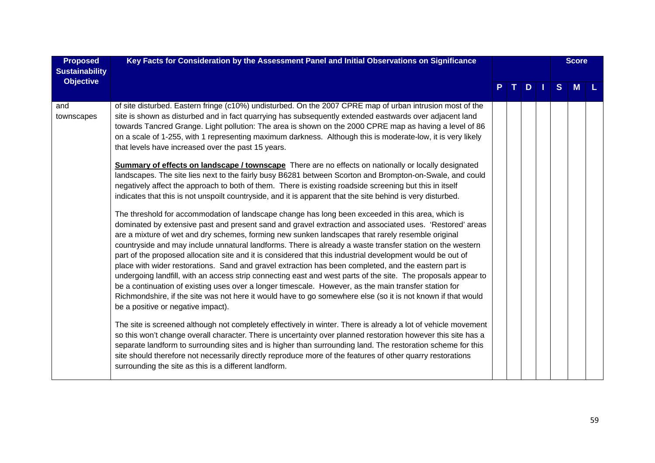| <b>Proposed</b><br><b>Sustainability</b> | Key Facts for Consideration by the Assessment Panel and Initial Observations on Significance                                                                                                                                                                                                                                                                                                                                                                                                                                                                                                                                                                                                                                                                                                                                                                                                                                                                                                                                                                                                                                                                                                                                                                                                                                                                                                                                                                                                                                                                                                                                                                                                                                                                                                                                                  |  |  |    | <b>Score</b> |   |  |
|------------------------------------------|-----------------------------------------------------------------------------------------------------------------------------------------------------------------------------------------------------------------------------------------------------------------------------------------------------------------------------------------------------------------------------------------------------------------------------------------------------------------------------------------------------------------------------------------------------------------------------------------------------------------------------------------------------------------------------------------------------------------------------------------------------------------------------------------------------------------------------------------------------------------------------------------------------------------------------------------------------------------------------------------------------------------------------------------------------------------------------------------------------------------------------------------------------------------------------------------------------------------------------------------------------------------------------------------------------------------------------------------------------------------------------------------------------------------------------------------------------------------------------------------------------------------------------------------------------------------------------------------------------------------------------------------------------------------------------------------------------------------------------------------------------------------------------------------------------------------------------------------------|--|--|----|--------------|---|--|
| <b>Objective</b>                         |                                                                                                                                                                                                                                                                                                                                                                                                                                                                                                                                                                                                                                                                                                                                                                                                                                                                                                                                                                                                                                                                                                                                                                                                                                                                                                                                                                                                                                                                                                                                                                                                                                                                                                                                                                                                                                               |  |  | D. | <sub>S</sub> | M |  |
| and<br>townscapes                        | of site disturbed. Eastern fringe (c10%) undisturbed. On the 2007 CPRE map of urban intrusion most of the<br>site is shown as disturbed and in fact quarrying has subsequently extended eastwards over adjacent land<br>towards Tancred Grange. Light pollution: The area is shown on the 2000 CPRE map as having a level of 86<br>on a scale of 1-255, with 1 representing maximum darkness. Although this is moderate-low, it is very likely<br>that levels have increased over the past 15 years.<br><b>Summary of effects on landscape / townscape</b> There are no effects on nationally or locally designated<br>landscapes. The site lies next to the fairly busy B6281 between Scorton and Brompton-on-Swale, and could<br>negatively affect the approach to both of them. There is existing roadside screening but this in itself<br>indicates that this is not unspoilt countryside, and it is apparent that the site behind is very disturbed.<br>The threshold for accommodation of landscape change has long been exceeded in this area, which is<br>dominated by extensive past and present sand and gravel extraction and associated uses. 'Restored' areas<br>are a mixture of wet and dry schemes, forming new sunken landscapes that rarely resemble original<br>countryside and may include unnatural landforms. There is already a waste transfer station on the western<br>part of the proposed allocation site and it is considered that this industrial development would be out of<br>place with wider restorations. Sand and gravel extraction has been completed, and the eastern part is<br>undergoing landfill, with an access strip connecting east and west parts of the site. The proposals appear to<br>be a continuation of existing uses over a longer timescale. However, as the main transfer station for |  |  |    |              |   |  |
|                                          | Richmondshire, if the site was not here it would have to go somewhere else (so it is not known if that would<br>be a positive or negative impact).                                                                                                                                                                                                                                                                                                                                                                                                                                                                                                                                                                                                                                                                                                                                                                                                                                                                                                                                                                                                                                                                                                                                                                                                                                                                                                                                                                                                                                                                                                                                                                                                                                                                                            |  |  |    |              |   |  |
|                                          | The site is screened although not completely effectively in winter. There is already a lot of vehicle movement<br>so this won't change overall character. There is uncertainty over planned restoration however this site has a<br>separate landform to surrounding sites and is higher than surrounding land. The restoration scheme for this<br>site should therefore not necessarily directly reproduce more of the features of other quarry restorations<br>surrounding the site as this is a different landform.                                                                                                                                                                                                                                                                                                                                                                                                                                                                                                                                                                                                                                                                                                                                                                                                                                                                                                                                                                                                                                                                                                                                                                                                                                                                                                                         |  |  |    |              |   |  |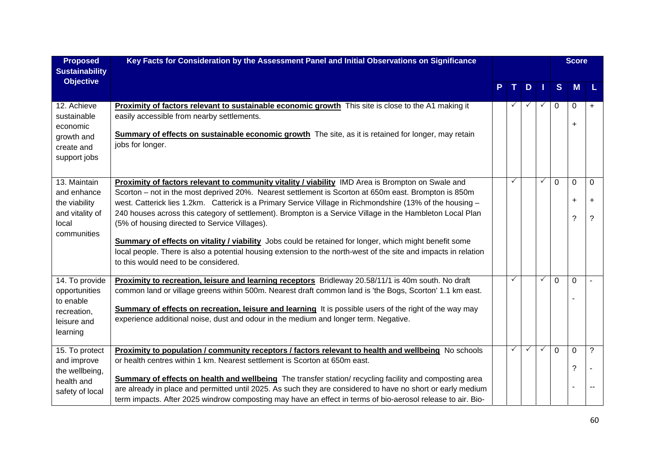| <b>Proposed</b><br><b>Sustainability</b>                                                | Key Facts for Consideration by the Assessment Panel and Initial Observations on Significance                                                                                                                                                                                                                                                                                                                                                                                                                                                                                                                                                                                                                                                                     |  |   |              |              |                | <b>Score</b>                  |                     |
|-----------------------------------------------------------------------------------------|------------------------------------------------------------------------------------------------------------------------------------------------------------------------------------------------------------------------------------------------------------------------------------------------------------------------------------------------------------------------------------------------------------------------------------------------------------------------------------------------------------------------------------------------------------------------------------------------------------------------------------------------------------------------------------------------------------------------------------------------------------------|--|---|--------------|--------------|----------------|-------------------------------|---------------------|
| <b>Objective</b>                                                                        |                                                                                                                                                                                                                                                                                                                                                                                                                                                                                                                                                                                                                                                                                                                                                                  |  |   | D            | - 1          | S              | M                             | L                   |
| 12. Achieve<br>sustainable<br>economic<br>growth and<br>create and<br>support jobs      | Proximity of factors relevant to sustainable economic growth This site is close to the A1 making it<br>easily accessible from nearby settlements.<br>Summary of effects on sustainable economic growth The site, as it is retained for longer, may retain<br>jobs for longer.                                                                                                                                                                                                                                                                                                                                                                                                                                                                                    |  |   | ✓            | $\checkmark$ | $\Omega$       | 0<br>$\ddot{}$                | $+$                 |
| 13. Maintain<br>and enhance<br>the viability<br>and vitality of<br>local<br>communities | Proximity of factors relevant to community vitality / viability IMD Area is Brompton on Swale and<br>Scorton - not in the most deprived 20%. Nearest settlement is Scorton at 650m east. Brompton is 850m<br>west. Catterick lies 1.2km. Catterick is a Primary Service Village in Richmondshire (13% of the housing -<br>240 houses across this category of settlement). Brompton is a Service Village in the Hambleton Local Plan<br>(5% of housing directed to Service Villages).<br><b>Summary of effects on vitality / viability</b> Jobs could be retained for longer, which might benefit some<br>local people. There is also a potential housing extension to the north-west of the site and impacts in relation<br>to this would need to be considered. |  | ✓ |              | ✓            | $\overline{0}$ | $\mathbf 0$<br>$\ddot{}$<br>? | 0<br>$\ddot{}$<br>? |
| 14. To provide<br>opportunities<br>to enable<br>recreation,<br>leisure and<br>learning  | Proximity to recreation, leisure and learning receptors Bridleway 20.58/11/1 is 40m south. No draft<br>common land or village greens within 500m. Nearest draft common land is 'the Bogs, Scorton' 1.1 km east.<br>Summary of effects on recreation, leisure and learning It is possible users of the right of the way may<br>experience additional noise, dust and odour in the medium and longer term. Negative.                                                                                                                                                                                                                                                                                                                                               |  | ✓ |              | ✓            | $\Omega$       | $\mathbf 0$                   |                     |
| 15. To protect<br>and improve<br>the wellbeing,<br>health and<br>safety of local        | Proximity to population / community receptors / factors relevant to health and wellbeing No schools<br>or health centres within 1 km. Nearest settlement is Scorton at 650m east.<br>Summary of effects on health and wellbeing The transfer station/ recycling facility and composting area<br>are already in place and permitted until 2025. As such they are considered to have no short or early medium<br>term impacts. After 2025 windrow composting may have an effect in terms of bio-aerosol release to air. Bio-                                                                                                                                                                                                                                       |  | ✓ | $\checkmark$ | $\checkmark$ | $\overline{0}$ | $\mathbf 0$<br>?              | $\tilde{?}$         |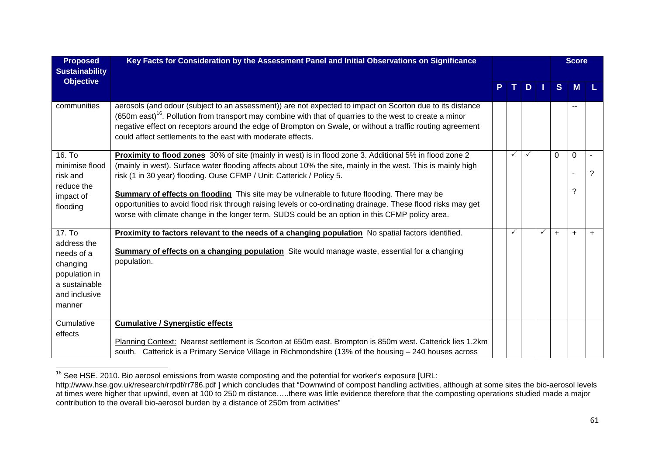| <b>Proposed</b><br><b>Sustainability</b>                                                                     | Key Facts for Consideration by the Assessment Panel and Initial Observations on Significance                                                                                                                                                                                                                                                                                                                                                                                                                                                                                                                        |   |              |   |              | <b>Score</b> |               |           |
|--------------------------------------------------------------------------------------------------------------|---------------------------------------------------------------------------------------------------------------------------------------------------------------------------------------------------------------------------------------------------------------------------------------------------------------------------------------------------------------------------------------------------------------------------------------------------------------------------------------------------------------------------------------------------------------------------------------------------------------------|---|--------------|---|--------------|--------------|---------------|-----------|
| <b>Objective</b>                                                                                             |                                                                                                                                                                                                                                                                                                                                                                                                                                                                                                                                                                                                                     | P | т.           | D | H            | S            | <b>M</b>      |           |
| communities                                                                                                  | aerosols (and odour (subject to an assessment)) are not expected to impact on Scorton due to its distance<br>(650m east) <sup>16</sup> . Pollution from transport may combine with that of quarries to the west to create a minor<br>negative effect on receptors around the edge of Brompton on Swale, or without a traffic routing agreement<br>could affect settlements to the east with moderate effects.                                                                                                                                                                                                       |   |              |   |              |              |               |           |
| 16. To<br>minimise flood<br>risk and<br>reduce the<br>impact of<br>flooding                                  | Proximity to flood zones 30% of site (mainly in west) is in flood zone 3. Additional 5% in flood zone 2<br>(mainly in west). Surface water flooding affects about 10% the site, mainly in the west. This is mainly high<br>risk (1 in 30 year) flooding. Ouse CFMP / Unit: Catterick / Policy 5.<br>Summary of effects on flooding This site may be vulnerable to future flooding. There may be<br>opportunities to avoid flood risk through raising levels or co-ordinating drainage. These flood risks may get<br>worse with climate change in the longer term. SUDS could be an option in this CFMP policy area. |   | $\checkmark$ | ✓ |              | $\Omega$     | $\Omega$<br>? | ?         |
| 17. To<br>address the<br>needs of a<br>changing<br>population in<br>a sustainable<br>and inclusive<br>manner | Proximity to factors relevant to the needs of a changing population No spatial factors identified.<br><b>Summary of effects on a changing population</b> Site would manage waste, essential for a changing<br>population.                                                                                                                                                                                                                                                                                                                                                                                           |   | $\checkmark$ |   | $\checkmark$ | $+$          | $+$           | $\ddot{}$ |
| Cumulative<br>effects                                                                                        | <b>Cumulative / Synergistic effects</b><br>Planning Context: Nearest settlement is Scorton at 650m east. Brompton is 850m west. Catterick lies 1.2km<br>south. Catterick is a Primary Service Village in Richmondshire (13% of the housing - 240 houses across                                                                                                                                                                                                                                                                                                                                                      |   |              |   |              |              |               |           |

 $\frac{16}{16}$  See HSE. 2010. Bio aerosol emissions from waste composting and the potential for worker's exposure [URL:

http://www.hse.gov.uk/research/rrpdf/rr786.pdf ] which concludes that "Downwind of compost handling activities, although at some sites the bio-aerosol levels at times were higher that upwind, even at 100 to 250 m distance…..there was little evidence therefore that the composting operations studied made a major contribution to the overall bio-aerosol burden by a distance of 250m from activities"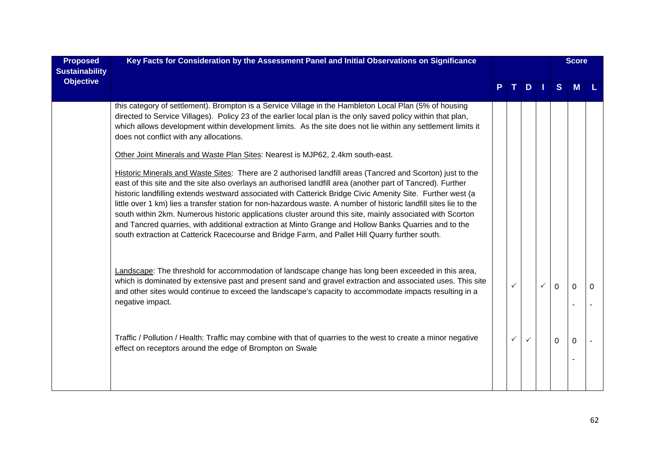| <b>Proposed</b><br><b>Sustainability</b> | Key Facts for Consideration by the Assessment Panel and Initial Observations on Significance                                                                                                                                                                                                                                                                                                                                                                                                                                                                                                                                                                                                                                                                                                                                                                                                                                                                                                                                                                                                                                                                                                                                                                  |  |                              |              |   |                      | <b>Score</b>         |          |
|------------------------------------------|---------------------------------------------------------------------------------------------------------------------------------------------------------------------------------------------------------------------------------------------------------------------------------------------------------------------------------------------------------------------------------------------------------------------------------------------------------------------------------------------------------------------------------------------------------------------------------------------------------------------------------------------------------------------------------------------------------------------------------------------------------------------------------------------------------------------------------------------------------------------------------------------------------------------------------------------------------------------------------------------------------------------------------------------------------------------------------------------------------------------------------------------------------------------------------------------------------------------------------------------------------------|--|------------------------------|--------------|---|----------------------|----------------------|----------|
| <b>Objective</b>                         |                                                                                                                                                                                                                                                                                                                                                                                                                                                                                                                                                                                                                                                                                                                                                                                                                                                                                                                                                                                                                                                                                                                                                                                                                                                               |  |                              | TD.          |   | <sub>S</sub>         | М                    |          |
|                                          | this category of settlement). Brompton is a Service Village in the Hambleton Local Plan (5% of housing<br>directed to Service Villages). Policy 23 of the earlier local plan is the only saved policy within that plan,<br>which allows development within development limits. As the site does not lie within any settlement limits it<br>does not conflict with any allocations.<br>Other Joint Minerals and Waste Plan Sites: Nearest is MJP62, 2.4km south-east.<br>Historic Minerals and Waste Sites: There are 2 authorised landfill areas (Tancred and Scorton) just to the<br>east of this site and the site also overlays an authorised landfill area (another part of Tancred). Further<br>historic landfilling extends westward associated with Catterick Bridge Civic Amenity Site. Further west (a<br>little over 1 km) lies a transfer station for non-hazardous waste. A number of historic landfill sites lie to the<br>south within 2km. Numerous historic applications cluster around this site, mainly associated with Scorton<br>and Tancred quarries, with additional extraction at Minto Grange and Hollow Banks Quarries and to the<br>south extraction at Catterick Racecourse and Bridge Farm, and Pallet Hill Quarry further south. |  |                              |              |   |                      |                      |          |
|                                          | Landscape: The threshold for accommodation of landscape change has long been exceeded in this area,<br>which is dominated by extensive past and present sand and gravel extraction and associated uses. This site<br>and other sites would continue to exceed the landscape's capacity to accommodate impacts resulting in a<br>negative impact.<br>Traffic / Pollution / Health: Traffic may combine with that of quarries to the west to create a minor negative                                                                                                                                                                                                                                                                                                                                                                                                                                                                                                                                                                                                                                                                                                                                                                                            |  | $\checkmark$<br>$\checkmark$ | $\checkmark$ | ✓ | $\Omega$<br>$\Omega$ | $\Omega$<br>$\Omega$ | $\Omega$ |
|                                          | effect on receptors around the edge of Brompton on Swale                                                                                                                                                                                                                                                                                                                                                                                                                                                                                                                                                                                                                                                                                                                                                                                                                                                                                                                                                                                                                                                                                                                                                                                                      |  |                              |              |   |                      |                      |          |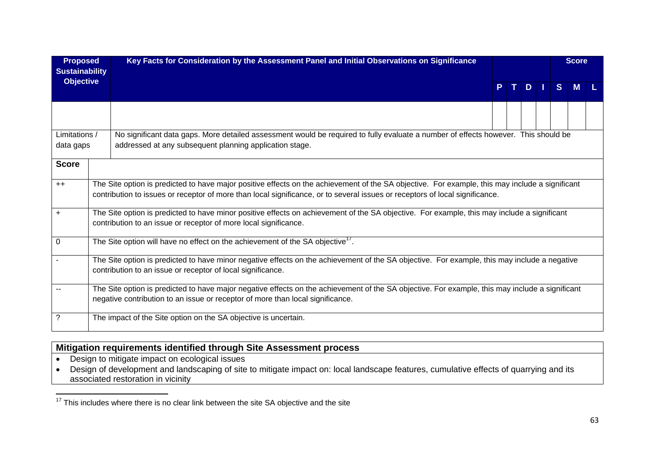| <b>Proposed</b><br><b>Sustainability</b> |                                                                                                                                                                                                                                                                                 | Key Facts for Consideration by the Assessment Panel and Initial Observations on Significance                                                                                                                                      |                         |  |  |  |   | <b>Score</b> |  |  |  |
|------------------------------------------|---------------------------------------------------------------------------------------------------------------------------------------------------------------------------------------------------------------------------------------------------------------------------------|-----------------------------------------------------------------------------------------------------------------------------------------------------------------------------------------------------------------------------------|-------------------------|--|--|--|---|--------------|--|--|--|
| <b>Objective</b>                         |                                                                                                                                                                                                                                                                                 |                                                                                                                                                                                                                                   | $T$ D $\parallel$<br>P. |  |  |  | S | М            |  |  |  |
|                                          |                                                                                                                                                                                                                                                                                 |                                                                                                                                                                                                                                   |                         |  |  |  |   |              |  |  |  |
| Limitations /<br>data gaps               |                                                                                                                                                                                                                                                                                 | No significant data gaps. More detailed assessment would be required to fully evaluate a number of effects however. This should be<br>addressed at any subsequent planning application stage.                                     |                         |  |  |  |   |              |  |  |  |
| <b>Score</b>                             |                                                                                                                                                                                                                                                                                 |                                                                                                                                                                                                                                   |                         |  |  |  |   |              |  |  |  |
| $++$                                     | The Site option is predicted to have major positive effects on the achievement of the SA objective. For example, this may include a significant<br>contribution to issues or receptor of more than local significance, or to several issues or receptors of local significance. |                                                                                                                                                                                                                                   |                         |  |  |  |   |              |  |  |  |
| $\ddot{}$                                |                                                                                                                                                                                                                                                                                 | The Site option is predicted to have minor positive effects on achievement of the SA objective. For example, this may include a significant<br>contribution to an issue or receptor of more local significance.                   |                         |  |  |  |   |              |  |  |  |
| $\mathbf{0}$                             |                                                                                                                                                                                                                                                                                 | The Site option will have no effect on the achievement of the SA objective <sup>1</sup> '.                                                                                                                                        |                         |  |  |  |   |              |  |  |  |
|                                          |                                                                                                                                                                                                                                                                                 | The Site option is predicted to have minor negative effects on the achievement of the SA objective. For example, this may include a negative<br>contribution to an issue or receptor of local significance.                       |                         |  |  |  |   |              |  |  |  |
|                                          |                                                                                                                                                                                                                                                                                 | The Site option is predicted to have major negative effects on the achievement of the SA objective. For example, this may include a significant<br>negative contribution to an issue or receptor of more than local significance. |                         |  |  |  |   |              |  |  |  |
| ?                                        |                                                                                                                                                                                                                                                                                 | The impact of the Site option on the SA objective is uncertain.                                                                                                                                                                   |                         |  |  |  |   |              |  |  |  |

# **Mitigation requirements identified through Site Assessment process**

- Design to mitigate impact on ecological issues
- Design of development and landscaping of site to mitigate impact on: local landscape features, cumulative effects of quarrying and its associated restoration in vicinity

 $17$  This includes where there is no clear link between the site SA objective and the site